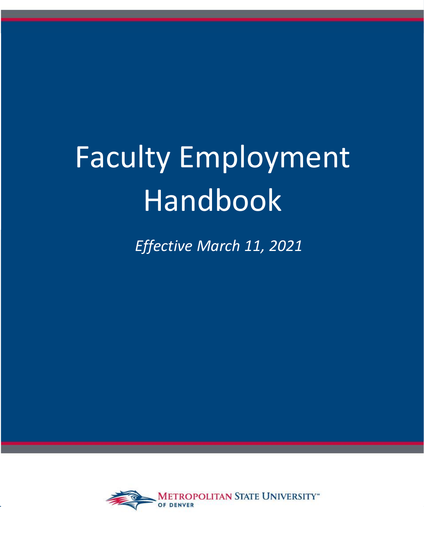# Faculty Employment Handbook

*Effective March 11, 2021*

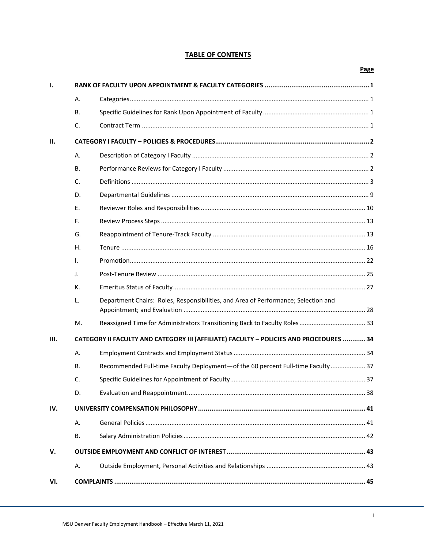# **TABLE OF CONTENTS**

|              |                                                                                        |                                                                                    | <b>Page</b> |  |  |
|--------------|----------------------------------------------------------------------------------------|------------------------------------------------------------------------------------|-------------|--|--|
| $\mathbf{I}$ |                                                                                        |                                                                                    |             |  |  |
|              | А.                                                                                     |                                                                                    |             |  |  |
|              | В.                                                                                     |                                                                                    |             |  |  |
|              | C.                                                                                     |                                                                                    |             |  |  |
| II.          |                                                                                        |                                                                                    |             |  |  |
|              | Α.                                                                                     |                                                                                    |             |  |  |
|              | В.                                                                                     |                                                                                    |             |  |  |
|              | C.                                                                                     |                                                                                    |             |  |  |
|              | D.                                                                                     |                                                                                    |             |  |  |
|              | Ε.                                                                                     |                                                                                    |             |  |  |
|              | F.                                                                                     |                                                                                    |             |  |  |
|              | G.                                                                                     |                                                                                    |             |  |  |
|              | Η.                                                                                     |                                                                                    |             |  |  |
|              | Τ.                                                                                     |                                                                                    |             |  |  |
|              | J.                                                                                     |                                                                                    |             |  |  |
|              | К.                                                                                     |                                                                                    |             |  |  |
|              | L.                                                                                     | Department Chairs: Roles, Responsibilities, and Area of Performance; Selection and |             |  |  |
|              | М.                                                                                     |                                                                                    |             |  |  |
| III.         | CATEGORY II FACULTY AND CATEGORY III (AFFILIATE) FACULTY - POLICIES AND PROCEDURES  34 |                                                                                    |             |  |  |
|              | А.                                                                                     |                                                                                    |             |  |  |
|              | В.                                                                                     | Recommended Full-time Faculty Deployment-of the 60 percent Full-time Faculty  37   |             |  |  |
|              | C.                                                                                     |                                                                                    |             |  |  |
|              | D.                                                                                     |                                                                                    |             |  |  |
| IV.          |                                                                                        |                                                                                    |             |  |  |
|              | Α.                                                                                     |                                                                                    |             |  |  |
|              | В.                                                                                     |                                                                                    |             |  |  |
| v.           |                                                                                        |                                                                                    |             |  |  |
|              | А.                                                                                     |                                                                                    |             |  |  |
| VI.          |                                                                                        |                                                                                    |             |  |  |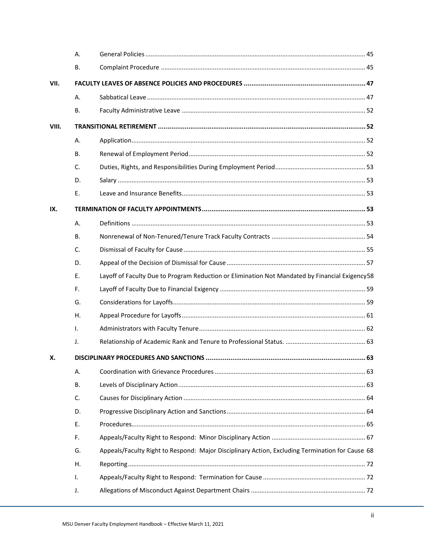|       | Α.        |                                                                                                 |      |  |
|-------|-----------|-------------------------------------------------------------------------------------------------|------|--|
|       | В.        |                                                                                                 |      |  |
| VII.  |           |                                                                                                 |      |  |
|       | Α.        |                                                                                                 |      |  |
|       | В.        |                                                                                                 |      |  |
| VIII. |           |                                                                                                 |      |  |
|       | Α.        |                                                                                                 |      |  |
|       | <b>B.</b> |                                                                                                 |      |  |
|       | C.        |                                                                                                 |      |  |
|       | D.        |                                                                                                 |      |  |
|       | E.        |                                                                                                 |      |  |
| IX.   |           |                                                                                                 |      |  |
|       | Α.        |                                                                                                 |      |  |
|       | <b>B.</b> |                                                                                                 |      |  |
|       | C.        |                                                                                                 |      |  |
|       | D.        |                                                                                                 |      |  |
|       | Ε.        | Layoff of Faculty Due to Program Reduction or Elimination Not Mandated by Financial Exigency58  |      |  |
|       | F.        |                                                                                                 |      |  |
|       | G.        |                                                                                                 |      |  |
|       | Η.        |                                                                                                 |      |  |
|       | I.        |                                                                                                 |      |  |
|       | J.        |                                                                                                 |      |  |
| х.    |           | <b>DISCIPLINARY PROCEDURES AND SANCTIONS.</b>                                                   | . 63 |  |
|       | Α.        |                                                                                                 |      |  |
|       | <b>B.</b> |                                                                                                 |      |  |
|       | C.        |                                                                                                 |      |  |
|       | D.        |                                                                                                 |      |  |
|       | E.        |                                                                                                 |      |  |
|       | F.        |                                                                                                 |      |  |
|       | G.        | Appeals/Faculty Right to Respond: Major Disciplinary Action, Excluding Termination for Cause 68 |      |  |
|       | Η.        |                                                                                                 |      |  |
|       | I.        |                                                                                                 |      |  |
|       | J.        |                                                                                                 |      |  |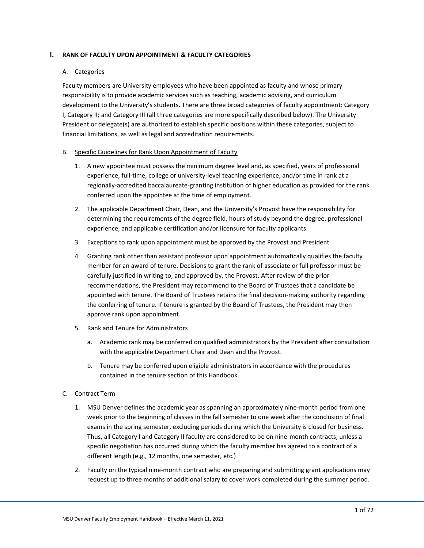### <span id="page-3-1"></span><span id="page-3-0"></span>**I. RANK OF FACULTY UPON APPOINTMENT & FACULTY CATEGORIES**

### A. Categories

Faculty members are University employees who have been appointed as faculty and whose primary responsibility is to provide academic services such as teaching, academic advising, and curriculum development to the University's students. There are three broad categories of faculty appointment: Category I; Category II; and Category III (all three categories are more specifically described below). The University President or delegate(s) are authorized to establish specific positions within these categories, subject to financial limitations, as well as legal and accreditation requirements.

### <span id="page-3-2"></span>B. Specific Guidelines for Rank Upon Appointment of Faculty

- 1. A new appointee must possess the minimum degree level and, as specified, years of professional experience, full-time, college or university-level teaching experience, and/or time in rank at a regionally-accredited baccalaureate-granting institution of higher education as provided for the rank conferred upon the appointee at the time of employment.
- 2. The applicable Department Chair, Dean, and the University's Provost have the responsibility for determining the requirements of the degree field, hours of study beyond the degree, professional experience, and applicable certification and/or licensure for faculty applicants.
- 3. Exceptions to rank upon appointment must be approved by the Provost and President.
- 4. Granting rank other than assistant professor upon appointment automatically qualifies the faculty member for an award of tenure. Decisions to grant the rank of associate or full professor must be carefully justified in writing to, and approved by, the Provost. After review of the prior recommendations, the President may recommend to the Board of Trustees that a candidate be appointed with tenure. The Board of Trustees retains the final decision-making authority regarding the conferring of tenure. If tenure is granted by the Board of Trustees, the President may then approve rank upon appointment.
- 5. Rank and Tenure for Administrators
	- a. Academic rank may be conferred on qualified administrators by the President after consultation with the applicable Department Chair and Dean and the Provost.
	- b. Tenure may be conferred upon eligible administrators in accordance with the procedures contained in the tenure section of this Handbook.

### <span id="page-3-3"></span>C. Contract Term

- 1. MSU Denver defines the academic year as spanning an approximately nine-month period from one week prior to the beginning of classes in the fall semester to one week after the conclusion of final exams in the spring semester, excluding periods during which the University is closed for business. Thus, all Category I and Category II faculty are considered to be on nine-month contracts, unless a specific negotiation has occurred during which the faculty member has agreed to a contract of a different length (e.g., 12 months, one semester, etc.)
- 2. Faculty on the typical nine-month contract who are preparing and submitting grant applications may request up to three months of additional salary to cover work completed during the summer period.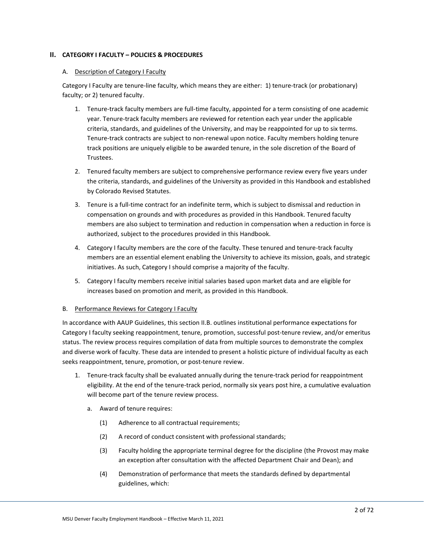### <span id="page-4-1"></span><span id="page-4-0"></span>**II. CATEGORY I FACULTY – POLICIES & PROCEDURES**

### A. Description of Category I Faculty

Category I Faculty are tenure-line faculty, which means they are either: 1) tenure-track (or probationary) faculty; or 2) tenured faculty.

- 1. Tenure-track faculty members are full-time faculty, appointed for a term consisting of one academic year. Tenure-track faculty members are reviewed for retention each year under the applicable criteria, standards, and guidelines of the University, and may be reappointed for up to six terms. Tenure-track contracts are subject to non-renewal upon notice. Faculty members holding tenure track positions are uniquely eligible to be awarded tenure, in the sole discretion of the Board of Trustees.
- 2. Tenured faculty members are subject to comprehensive performance review every five years under the criteria, standards, and guidelines of the University as provided in this Handbook and established by Colorado Revised Statutes.
- 3. Tenure is a full-time contract for an indefinite term, which is subject to dismissal and reduction in compensation on grounds and with procedures as provided in this Handbook. Tenured faculty members are also subject to termination and reduction in compensation when a reduction in force is authorized, subject to the procedures provided in this Handbook.
- 4. Category I faculty members are the core of the faculty. These tenured and tenure-track faculty members are an essential element enabling the University to achieve its mission, goals, and strategic initiatives. As such, Category I should comprise a majority of the faculty.
- 5. Category I faculty members receive initial salaries based upon market data and are eligible for increases based on promotion and merit, as provided in this Handbook.

### <span id="page-4-2"></span>B. Performance Reviews for Category I Faculty

In accordance with AAUP Guidelines, this section II.B. outlines institutional performance expectations for Category I faculty seeking reappointment, tenure, promotion, successful post-tenure review, and/or emeritus status. The review process requires compilation of data from multiple sources to demonstrate the complex and diverse work of faculty. These data are intended to present a holistic picture of individual faculty as each seeks reappointment, tenure, promotion, or post-tenure review.

- 1. Tenure-track faculty shall be evaluated annually during the tenure-track period for reappointment eligibility. At the end of the tenure-track period, normally six years post hire, a cumulative evaluation will become part of the tenure review process.
	- a. Award of tenure requires:
		- (1) Adherence to all contractual requirements;
		- (2) A record of conduct consistent with professional standards;
		- (3) Faculty holding the appropriate terminal degree for the discipline (the Provost may make an exception after consultation with the affected Department Chair and Dean); and
		- (4) Demonstration of performance that meets the standards defined by departmental guidelines, which: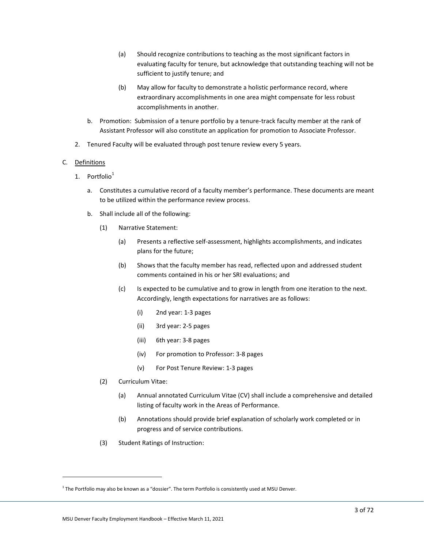- (a) Should recognize contributions to teaching as the most significant factors in evaluating faculty for tenure, but acknowledge that outstanding teaching will not be sufficient to justify tenure; and
- (b) May allow for faculty to demonstrate a holistic performance record, where extraordinary accomplishments in one area might compensate for less robust accomplishments in another.
- b. Promotion: Submission of a tenure portfolio by a tenure-track faculty member at the rank of Assistant Professor will also constitute an application for promotion to Associate Professor.
- 2. Tenured Faculty will be evaluated through post tenure review every 5 years.

### <span id="page-5-0"></span>C. Definitions

- 1. Portfolio $1$ 
	- a. Constitutes a cumulative record of a faculty member's performance. These documents are meant to be utilized within the performance review process.
	- b. Shall include all of the following:
		- (1) Narrative Statement:
			- (a) Presents a reflective self-assessment, highlights accomplishments, and indicates plans for the future;
			- (b) Shows that the faculty member has read, reflected upon and addressed student comments contained in his or her SRI evaluations; and
			- (c) Is expected to be cumulative and to grow in length from one iteration to the next. Accordingly, length expectations for narratives are as follows:
				- (i) 2nd year: 1-3 pages
				- (ii) 3rd year: 2-5 pages
				- (iii) 6th year: 3-8 pages
				- (iv) For promotion to Professor: 3-8 pages
				- (v) For Post Tenure Review: 1-3 pages
		- (2) Curriculum Vitae:
			- (a) Annual annotated Curriculum Vitae (CV) shall include a comprehensive and detailed listing of faculty work in the Areas of Performance.
			- (b) Annotations should provide brief explanation of scholarly work completed or in progress and of service contributions.
		- (3) Student Ratings of Instruction:

 $^1$  The Portfolio may also be known as a "dossier". The term Portfolio is consistently used at MSU Denver.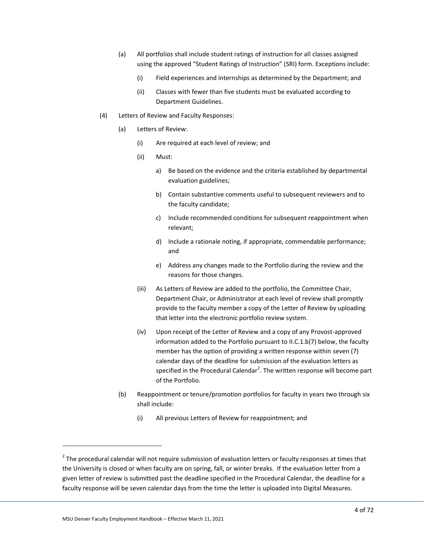- (a) All portfolios shall include student ratings of instruction for all classes assigned using the approved "Student Ratings of Instruction" (SRI) form. Exceptions include:
	- (i) Field experiences and internships as determined by the Department; and
	- (ii) Classes with fewer than five students must be evaluated according to Department Guidelines.
- (4) Letters of Review and Faculty Responses:
	- (a) Letters of Review:
		- (i) Are required at each level of review; and
		- (ii) Must:
			- a) Be based on the evidence and the criteria established by departmental evaluation guidelines;
			- b) Contain substantive comments useful to subsequent reviewers and to the faculty candidate;
			- c) Include recommended conditions for subsequent reappointment when relevant;
			- d) Include a rationale noting, if appropriate, commendable performance; and
			- e) Address any changes made to the Portfolio during the review and the reasons for those changes.
		- (iii) As Letters of Review are added to the portfolio, the Committee Chair, Department Chair, or Administrator at each level of review shall promptly provide to the faculty member a copy of the Letter of Review by uploading that letter into the electronic portfolio review system.
		- (iv) Upon receipt of the Letter of Review and a copy of any Provost-approved information added to the Portfolio pursuant to II.C.1.b(7) below, the faculty member has the option of providing a written response within seven (7) calendar days of the deadline for submission of the evaluation letters as specified in the Procedural Calendar<sup>2</sup>. The written response will become part of the Portfolio.
	- (b) Reappointment or tenure/promotion portfolios for faculty in years two through six shall include:
		- (i) All previous Letters of Review for reappointment; and

 $2$  The procedural calendar will not require submission of evaluation letters or faculty responses at times that the University is closed or when faculty are on spring, fall, or winter breaks. If the evaluation letter from a given letter of review is submitted past the deadline specified in the Procedural Calendar, the deadline for a faculty response will be seven calendar days from the time the letter is uploaded into Digital Measures.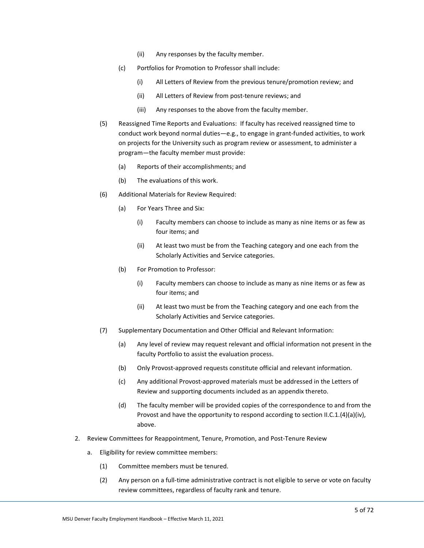- (ii) Any responses by the faculty member.
- (c) Portfolios for Promotion to Professor shall include:
	- (i) All Letters of Review from the previous tenure/promotion review; and
	- (ii) All Letters of Review from post-tenure reviews; and
	- (iii) Any responses to the above from the faculty member.
- (5) Reassigned Time Reports and Evaluations: If faculty has received reassigned time to conduct work beyond normal duties—e.g., to engage in grant-funded activities, to work on projects for the University such as program review or assessment, to administer a program—the faculty member must provide:
	- (a) Reports of their accomplishments; and
	- (b) The evaluations of this work.
- (6) Additional Materials for Review Required:
	- (a) For Years Three and Six:
		- (i) Faculty members can choose to include as many as nine items or as few as four items; and
		- (ii) At least two must be from the Teaching category and one each from the Scholarly Activities and Service categories.
	- (b) For Promotion to Professor:
		- (i) Faculty members can choose to include as many as nine items or as few as four items; and
		- (ii) At least two must be from the Teaching category and one each from the Scholarly Activities and Service categories.
- (7) Supplementary Documentation and Other Official and Relevant Information:
	- (a) Any level of review may request relevant and official information not present in the faculty Portfolio to assist the evaluation process.
	- (b) Only Provost-approved requests constitute official and relevant information.
	- (c) Any additional Provost-approved materials must be addressed in the Letters of Review and supporting documents included as an appendix thereto.
	- (d) The faculty member will be provided copies of the correspondence to and from the Provost and have the opportunity to respond according to section II.C.1.(4)(a)(iv), above.
- 2. Review Committees for Reappointment, Tenure, Promotion, and Post-Tenure Review
	- a. Eligibility for review committee members:
		- (1) Committee members must be tenured.
		- (2) Any person on a full-time administrative contract is not eligible to serve or vote on faculty review committees, regardless of faculty rank and tenure.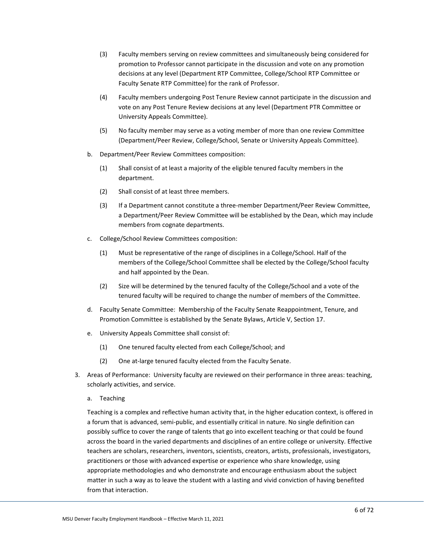- (3) Faculty members serving on review committees and simultaneously being considered for promotion to Professor cannot participate in the discussion and vote on any promotion decisions at any level (Department RTP Committee, College/School RTP Committee or Faculty Senate RTP Committee) for the rank of Professor.
- (4) Faculty members undergoing Post Tenure Review cannot participate in the discussion and vote on any Post Tenure Review decisions at any level (Department PTR Committee or University Appeals Committee).
- (5) No faculty member may serve as a voting member of more than one review Committee (Department/Peer Review, College/School, Senate or University Appeals Committee).
- b. Department/Peer Review Committees composition:
	- (1) Shall consist of at least a majority of the eligible tenured faculty members in the department.
	- (2) Shall consist of at least three members.
	- (3) If a Department cannot constitute a three-member Department/Peer Review Committee, a Department/Peer Review Committee will be established by the Dean, which may include members from cognate departments.
- c. College/School Review Committees composition:
	- (1) Must be representative of the range of disciplines in a College/School. Half of the members of the College/School Committee shall be elected by the College/School faculty and half appointed by the Dean.
	- (2) Size will be determined by the tenured faculty of the College/School and a vote of the tenured faculty will be required to change the number of members of the Committee.
- d. Faculty Senate Committee: Membership of the Faculty Senate Reappointment, Tenure, and Promotion Committee is established by the Senate Bylaws, Article V, Section 17.
- e. University Appeals Committee shall consist of:
	- (1) One tenured faculty elected from each College/School; and
	- (2) One at-large tenured faculty elected from the Faculty Senate.
- 3. Areas of Performance: University faculty are reviewed on their performance in three areas: teaching, scholarly activities, and service.
	- a. Teaching

Teaching is a complex and reflective human activity that, in the higher education context, is offered in a forum that is advanced, semi-public, and essentially critical in nature. No single definition can possibly suffice to cover the range of talents that go into excellent teaching or that could be found across the board in the varied departments and disciplines of an entire college or university. Effective teachers are scholars, researchers, inventors, scientists, creators, artists, professionals, investigators, practitioners or those with advanced expertise or experience who share knowledge, using appropriate methodologies and who demonstrate and encourage enthusiasm about the subject matter in such a way as to leave the student with a lasting and vivid conviction of having benefited from that interaction.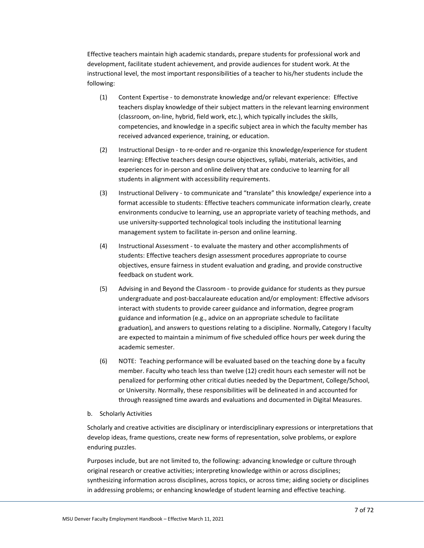Effective teachers maintain high academic standards, prepare students for professional work and development, facilitate student achievement, and provide audiences for student work. At the instructional level, the most important responsibilities of a teacher to his/her students include the following:

- (1) Content Expertise to demonstrate knowledge and/or relevant experience: Effective teachers display knowledge of their subject matters in the relevant learning environment (classroom, on-line, hybrid, field work, etc.), which typically includes the skills, competencies, and knowledge in a specific subject area in which the faculty member has received advanced experience, training, or education.
- (2) Instructional Design to re-order and re-organize this knowledge/experience for student learning: Effective teachers design course objectives, syllabi, materials, activities, and experiences for in-person and online delivery that are conducive to learning for all students in alignment with accessibility requirements.
- (3) Instructional Delivery to communicate and "translate" this knowledge/ experience into a format accessible to students: Effective teachers communicate information clearly, create environments conducive to learning, use an appropriate variety of teaching methods, and use university-supported technological tools including the institutional learning management system to facilitate in-person and online learning.
- (4) Instructional Assessment to evaluate the mastery and other accomplishments of students: Effective teachers design assessment procedures appropriate to course objectives, ensure fairness in student evaluation and grading, and provide constructive feedback on student work.
- (5) Advising in and Beyond the Classroom to provide guidance for students as they pursue undergraduate and post-baccalaureate education and/or employment: Effective advisors interact with students to provide career guidance and information, degree program guidance and information (e.g., advice on an appropriate schedule to facilitate graduation), and answers to questions relating to a discipline. Normally, Category I faculty are expected to maintain a minimum of five scheduled office hours per week during the academic semester.
- (6) NOTE: Teaching performance will be evaluated based on the teaching done by a faculty member. Faculty who teach less than twelve (12) credit hours each semester will not be penalized for performing other critical duties needed by the Department, College/School, or University. Normally, these responsibilities will be delineated in and accounted for through reassigned time awards and evaluations and documented in Digital Measures.
- b. Scholarly Activities

Scholarly and creative activities are disciplinary or interdisciplinary expressions or interpretations that develop ideas, frame questions, create new forms of representation, solve problems, or explore enduring puzzles.

Purposes include, but are not limited to, the following: advancing knowledge or culture through original research or creative activities; interpreting knowledge within or across disciplines; synthesizing information across disciplines, across topics, or across time; aiding society or disciplines in addressing problems; or enhancing knowledge of student learning and effective teaching.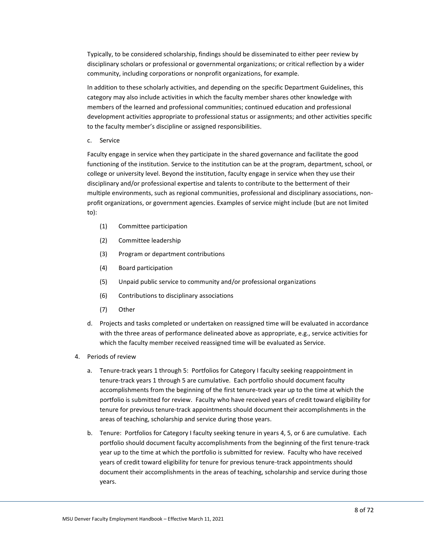Typically, to be considered scholarship, findings should be disseminated to either peer review by disciplinary scholars or professional or governmental organizations; or critical reflection by a wider community, including corporations or nonprofit organizations, for example.

In addition to these scholarly activities, and depending on the specific Department Guidelines, this category may also include activities in which the faculty member shares other knowledge with members of the learned and professional communities; continued education and professional development activities appropriate to professional status or assignments; and other activities specific to the faculty member's discipline or assigned responsibilities.

c. Service

Faculty engage in service when they participate in the shared governance and facilitate the good functioning of the institution. Service to the institution can be at the program, department, school, or college or university level. Beyond the institution, faculty engage in service when they use their disciplinary and/or professional expertise and talents to contribute to the betterment of their multiple environments, such as regional communities, professional and disciplinary associations, nonprofit organizations, or government agencies. Examples of service might include (but are not limited to):

- (1) Committee participation
- (2) Committee leadership
- (3) Program or department contributions
- (4) Board participation
- (5) Unpaid public service to community and/or professional organizations
- (6) Contributions to disciplinary associations
- (7) Other
- d. Projects and tasks completed or undertaken on reassigned time will be evaluated in accordance with the three areas of performance delineated above as appropriate, e.g., service activities for which the faculty member received reassigned time will be evaluated as Service.
- 4. Periods of review
	- a. Tenure-track years 1 through 5: Portfolios for Category I faculty seeking reappointment in tenure-track years 1 through 5 are cumulative. Each portfolio should document faculty accomplishments from the beginning of the first tenure-track year up to the time at which the portfolio is submitted for review. Faculty who have received years of credit toward eligibility for tenure for previous tenure-track appointments should document their accomplishments in the areas of teaching, scholarship and service during those years.
	- b. Tenure: Portfolios for Category I faculty seeking tenure in years 4, 5, or 6 are cumulative. Each portfolio should document faculty accomplishments from the beginning of the first tenure-track year up to the time at which the portfolio is submitted for review. Faculty who have received years of credit toward eligibility for tenure for previous tenure-track appointments should document their accomplishments in the areas of teaching, scholarship and service during those years.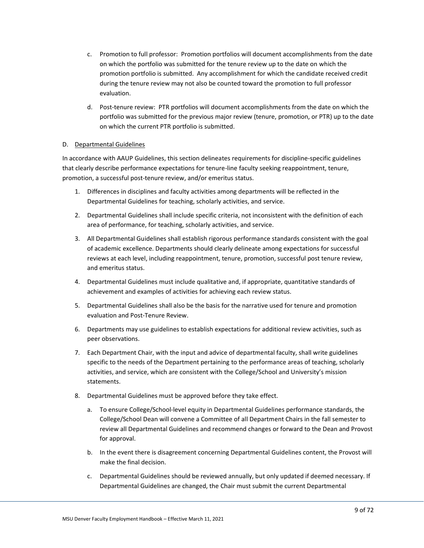- c. Promotion to full professor: Promotion portfolios will document accomplishments from the date on which the portfolio was submitted for the tenure review up to the date on which the promotion portfolio is submitted. Any accomplishment for which the candidate received credit during the tenure review may not also be counted toward the promotion to full professor evaluation.
- d. Post-tenure review: PTR portfolios will document accomplishments from the date on which the portfolio was submitted for the previous major review (tenure, promotion, or PTR) up to the date on which the current PTR portfolio is submitted.

### <span id="page-11-0"></span>D. Departmental Guidelines

In accordance with AAUP Guidelines, this section delineates requirements for discipline-specific guidelines that clearly describe performance expectations for tenure-line faculty seeking reappointment, tenure, promotion, a successful post-tenure review, and/or emeritus status.

- 1. Differences in disciplines and faculty activities among departments will be reflected in the Departmental Guidelines for teaching, scholarly activities, and service.
- 2. Departmental Guidelines shall include specific criteria, not inconsistent with the definition of each area of performance, for teaching, scholarly activities, and service.
- 3. All Departmental Guidelines shall establish rigorous performance standards consistent with the goal of academic excellence. Departments should clearly delineate among expectations for successful reviews at each level, including reappointment, tenure, promotion, successful post tenure review, and emeritus status.
- 4. Departmental Guidelines must include qualitative and, if appropriate, quantitative standards of achievement and examples of activities for achieving each review status.
- 5. Departmental Guidelines shall also be the basis for the narrative used for tenure and promotion evaluation and Post-Tenure Review.
- 6. Departments may use guidelines to establish expectations for additional review activities, such as peer observations.
- 7. Each Department Chair, with the input and advice of departmental faculty, shall write guidelines specific to the needs of the Department pertaining to the performance areas of teaching, scholarly activities, and service, which are consistent with the College/School and University's mission statements.
- 8. Departmental Guidelines must be approved before they take effect.
	- a. To ensure College/School-level equity in Departmental Guidelines performance standards, the College/School Dean will convene a Committee of all Department Chairs in the fall semester to review all Departmental Guidelines and recommend changes or forward to the Dean and Provost for approval.
	- b. In the event there is disagreement concerning Departmental Guidelines content, the Provost will make the final decision.
	- c. Departmental Guidelines should be reviewed annually, but only updated if deemed necessary. If Departmental Guidelines are changed, the Chair must submit the current Departmental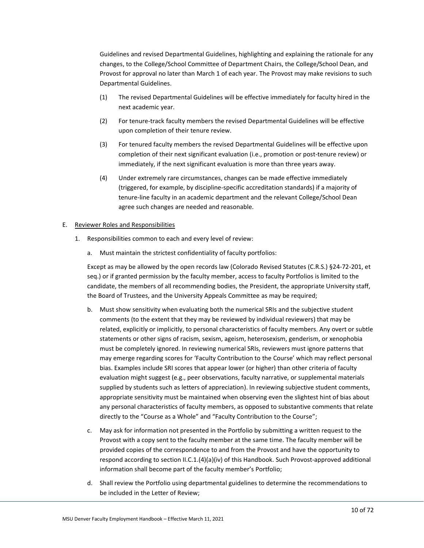Guidelines and revised Departmental Guidelines, highlighting and explaining the rationale for any changes, to the College/School Committee of Department Chairs, the College/School Dean, and Provost for approval no later than March 1 of each year. The Provost may make revisions to such Departmental Guidelines.

- (1) The revised Departmental Guidelines will be effective immediately for faculty hired in the next academic year.
- (2) For tenure-track faculty members the revised Departmental Guidelines will be effective upon completion of their tenure review.
- (3) For tenured faculty members the revised Departmental Guidelines will be effective upon completion of their next significant evaluation (i.e., promotion or post-tenure review) or immediately, if the next significant evaluation is more than three years away.
- (4) Under extremely rare circumstances, changes can be made effective immediately (triggered, for example, by discipline-specific accreditation standards) if a majority of tenure-line faculty in an academic department and the relevant College/School Dean agree such changes are needed and reasonable.

### <span id="page-12-0"></span>E. Reviewer Roles and Responsibilities

- 1. Responsibilities common to each and every level of review:
	- a. Must maintain the strictest confidentiality of faculty portfolios:

Except as may be allowed by the open records law (Colorado Revised Statutes (C.R.S.) §24-72-201, et seq.) or if granted permission by the faculty member, access to faculty Portfolios is limited to the candidate, the members of all recommending bodies, the President, the appropriate University staff, the Board of Trustees, and the University Appeals Committee as may be required;

- b. Must show sensitivity when evaluating both the numerical SRIs and the subjective student comments (to the extent that they may be reviewed by individual reviewers) that may be related, explicitly or implicitly, to personal characteristics of faculty members. Any overt or subtle statements or other signs of racism, sexism, ageism, heterosexism, genderism, or xenophobia must be completely ignored. In reviewing numerical SRIs, reviewers must ignore patterns that may emerge regarding scores for 'Faculty Contribution to the Course' which may reflect personal bias. Examples include SRI scores that appear lower (or higher) than other criteria of faculty evaluation might suggest (e.g., peer observations, faculty narrative, or supplemental materials supplied by students such as letters of appreciation). In reviewing subjective student comments, appropriate sensitivity must be maintained when observing even the slightest hint of bias about any personal characteristics of faculty members, as opposed to substantive comments that relate directly to the "Course as a Whole" and "Faculty Contribution to the Course";
- c. May ask for information not presented in the Portfolio by submitting a written request to the Provost with a copy sent to the faculty member at the same time. The faculty member will be provided copies of the correspondence to and from the Provost and have the opportunity to respond according to section II.C.1.(4)(a)(iv) of this Handbook. Such Provost-approved additional information shall become part of the faculty member's Portfolio;
- d. Shall review the Portfolio using departmental guidelines to determine the recommendations to be included in the Letter of Review;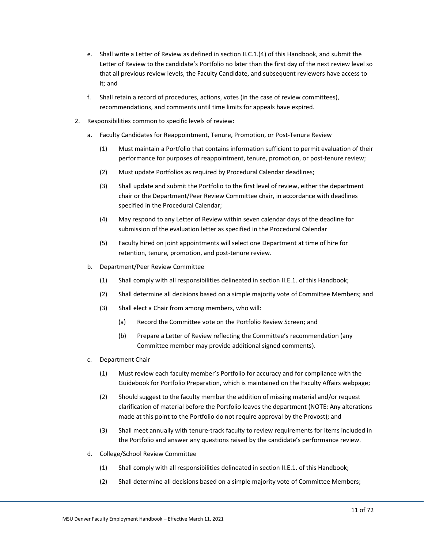- e. Shall write a Letter of Review as defined in section II.C.1.(4) of this Handbook, and submit the Letter of Review to the candidate's Portfolio no later than the first day of the next review level so that all previous review levels, the Faculty Candidate, and subsequent reviewers have access to it; and
- f. Shall retain a record of procedures, actions, votes (in the case of review committees), recommendations, and comments until time limits for appeals have expired.
- 2. Responsibilities common to specific levels of review:
	- a. Faculty Candidates for Reappointment, Tenure, Promotion, or Post-Tenure Review
		- (1) Must maintain a Portfolio that contains information sufficient to permit evaluation of their performance for purposes of reappointment, tenure, promotion, or post-tenure review;
		- (2) Must update Portfolios as required by Procedural Calendar deadlines;
		- (3) Shall update and submit the Portfolio to the first level of review, either the department chair or the Department/Peer Review Committee chair, in accordance with deadlines specified in the Procedural Calendar;
		- (4) May respond to any Letter of Review within seven calendar days of the deadline for submission of the evaluation letter as specified in the Procedural Calendar
		- (5) Faculty hired on joint appointments will select one Department at time of hire for retention, tenure, promotion, and post-tenure review.
	- b. Department/Peer Review Committee
		- (1) Shall comply with all responsibilities delineated in section II.E.1. of this Handbook;
		- (2) Shall determine all decisions based on a simple majority vote of Committee Members; and
		- (3) Shall elect a Chair from among members, who will:
			- (a) Record the Committee vote on the Portfolio Review Screen; and
			- (b) Prepare a Letter of Review reflecting the Committee's recommendation (any Committee member may provide additional signed comments).
	- c. Department Chair
		- (1) Must review each faculty member's Portfolio for accuracy and for compliance with the Guidebook for Portfolio Preparation, which is maintained on the Faculty Affairs webpage;
		- (2) Should suggest to the faculty member the addition of missing material and/or request clarification of material before the Portfolio leaves the department (NOTE: Any alterations made at this point to the Portfolio do not require approval by the Provost); and
		- (3) Shall meet annually with tenure-track faculty to review requirements for items included in the Portfolio and answer any questions raised by the candidate's performance review.
	- d. College/School Review Committee
		- (1) Shall comply with all responsibilities delineated in section II.E.1. of this Handbook;
		- (2) Shall determine all decisions based on a simple majority vote of Committee Members;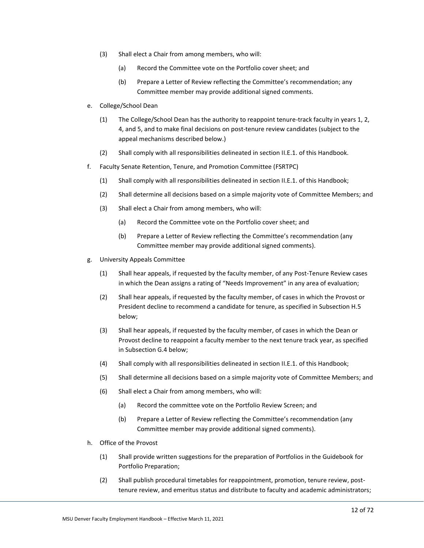- (3) Shall elect a Chair from among members, who will:
	- (a) Record the Committee vote on the Portfolio cover sheet; and
	- (b) Prepare a Letter of Review reflecting the Committee's recommendation; any Committee member may provide additional signed comments.
- e. College/School Dean
	- (1) The College/School Dean has the authority to reappoint tenure-track faculty in years 1, 2, 4, and 5, and to make final decisions on post-tenure review candidates (subject to the appeal mechanisms described below.)
	- (2) Shall comply with all responsibilities delineated in section II.E.1. of this Handbook.
- f. Faculty Senate Retention, Tenure, and Promotion Committee (FSRTPC)
	- (1) Shall comply with all responsibilities delineated in section II.E.1. of this Handbook;
	- (2) Shall determine all decisions based on a simple majority vote of Committee Members; and
	- (3) Shall elect a Chair from among members, who will:
		- (a) Record the Committee vote on the Portfolio cover sheet; and
		- (b) Prepare a Letter of Review reflecting the Committee's recommendation (any Committee member may provide additional signed comments).
- g. University Appeals Committee
	- (1) Shall hear appeals, if requested by the faculty member, of any Post-Tenure Review cases in which the Dean assigns a rating of "Needs Improvement" in any area of evaluation;
	- (2) Shall hear appeals, if requested by the faculty member, of cases in which the Provost or President decline to recommend a candidate for tenure, as specified in Subsection H.5 below;
	- (3) Shall hear appeals, if requested by the faculty member, of cases in which the Dean or Provost decline to reappoint a faculty member to the next tenure track year, as specified in Subsection G.4 below;
	- (4) Shall comply with all responsibilities delineated in section II.E.1. of this Handbook;
	- (5) Shall determine all decisions based on a simple majority vote of Committee Members; and
	- (6) Shall elect a Chair from among members, who will:
		- (a) Record the committee vote on the Portfolio Review Screen; and
		- (b) Prepare a Letter of Review reflecting the Committee's recommendation (any Committee member may provide additional signed comments).
- h. Office of the Provost
	- (1) Shall provide written suggestions for the preparation of Portfolios in the Guidebook for Portfolio Preparation;
	- (2) Shall publish procedural timetables for reappointment, promotion, tenure review, posttenure review, and emeritus status and distribute to faculty and academic administrators;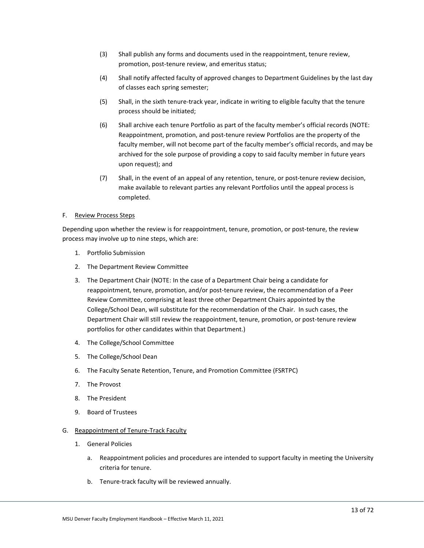- (3) Shall publish any forms and documents used in the reappointment, tenure review, promotion, post-tenure review, and emeritus status;
- (4) Shall notify affected faculty of approved changes to Department Guidelines by the last day of classes each spring semester;
- (5) Shall, in the sixth tenure-track year, indicate in writing to eligible faculty that the tenure process should be initiated;
- (6) Shall archive each tenure Portfolio as part of the faculty member's official records (NOTE: Reappointment, promotion, and post-tenure review Portfolios are the property of the faculty member, will not become part of the faculty member's official records, and may be archived for the sole purpose of providing a copy to said faculty member in future years upon request); and
- (7) Shall, in the event of an appeal of any retention, tenure, or post-tenure review decision, make available to relevant parties any relevant Portfolios until the appeal process is completed.

### <span id="page-15-0"></span>F. Review Process Steps

Depending upon whether the review is for reappointment, tenure, promotion, or post-tenure, the review process may involve up to nine steps, which are:

- 1. Portfolio Submission
- 2. The Department Review Committee
- 3. The Department Chair (NOTE: In the case of a Department Chair being a candidate for reappointment, tenure, promotion, and/or post-tenure review, the recommendation of a Peer Review Committee, comprising at least three other Department Chairs appointed by the College/School Dean, will substitute for the recommendation of the Chair. In such cases, the Department Chair will still review the reappointment, tenure, promotion, or post-tenure review portfolios for other candidates within that Department.)
- 4. The College/School Committee
- 5. The College/School Dean
- 6. The Faculty Senate Retention, Tenure, and Promotion Committee (FSRTPC)
- 7. The Provost
- 8. The President
- 9. Board of Trustees
- <span id="page-15-1"></span>G. Reappointment of Tenure-Track Faculty
	- 1. General Policies
		- a. Reappointment policies and procedures are intended to support faculty in meeting the University criteria for tenure.
		- b. Tenure-track faculty will be reviewed annually.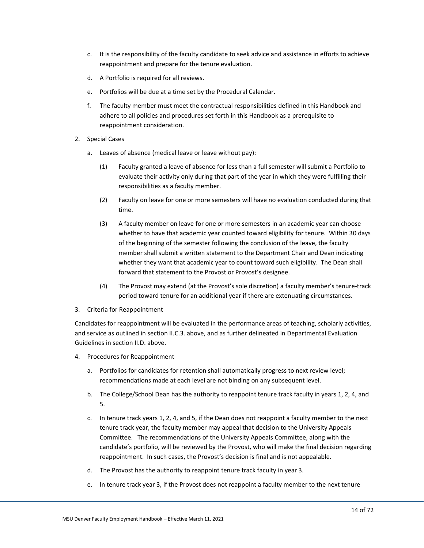- c. It is the responsibility of the faculty candidate to seek advice and assistance in efforts to achieve reappointment and prepare for the tenure evaluation.
- d. A Portfolio is required for all reviews.
- e. Portfolios will be due at a time set by the Procedural Calendar.
- f. The faculty member must meet the contractual responsibilities defined in this Handbook and adhere to all policies and procedures set forth in this Handbook as a prerequisite to reappointment consideration.
- 2. Special Cases
	- a. Leaves of absence (medical leave or leave without pay):
		- (1) Faculty granted a leave of absence for less than a full semester will submit a Portfolio to evaluate their activity only during that part of the year in which they were fulfilling their responsibilities as a faculty member.
		- (2) Faculty on leave for one or more semesters will have no evaluation conducted during that time.
		- (3) A faculty member on leave for one or more semesters in an academic year can choose whether to have that academic year counted toward eligibility for tenure. Within 30 days of the beginning of the semester following the conclusion of the leave, the faculty member shall submit a written statement to the Department Chair and Dean indicating whether they want that academic year to count toward such eligibility. The Dean shall forward that statement to the Provost or Provost's designee.
		- (4) The Provost may extend (at the Provost's sole discretion) a faculty member's tenure-track period toward tenure for an additional year if there are extenuating circumstances.
- 3. Criteria for Reappointment

Candidates for reappointment will be evaluated in the performance areas of teaching, scholarly activities, and service as outlined in section II.C.3. above, and as further delineated in Departmental Evaluation Guidelines in section II.D. above.

- 4. Procedures for Reappointment
	- a. Portfolios for candidates for retention shall automatically progress to next review level; recommendations made at each level are not binding on any subsequent level.
	- b. The College/School Dean has the authority to reappoint tenure track faculty in years 1, 2, 4, and 5.
	- c. In tenure track years 1, 2, 4, and 5, if the Dean does not reappoint a faculty member to the next tenure track year, the faculty member may appeal that decision to the University Appeals Committee. The recommendations of the University Appeals Committee, along with the candidate's portfolio, will be reviewed by the Provost, who will make the final decision regarding reappointment. In such cases, the Provost's decision is final and is not appealable.
	- d. The Provost has the authority to reappoint tenure track faculty in year 3.
	- e. In tenure track year 3, if the Provost does not reappoint a faculty member to the next tenure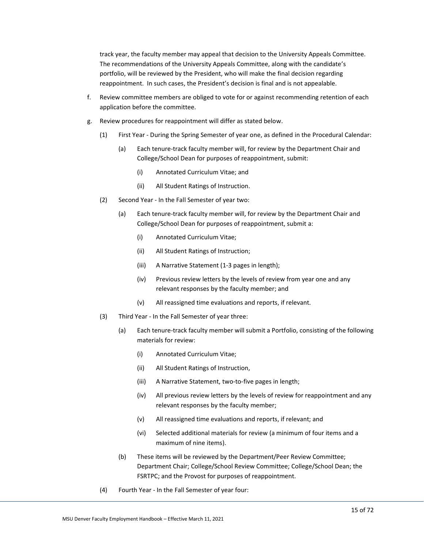track year, the faculty member may appeal that decision to the University Appeals Committee. The recommendations of the University Appeals Committee, along with the candidate's portfolio, will be reviewed by the President, who will make the final decision regarding reappointment. In such cases, the President's decision is final and is not appealable.

- f. Review committee members are obliged to vote for or against recommending retention of each application before the committee.
- g. Review procedures for reappointment will differ as stated below.
	- (1) First Year During the Spring Semester of year one, as defined in the Procedural Calendar:
		- (a) Each tenure-track faculty member will, for review by the Department Chair and College/School Dean for purposes of reappointment, submit:
			- (i) Annotated Curriculum Vitae; and
			- (ii) All Student Ratings of Instruction.
	- (2) Second Year In the Fall Semester of year two:
		- (a) Each tenure-track faculty member will, for review by the Department Chair and College/School Dean for purposes of reappointment, submit a:
			- (i) Annotated Curriculum Vitae;
			- (ii) All Student Ratings of Instruction;
			- (iii) A Narrative Statement (1-3 pages in length);
			- (iv) Previous review letters by the levels of review from year one and any relevant responses by the faculty member; and
			- (v) All reassigned time evaluations and reports, if relevant.
	- (3) Third Year In the Fall Semester of year three:
		- (a) Each tenure-track faculty member will submit a Portfolio, consisting of the following materials for review:
			- (i) Annotated Curriculum Vitae;
			- (ii) All Student Ratings of Instruction,
			- (iii) A Narrative Statement, two-to-five pages in length;
			- (iv) All previous review letters by the levels of review for reappointment and any relevant responses by the faculty member;
			- (v) All reassigned time evaluations and reports, if relevant; and
			- (vi) Selected additional materials for review (a minimum of four items and a maximum of nine items).
		- (b) These items will be reviewed by the Department/Peer Review Committee; Department Chair; College/School Review Committee; College/School Dean; the FSRTPC; and the Provost for purposes of reappointment.
	- (4) Fourth Year In the Fall Semester of year four: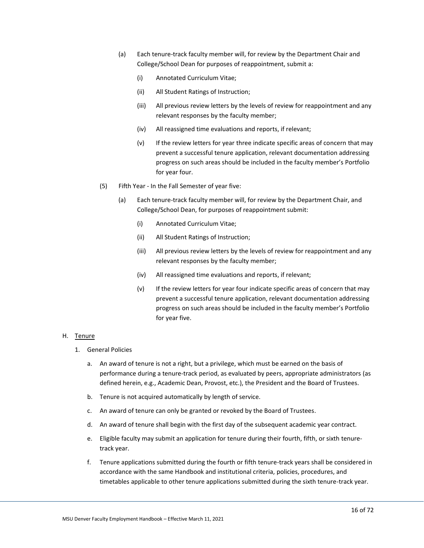- (a) Each tenure-track faculty member will, for review by the Department Chair and College/School Dean for purposes of reappointment, submit a:
	- (i) Annotated Curriculum Vitae;
	- (ii) All Student Ratings of Instruction;
	- (iii) All previous review letters by the levels of review for reappointment and any relevant responses by the faculty member;
	- (iv) All reassigned time evaluations and reports, if relevant;
	- (v) If the review letters for year three indicate specific areas of concern that may prevent a successful tenure application, relevant documentation addressing progress on such areas should be included in the faculty member's Portfolio for year four.
- (5) Fifth Year In the Fall Semester of year five:
	- (a) Each tenure-track faculty member will, for review by the Department Chair, and College/School Dean, for purposes of reappointment submit:
		- (i) Annotated Curriculum Vitae;
		- (ii) All Student Ratings of Instruction;
		- (iii) All previous review letters by the levels of review for reappointment and any relevant responses by the faculty member;
		- (iv) All reassigned time evaluations and reports, if relevant;
		- (v) If the review letters for year four indicate specific areas of concern that may prevent a successful tenure application, relevant documentation addressing progress on such areas should be included in the faculty member's Portfolio for year five.

### <span id="page-18-0"></span>H. Tenure

- 1. General Policies
	- a. An award of tenure is not a right, but a privilege, which must be earned on the basis of performance during a tenure-track period, as evaluated by peers, appropriate administrators (as defined herein, e.g., Academic Dean, Provost, etc.), the President and the Board of Trustees.
	- b. Tenure is not acquired automatically by length of service.
	- c. An award of tenure can only be granted or revoked by the Board of Trustees.
	- d. An award of tenure shall begin with the first day of the subsequent academic year contract.
	- e. Eligible faculty may submit an application for tenure during their fourth, fifth, or sixth tenuretrack year.
	- f. Tenure applications submitted during the fourth or fifth tenure-track years shall be considered in accordance with the same Handbook and institutional criteria, policies, procedures, and timetables applicable to other tenure applications submitted during the sixth tenure-track year.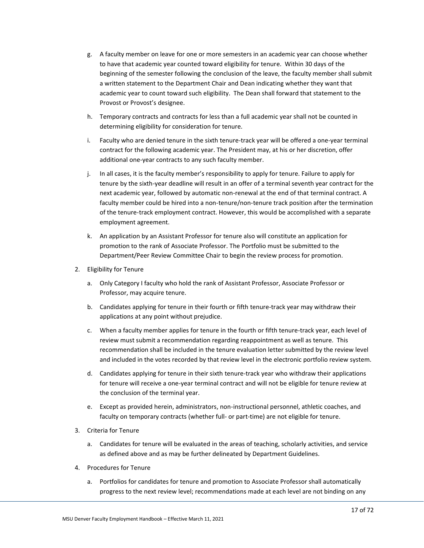- g. A faculty member on leave for one or more semesters in an academic year can choose whether to have that academic year counted toward eligibility for tenure. Within 30 days of the beginning of the semester following the conclusion of the leave, the faculty member shall submit a written statement to the Department Chair and Dean indicating whether they want that academic year to count toward such eligibility. The Dean shall forward that statement to the Provost or Provost's designee.
- h. Temporary contracts and contracts for less than a full academic year shall not be counted in determining eligibility for consideration for tenure.
- i. Faculty who are denied tenure in the sixth tenure-track year will be offered a one-year terminal contract for the following academic year. The President may, at his or her discretion, offer additional one-year contracts to any such faculty member.
- j. In all cases, it is the faculty member's responsibility to apply for tenure. Failure to apply for tenure by the sixth-year deadline will result in an offer of a terminal seventh year contract for the next academic year, followed by automatic non-renewal at the end of that terminal contract. A faculty member could be hired into a non-tenure/non-tenure track position after the termination of the tenure-track employment contract. However, this would be accomplished with a separate employment agreement.
- k. An application by an Assistant Professor for tenure also will constitute an application for promotion to the rank of Associate Professor. The Portfolio must be submitted to the Department/Peer Review Committee Chair to begin the review process for promotion.
- 2. Eligibility for Tenure
	- a. Only Category I faculty who hold the rank of Assistant Professor, Associate Professor or Professor, may acquire tenure.
	- b. Candidates applying for tenure in their fourth or fifth tenure-track year may withdraw their applications at any point without prejudice.
	- c. When a faculty member applies for tenure in the fourth or fifth tenure-track year, each level of review must submit a recommendation regarding reappointment as well as tenure. This recommendation shall be included in the tenure evaluation letter submitted by the review level and included in the votes recorded by that review level in the electronic portfolio review system.
	- d. Candidates applying for tenure in their sixth tenure-track year who withdraw their applications for tenure will receive a one-year terminal contract and will not be eligible for tenure review at the conclusion of the terminal year.
	- e. Except as provided herein, administrators, non-instructional personnel, athletic coaches, and faculty on temporary contracts (whether full- or part-time) are not eligible for tenure.
- 3. Criteria for Tenure
	- a. Candidates for tenure will be evaluated in the areas of teaching, scholarly activities, and service as defined above and as may be further delineated by Department Guidelines.
- 4. Procedures for Tenure
	- a. Portfolios for candidates for tenure and promotion to Associate Professor shall automatically progress to the next review level; recommendations made at each level are not binding on any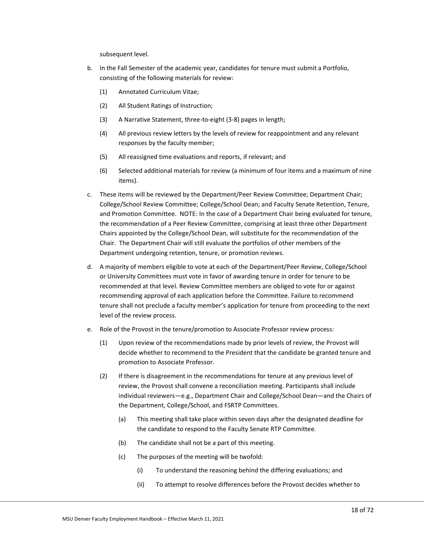subsequent level.

- b. In the Fall Semester of the academic year, candidates for tenure must submit a Portfolio, consisting of the following materials for review:
	- (1) Annotated Curriculum Vitae;
	- (2) All Student Ratings of Instruction;
	- (3) A Narrative Statement, three-to-eight (3-8) pages in length;
	- (4) All previous review letters by the levels of review for reappointment and any relevant responses by the faculty member;
	- (5) All reassigned time evaluations and reports, if relevant; and
	- (6) Selected additional materials for review (a minimum of four items and a maximum of nine items).
- c. These items will be reviewed by the Department/Peer Review Committee; Department Chair; College/School Review Committee; College/School Dean; and Faculty Senate Retention, Tenure, and Promotion Committee. NOTE: In the case of a Department Chair being evaluated for tenure, the recommendation of a Peer Review Committee, comprising at least three other Department Chairs appointed by the College/School Dean, will substitute for the recommendation of the Chair. The Department Chair will still evaluate the portfolios of other members of the Department undergoing retention, tenure, or promotion reviews.
- d. A majority of members eligible to vote at each of the Department/Peer Review, College/School or University Committees must vote in favor of awarding tenure in order for tenure to be recommended at that level. Review Committee members are obliged to vote for or against recommending approval of each application before the Committee. Failure to recommend tenure shall not preclude a faculty member's application for tenure from proceeding to the next level of the review process.
- e. Role of the Provost in the tenure/promotion to Associate Professor review process:
	- (1) Upon review of the recommendations made by prior levels of review, the Provost will decide whether to recommend to the President that the candidate be granted tenure and promotion to Associate Professor.
	- (2) If there is disagreement in the recommendations for tenure at any previous level of review, the Provost shall convene a reconciliation meeting. Participants shall include individual reviewers—e.g., Department Chair and College/School Dean—and the Chairs of the Department, College/School, and FSRTP Committees.
		- (a) This meeting shall take place within seven days after the designated deadline for the candidate to respond to the Faculty Senate RTP Committee.
		- (b) The candidate shall not be a part of this meeting.
		- (c) The purposes of the meeting will be twofold:
			- (i) To understand the reasoning behind the differing evaluations; and
			- (ii) To attempt to resolve differences before the Provost decides whether to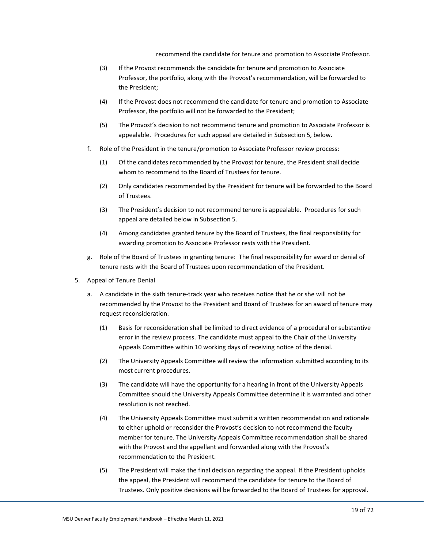recommend the candidate for tenure and promotion to Associate Professor.

- (3) If the Provost recommends the candidate for tenure and promotion to Associate Professor, the portfolio, along with the Provost's recommendation, will be forwarded to the President;
- (4) If the Provost does not recommend the candidate for tenure and promotion to Associate Professor, the portfolio will not be forwarded to the President;
- (5) The Provost's decision to not recommend tenure and promotion to Associate Professor is appealable. Procedures for such appeal are detailed in Subsection 5, below.
- f. Role of the President in the tenure/promotion to Associate Professor review process:
	- (1) Of the candidates recommended by the Provost for tenure, the President shall decide whom to recommend to the Board of Trustees for tenure.
	- (2) Only candidates recommended by the President for tenure will be forwarded to the Board of Trustees.
	- (3) The President's decision to not recommend tenure is appealable. Procedures for such appeal are detailed below in Subsection 5.
	- (4) Among candidates granted tenure by the Board of Trustees, the final responsibility for awarding promotion to Associate Professor rests with the President.
- g. Role of the Board of Trustees in granting tenure: The final responsibility for award or denial of tenure rests with the Board of Trustees upon recommendation of the President.
- 5. Appeal of Tenure Denial
	- a. A candidate in the sixth tenure-track year who receives notice that he or she will not be recommended by the Provost to the President and Board of Trustees for an award of tenure may request reconsideration.
		- (1) Basis for reconsideration shall be limited to direct evidence of a procedural or substantive error in the review process. The candidate must appeal to the Chair of the University Appeals Committee within 10 working days of receiving notice of the denial.
		- (2) The University Appeals Committee will review the information submitted according to its most current procedures.
		- (3) The candidate will have the opportunity for a hearing in front of the University Appeals Committee should the University Appeals Committee determine it is warranted and other resolution is not reached.
		- (4) The University Appeals Committee must submit a written recommendation and rationale to either uphold or reconsider the Provost's decision to not recommend the faculty member for tenure. The University Appeals Committee recommendation shall be shared with the Provost and the appellant and forwarded along with the Provost's recommendation to the President.
		- (5) The President will make the final decision regarding the appeal. If the President upholds the appeal, the President will recommend the candidate for tenure to the Board of Trustees. Only positive decisions will be forwarded to the Board of Trustees for approval.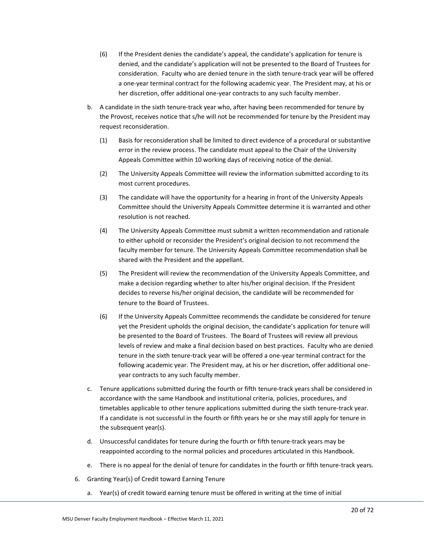- (6) If the President denies the candidate's appeal, the candidate's application for tenure is denied, and the candidate's application will not be presented to the Board of Trustees for consideration. Faculty who are denied tenure in the sixth tenure-track year will be offered a one-year terminal contract for the following academic year. The President may, at his or her discretion, offer additional one-year contracts to any such faculty member.
- b. A candidate in the sixth tenure-track year who, after having been recommended for tenure by the Provost, receives notice that s/he will not be recommended for tenure by the President may request reconsideration.
	- (1) Basis for reconsideration shall be limited to direct evidence of a procedural or substantive error in the review process. The candidate must appeal to the Chair of the University Appeals Committee within 10 working days of receiving notice of the denial.
	- (2) The University Appeals Committee will review the information submitted according to its most current procedures.
	- (3) The candidate will have the opportunity for a hearing in front of the University Appeals Committee should the University Appeals Committee determine it is warranted and other resolution is not reached.
	- (4) The University Appeals Committee must submit a written recommendation and rationale to either uphold or reconsider the President's original decision to not recommend the faculty member for tenure. The University Appeals Committee recommendation shall be shared with the President and the appellant.
	- (5) The President will review the recommendation of the University Appeals Committee, and make a decision regarding whether to alter his/her original decision. If the President decides to reverse his/her original decision, the candidate will be recommended for tenure to the Board of Trustees.
	- (6) If the University Appeals Committee recommends the candidate be considered for tenure yet the President upholds the original decision, the candidate's application for tenure will be presented to the Board of Trustees. The Board of Trustees will review all previous levels of review and make a final decision based on best practices. Faculty who are denied tenure in the sixth tenure-track year will be offered a one-year terminal contract for the following academic year. The President may, at his or her discretion, offer additional oneyear contracts to any such faculty member.
- c. Tenure applications submitted during the fourth or fifth tenure-track years shall be considered in accordance with the same Handbook and institutional criteria, policies, procedures, and timetables applicable to other tenure applications submitted during the sixth tenure-track year. If a candidate is not successful in the fourth or fifth years he or she may still apply for tenure in the subsequent year(s).
- d. Unsuccessful candidates for tenure during the fourth or fifth tenure-track years may be reappointed according to the normal policies and procedures articulated in this Handbook.
- e. There is no appeal for the denial of tenure for candidates in the fourth or fifth tenure-track years.
- 6. Granting Year(s) of Credit toward Earning Tenure
	- a. Year(s) of credit toward earning tenure must be offered in writing at the time of initial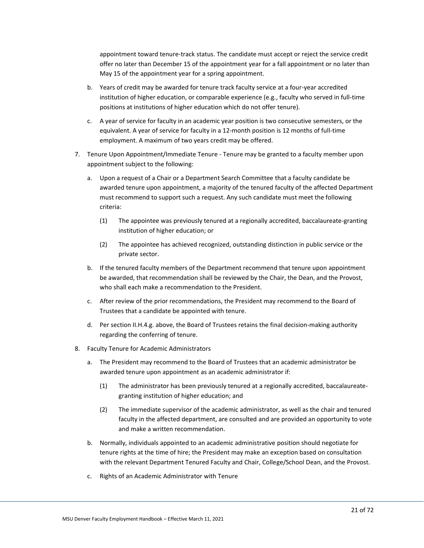appointment toward tenure-track status. The candidate must accept or reject the service credit offer no later than December 15 of the appointment year for a fall appointment or no later than May 15 of the appointment year for a spring appointment.

- b. Years of credit may be awarded for tenure track faculty service at a four-year accredited institution of higher education, or comparable experience (e.g., faculty who served in full-time positions at institutions of higher education which do not offer tenure).
- c. A year of service for faculty in an academic year position is two consecutive semesters, or the equivalent. A year of service for faculty in a 12-month position is 12 months of full-time employment. A maximum of two years credit may be offered.
- 7. Tenure Upon Appointment/Immediate Tenure Tenure may be granted to a faculty member upon appointment subject to the following:
	- a. Upon a request of a Chair or a Department Search Committee that a faculty candidate be awarded tenure upon appointment, a majority of the tenured faculty of the affected Department must recommend to support such a request. Any such candidate must meet the following criteria:
		- (1) The appointee was previously tenured at a regionally accredited, baccalaureate-granting institution of higher education; or
		- (2) The appointee has achieved recognized, outstanding distinction in public service or the private sector.
	- b. If the tenured faculty members of the Department recommend that tenure upon appointment be awarded, that recommendation shall be reviewed by the Chair, the Dean, and the Provost, who shall each make a recommendation to the President.
	- c. After review of the prior recommendations, the President may recommend to the Board of Trustees that a candidate be appointed with tenure.
	- d. Per section II.H.4.g. above, the Board of Trustees retains the final decision-making authority regarding the conferring of tenure.
- 8. Faculty Tenure for Academic Administrators
	- a. The President may recommend to the Board of Trustees that an academic administrator be awarded tenure upon appointment as an academic administrator if:
		- (1) The administrator has been previously tenured at a regionally accredited, baccalaureategranting institution of higher education; and
		- (2) The immediate supervisor of the academic administrator, as well as the chair and tenured faculty in the affected department, are consulted and are provided an opportunity to vote and make a written recommendation.
	- b. Normally, individuals appointed to an academic administrative position should negotiate for tenure rights at the time of hire; the President may make an exception based on consultation with the relevant Department Tenured Faculty and Chair, College/School Dean, and the Provost.
	- c. Rights of an Academic Administrator with Tenure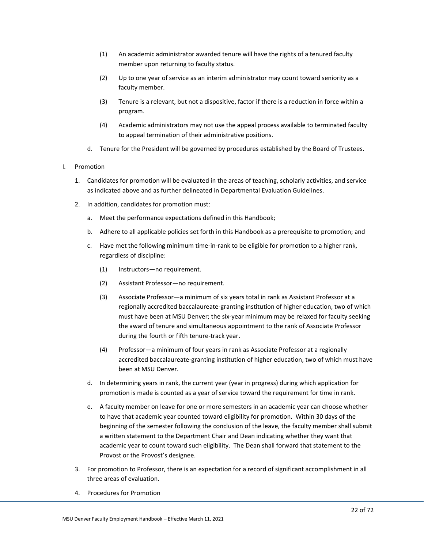- (1) An academic administrator awarded tenure will have the rights of a tenured faculty member upon returning to faculty status.
- (2) Up to one year of service as an interim administrator may count toward seniority as a faculty member.
- (3) Tenure is a relevant, but not a dispositive, factor if there is a reduction in force within a program.
- (4) Academic administrators may not use the appeal process available to terminated faculty to appeal termination of their administrative positions.
- d. Tenure for the President will be governed by procedures established by the Board of Trustees.

### <span id="page-24-0"></span>I. Promotion

- 1. Candidates for promotion will be evaluated in the areas of teaching, scholarly activities, and service as indicated above and as further delineated in Departmental Evaluation Guidelines.
- 2. In addition, candidates for promotion must:
	- a. Meet the performance expectations defined in this Handbook;
	- b. Adhere to all applicable policies set forth in this Handbook as a prerequisite to promotion; and
	- c. Have met the following minimum time-in-rank to be eligible for promotion to a higher rank, regardless of discipline:
		- (1) Instructors—no requirement.
		- (2) Assistant Professor—no requirement.
		- (3) Associate Professor—a minimum of six years total in rank as Assistant Professor at a regionally accredited baccalaureate-granting institution of higher education, two of which must have been at MSU Denver; the six-year minimum may be relaxed for faculty seeking the award of tenure and simultaneous appointment to the rank of Associate Professor during the fourth or fifth tenure-track year.
		- (4) Professor—a minimum of four years in rank as Associate Professor at a regionally accredited baccalaureate-granting institution of higher education, two of which must have been at MSU Denver.
	- d. In determining years in rank, the current year (year in progress) during which application for promotion is made is counted as a year of service toward the requirement for time in rank.
	- e. A faculty member on leave for one or more semesters in an academic year can choose whether to have that academic year counted toward eligibility for promotion. Within 30 days of the beginning of the semester following the conclusion of the leave, the faculty member shall submit a written statement to the Department Chair and Dean indicating whether they want that academic year to count toward such eligibility. The Dean shall forward that statement to the Provost or the Provost's designee.
- 3. For promotion to Professor, there is an expectation for a record of significant accomplishment in all three areas of evaluation.
- 4. Procedures for Promotion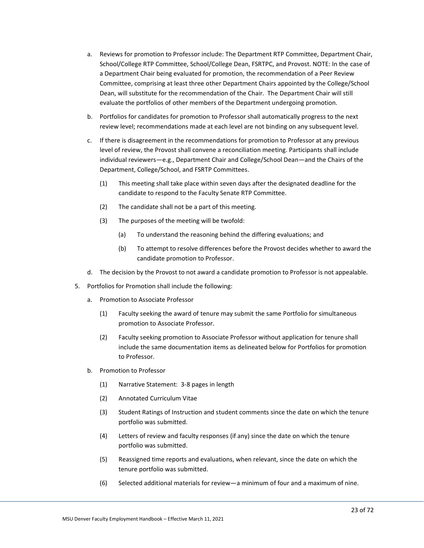- a. Reviews for promotion to Professor include: The Department RTP Committee, Department Chair, School/College RTP Committee, School/College Dean, FSRTPC, and Provost. NOTE: In the case of a Department Chair being evaluated for promotion, the recommendation of a Peer Review Committee, comprising at least three other Department Chairs appointed by the College/School Dean, will substitute for the recommendation of the Chair. The Department Chair will still evaluate the portfolios of other members of the Department undergoing promotion.
- b. Portfolios for candidates for promotion to Professor shall automatically progress to the next review level; recommendations made at each level are not binding on any subsequent level.
- c. If there is disagreement in the recommendations for promotion to Professor at any previous level of review, the Provost shall convene a reconciliation meeting. Participants shall include individual reviewers—e.g., Department Chair and College/School Dean—and the Chairs of the Department, College/School, and FSRTP Committees.
	- (1) This meeting shall take place within seven days after the designated deadline for the candidate to respond to the Faculty Senate RTP Committee.
	- (2) The candidate shall not be a part of this meeting.
	- (3) The purposes of the meeting will be twofold:
		- (a) To understand the reasoning behind the differing evaluations; and
		- (b) To attempt to resolve differences before the Provost decides whether to award the candidate promotion to Professor.
- d. The decision by the Provost to not award a candidate promotion to Professor is not appealable.
- 5. Portfolios for Promotion shall include the following:
	- a. Promotion to Associate Professor
		- (1) Faculty seeking the award of tenure may submit the same Portfolio for simultaneous promotion to Associate Professor.
		- (2) Faculty seeking promotion to Associate Professor without application for tenure shall include the same documentation items as delineated below for Portfolios for promotion to Professor.
	- b. Promotion to Professor
		- (1) Narrative Statement: 3-8 pages in length
		- (2) Annotated Curriculum Vitae
		- (3) Student Ratings of Instruction and student comments since the date on which the tenure portfolio was submitted.
		- (4) Letters of review and faculty responses (if any) since the date on which the tenure portfolio was submitted.
		- (5) Reassigned time reports and evaluations, when relevant, since the date on which the tenure portfolio was submitted.
		- (6) Selected additional materials for review—a minimum of four and a maximum of nine.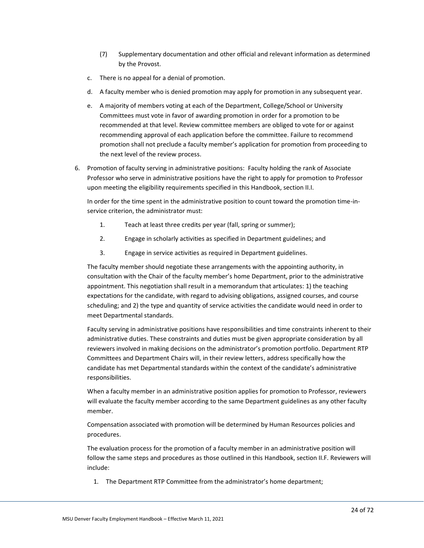- (7) Supplementary documentation and other official and relevant information as determined by the Provost.
- c. There is no appeal for a denial of promotion.
- d. A faculty member who is denied promotion may apply for promotion in any subsequent year.
- e. A majority of members voting at each of the Department, College/School or University Committees must vote in favor of awarding promotion in order for a promotion to be recommended at that level. Review committee members are obliged to vote for or against recommending approval of each application before the committee. Failure to recommend promotion shall not preclude a faculty member's application for promotion from proceeding to the next level of the review process.
- 6. Promotion of faculty serving in administrative positions: Faculty holding the rank of Associate Professor who serve in administrative positions have the right to apply for promotion to Professor upon meeting the eligibility requirements specified in this Handbook, section II.I.

In order for the time spent in the administrative position to count toward the promotion time-inservice criterion, the administrator must:

- 1. Teach at least three credits per year (fall, spring or summer);
- 2. Engage in scholarly activities as specified in Department guidelines; and
- 3. Engage in service activities as required in Department guidelines.

The faculty member should negotiate these arrangements with the appointing authority, in consultation with the Chair of the faculty member's home Department, prior to the administrative appointment. This negotiation shall result in a memorandum that articulates: 1) the teaching expectations for the candidate, with regard to advising obligations, assigned courses, and course scheduling; and 2) the type and quantity of service activities the candidate would need in order to meet Departmental standards.

Faculty serving in administrative positions have responsibilities and time constraints inherent to their administrative duties. These constraints and duties must be given appropriate consideration by all reviewers involved in making decisions on the administrator's promotion portfolio. Department RTP Committees and Department Chairs will, in their review letters, address specifically how the candidate has met Departmental standards within the context of the candidate's administrative responsibilities.

When a faculty member in an administrative position applies for promotion to Professor, reviewers will evaluate the faculty member according to the same Department guidelines as any other faculty member.

Compensation associated with promotion will be determined by Human Resources policies and procedures.

The evaluation process for the promotion of a faculty member in an administrative position will follow the same steps and procedures as those outlined in this Handbook, section II.F. Reviewers will include:

1. The Department RTP Committee from the administrator's home department;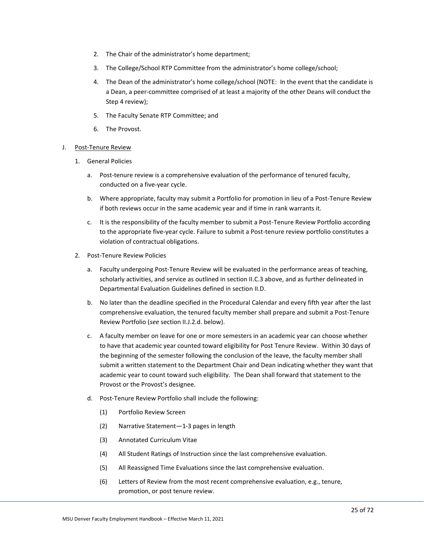- 2. The Chair of the administrator's home department;
- 3. The College/School RTP Committee from the administrator's home college/school;
- 4. The Dean of the administrator's home college/school (NOTE: In the event that the candidate is a Dean, a peer-committee comprised of at least a majority of the other Deans will conduct the Step 4 review);
- 5. The Faculty Senate RTP Committee; and
- 6. The Provost.

### <span id="page-27-0"></span>J. Post-Tenure Review

- 1. General Policies
	- a. Post-tenure review is a comprehensive evaluation of the performance of tenured faculty, conducted on a five-year cycle.
	- b. Where appropriate, faculty may submit a Portfolio for promotion in lieu of a Post-Tenure Review if both reviews occur in the same academic year and if time in rank warrants it.
	- c. It is the responsibility of the faculty member to submit a Post-Tenure Review Portfolio according to the appropriate five-year cycle. Failure to submit a Post-tenure review portfolio constitutes a violation of contractual obligations.
- 2. Post-Tenure Review Policies
	- a. Faculty undergoing Post-Tenure Review will be evaluated in the performance areas of teaching, scholarly activities, and service as outlined in section II.C.3 above, and as further delineated in Departmental Evaluation Guidelines defined in section II.D.
	- b. No later than the deadline specified in the Procedural Calendar and every fifth year after the last comprehensive evaluation, the tenured faculty member shall prepare and submit a Post-Tenure Review Portfolio (*see* section II.J.2.d. below).
	- c. A faculty member on leave for one or more semesters in an academic year can choose whether to have that academic year counted toward eligibility for Post Tenure Review. Within 30 days of the beginning of the semester following the conclusion of the leave, the faculty member shall submit a written statement to the Department Chair and Dean indicating whether they want that academic year to count toward such eligibility. The Dean shall forward that statement to the Provost or the Provost's designee.
	- d. Post-Tenure Review Portfolio shall include the following:
		- (1) Portfolio Review Screen
		- (2) Narrative Statement—1-3 pages in length
		- (3) Annotated Curriculum Vitae
		- (4) All Student Ratings of Instruction since the last comprehensive evaluation.
		- (5) All Reassigned Time Evaluations since the last comprehensive evaluation.
		- (6) Letters of Review from the most recent comprehensive evaluation, e.g., tenure, promotion, or post tenure review.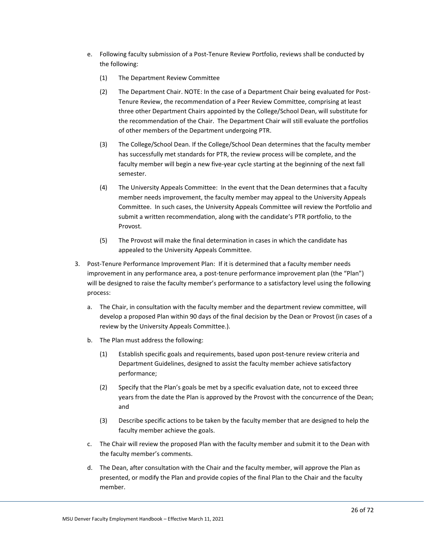- e. Following faculty submission of a Post-Tenure Review Portfolio, reviews shall be conducted by the following:
	- (1) The Department Review Committee
	- (2) The Department Chair. NOTE: In the case of a Department Chair being evaluated for Post-Tenure Review, the recommendation of a Peer Review Committee, comprising at least three other Department Chairs appointed by the College/School Dean, will substitute for the recommendation of the Chair. The Department Chair will still evaluate the portfolios of other members of the Department undergoing PTR.
	- (3) The College/School Dean. If the College/School Dean determines that the faculty member has successfully met standards for PTR, the review process will be complete, and the faculty member will begin a new five-year cycle starting at the beginning of the next fall semester.
	- (4) The University Appeals Committee: In the event that the Dean determines that a faculty member needs improvement, the faculty member may appeal to the University Appeals Committee. In such cases, the University Appeals Committee will review the Portfolio and submit a written recommendation, along with the candidate's PTR portfolio, to the Provost.
	- (5) The Provost will make the final determination in cases in which the candidate has appealed to the University Appeals Committee.
- 3. Post-Tenure Performance Improvement Plan: If it is determined that a faculty member needs improvement in any performance area, a post-tenure performance improvement plan (the "Plan") will be designed to raise the faculty member's performance to a satisfactory level using the following process:
	- a. The Chair, in consultation with the faculty member and the department review committee, will develop a proposed Plan within 90 days of the final decision by the Dean or Provost (in cases of a review by the University Appeals Committee.).
	- b. The Plan must address the following:
		- (1) Establish specific goals and requirements, based upon post-tenure review criteria and Department Guidelines, designed to assist the faculty member achieve satisfactory performance;
		- (2) Specify that the Plan's goals be met by a specific evaluation date, not to exceed three years from the date the Plan is approved by the Provost with the concurrence of the Dean; and
		- (3) Describe specific actions to be taken by the faculty member that are designed to help the faculty member achieve the goals.
	- c. The Chair will review the proposed Plan with the faculty member and submit it to the Dean with the faculty member's comments.
	- d. The Dean, after consultation with the Chair and the faculty member, will approve the Plan as presented, or modify the Plan and provide copies of the final Plan to the Chair and the faculty member.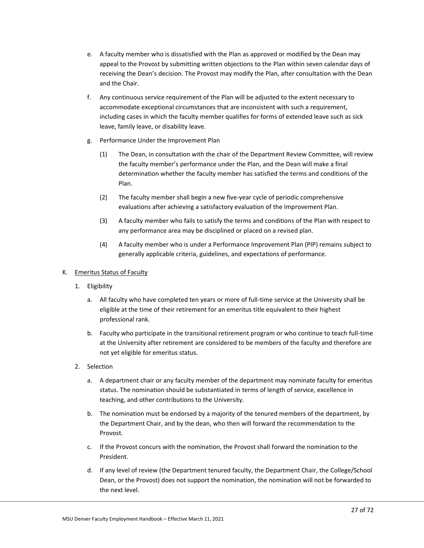- e. A faculty member who is dissatisfied with the Plan as approved or modified by the Dean may appeal to the Provost by submitting written objections to the Plan within seven calendar days of receiving the Dean's decision. The Provost may modify the Plan, after consultation with the Dean and the Chair.
- f. Any continuous service requirement of the Plan will be adjusted to the extent necessary to accommodate exceptional circumstances that are inconsistent with such a requirement, including cases in which the faculty member qualifies for forms of extended leave such as sick leave, family leave, or disability leave.
- g. Performance Under the Improvement Plan
	- (1) The Dean, in consultation with the chair of the Department Review Committee, will review the faculty member's performance under the Plan, and the Dean will make a final determination whether the faculty member has satisfied the terms and conditions of the Plan.
	- (2) The faculty member shall begin a new five-year cycle of periodic comprehensive evaluations after achieving a satisfactory evaluation of the Improvement Plan.
	- (3) A faculty member who fails to satisfy the terms and conditions of the Plan with respect to any performance area may be disciplined or placed on a revised plan.
	- (4) A faculty member who is under a Performance Improvement Plan (PIP) remains subject to generally applicable criteria, guidelines, and expectations of performance.

## <span id="page-29-0"></span>K. Emeritus Status of Faculty

- 1. Eligibility
	- a. All faculty who have completed ten years or more of full-time service at the University shall be eligible at the time of their retirement for an emeritus title equivalent to their highest professional rank.
	- b. Faculty who participate in the transitional retirement program or who continue to teach full-time at the University after retirement are considered to be members of the faculty and therefore are not yet eligible for emeritus status.
- 2. Selection
	- a. A department chair or any faculty member of the department may nominate faculty for emeritus status. The nomination should be substantiated in terms of length of service, excellence in teaching, and other contributions to the University.
	- b. The nomination must be endorsed by a majority of the tenured members of the department, by the Department Chair, and by the dean, who then will forward the recommendation to the Provost.
	- c. If the Provost concurs with the nomination, the Provost shall forward the nomination to the President.
	- d. If any level of review (the Department tenured faculty, the Department Chair, the College/School Dean, or the Provost) does not support the nomination, the nomination will not be forwarded to the next level.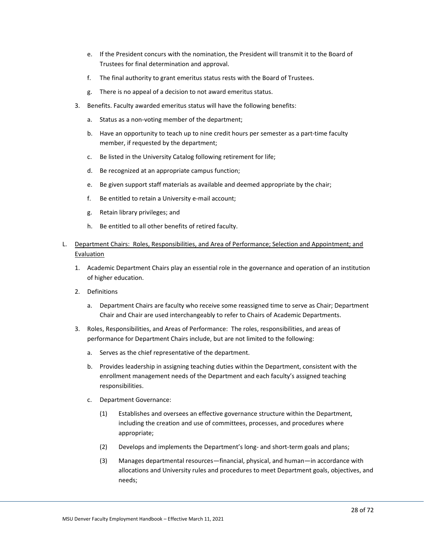- e. If the President concurs with the nomination, the President will transmit it to the Board of Trustees for final determination and approval.
- f. The final authority to grant emeritus status rests with the Board of Trustees.
- g. There is no appeal of a decision to not award emeritus status.
- 3. Benefits. Faculty awarded emeritus status will have the following benefits:
	- a. Status as a non-voting member of the department;
	- b. Have an opportunity to teach up to nine credit hours per semester as a part-time faculty member, if requested by the department;
	- c. Be listed in the University Catalog following retirement for life;
	- d. Be recognized at an appropriate campus function;
	- e. Be given support staff materials as available and deemed appropriate by the chair;
	- f. Be entitled to retain a University e-mail account;
	- g. Retain library privileges; and
	- h. Be entitled to all other benefits of retired faculty.
- <span id="page-30-0"></span>L. Department Chairs: Roles, Responsibilities, and Area of Performance; Selection and Appointment; and Evaluation
	- 1. Academic Department Chairs play an essential role in the governance and operation of an institution of higher education.
	- 2. Definitions
		- a. Department Chairs are faculty who receive some reassigned time to serve as Chair; Department Chair and Chair are used interchangeably to refer to Chairs of Academic Departments.
	- 3. Roles, Responsibilities, and Areas of Performance: The roles, responsibilities, and areas of performance for Department Chairs include, but are not limited to the following:
		- a. Serves as the chief representative of the department.
		- b. Provides leadership in assigning teaching duties within the Department, consistent with the enrollment management needs of the Department and each faculty's assigned teaching responsibilities.
		- c. Department Governance:
			- (1) Establishes and oversees an effective governance structure within the Department, including the creation and use of committees, processes, and procedures where appropriate;
			- (2) Develops and implements the Department's long- and short-term goals and plans;
			- (3) Manages departmental resources—financial, physical, and human—in accordance with allocations and University rules and procedures to meet Department goals, objectives, and needs;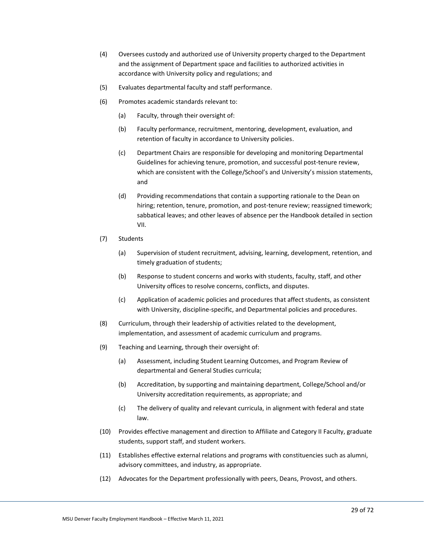- (4) Oversees custody and authorized use of University property charged to the Department and the assignment of Department space and facilities to authorized activities in accordance with University policy and regulations; and
- (5) Evaluates departmental faculty and staff performance.
- (6) Promotes academic standards relevant to:
	- (a) Faculty, through their oversight of:
	- (b) Faculty performance, recruitment, mentoring, development, evaluation, and retention of faculty in accordance to University policies.
	- (c) Department Chairs are responsible for developing and monitoring Departmental Guidelines for achieving tenure, promotion, and successful post-tenure review, which are consistent with the College/School's and University's mission statements, and
	- (d) Providing recommendations that contain a supporting rationale to the Dean on hiring; retention, tenure, promotion, and post-tenure review; reassigned timework; sabbatical leaves; and other leaves of absence per the Handbook detailed in section VII.
- (7) Students
	- (a) Supervision of student recruitment, advising, learning, development, retention, and timely graduation of students;
	- (b) Response to student concerns and works with students, faculty, staff, and other University offices to resolve concerns, conflicts, and disputes.
	- (c) Application of academic policies and procedures that affect students, as consistent with University, discipline-specific, and Departmental policies and procedures.
- (8) Curriculum, through their leadership of activities related to the development, implementation, and assessment of academic curriculum and programs.
- (9) Teaching and Learning, through their oversight of:
	- (a) Assessment, including Student Learning Outcomes, and Program Review of departmental and General Studies curricula;
	- (b) Accreditation, by supporting and maintaining department, College/School and/or University accreditation requirements, as appropriate; and
	- (c) The delivery of quality and relevant curricula, in alignment with federal and state law.
- (10) Provides effective management and direction to Affiliate and Category II Faculty, graduate students, support staff, and student workers.
- (11) Establishes effective external relations and programs with constituencies such as alumni, advisory committees, and industry, as appropriate.
- (12) Advocates for the Department professionally with peers, Deans, Provost, and others.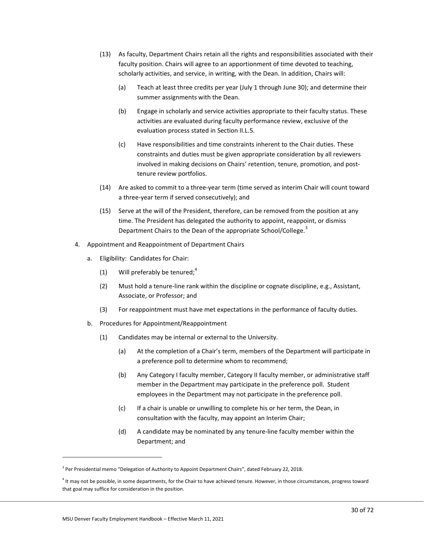- (13) As faculty, Department Chairs retain all the rights and responsibilities associated with their faculty position. Chairs will agree to an apportionment of time devoted to teaching, scholarly activities, and service, in writing, with the Dean. In addition, Chairs will:
	- (a) Teach at least three credits per year (July 1 through June 30); and determine their summer assignments with the Dean.
	- (b) Engage in scholarly and service activities appropriate to their faculty status. These activities are evaluated during faculty performance review, exclusive of the evaluation process stated in Section II.L.5.
	- (c) Have responsibilities and time constraints inherent to the Chair duties. These constraints and duties must be given appropriate consideration by all reviewers involved in making decisions on Chairs' retention, tenure, promotion, and posttenure review portfolios.
- (14) Are asked to commit to a three-year term (time served as interim Chair will count toward a three-year term if served consecutively); and
- (15) Serve at the will of the President, therefore, can be removed from the position at any time. The President has delegated the authority to appoint, reappoint, or dismiss Department Chairs to the Dean of the appropriate School/College.<sup>3</sup>
- 4. Appointment and Reappointment of Department Chairs
	- a. Eligibility: Candidates for Chair:
		- (1) Will preferably be tenured;<sup>4</sup>
		- (2) Must hold a tenure-line rank within the discipline or cognate discipline, e.g., Assistant, Associate, or Professor; and
		- (3) For reappointment must have met expectations in the performance of faculty duties.
	- b. Procedures for Appointment/Reappointment
		- (1) Candidates may be internal or external to the University.
			- (a) At the completion of a Chair's term, members of the Department will participate in a preference poll to determine whom to recommend;
			- (b) Any Category I faculty member, Category II faculty member, or administrative staff member in the Department may participate in the preference poll. Student employees in the Department may not participate in the preference poll.
			- (c) If a chair is unable or unwilling to complete his or her term, the Dean, in consultation with the faculty, may appoint an Interim Chair;
			- (d) A candidate may be nominated by any tenure-line faculty member within the Department; and

<sup>&</sup>lt;sup>3</sup> Per Presidential memo "Delegation of Authority to Appoint Department Chairs", dated February 22, 2018.

<sup>&</sup>lt;sup>4</sup> It may not be possible, in some departments, for the Chair to have achieved tenure. However, in those circumstances, progress toward that goal may suffice for consideration in the position.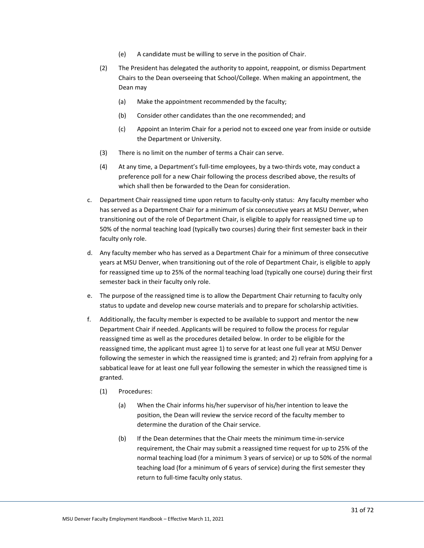- (e) A candidate must be willing to serve in the position of Chair.
- (2) The President has delegated the authority to appoint, reappoint, or dismiss Department Chairs to the Dean overseeing that School/College. When making an appointment, the Dean may
	- (a) Make the appointment recommended by the faculty;
	- (b) Consider other candidates than the one recommended; and
	- (c) Appoint an Interim Chair for a period not to exceed one year from inside or outside the Department or University.
- (3) There is no limit on the number of terms a Chair can serve.
- (4) At any time, a Department's full-time employees, by a two-thirds vote, may conduct a preference poll for a new Chair following the process described above, the results of which shall then be forwarded to the Dean for consideration.
- c. Department Chair reassigned time upon return to faculty-only status: Any faculty member who has served as a Department Chair for a minimum of six consecutive years at MSU Denver, when transitioning out of the role of Department Chair, is eligible to apply for reassigned time up to 50% of the normal teaching load (typically two courses) during their first semester back in their faculty only role.
- d. Any faculty member who has served as a Department Chair for a minimum of three consecutive years at MSU Denver, when transitioning out of the role of Department Chair, is eligible to apply for reassigned time up to 25% of the normal teaching load (typically one course) during their first semester back in their faculty only role.
- e. The purpose of the reassigned time is to allow the Department Chair returning to faculty only status to update and develop new course materials and to prepare for scholarship activities.
- f. Additionally, the faculty member is expected to be available to support and mentor the new Department Chair if needed. Applicants will be required to follow the process for regular reassigned time as well as the procedures detailed below. In order to be eligible for the reassigned time, the applicant must agree 1) to serve for at least one full year at MSU Denver following the semester in which the reassigned time is granted; and 2) refrain from applying for a sabbatical leave for at least one full year following the semester in which the reassigned time is granted.
	- (1) Procedures:
		- (a) When the Chair informs his/her supervisor of his/her intention to leave the position, the Dean will review the service record of the faculty member to determine the duration of the Chair service.
		- (b) If the Dean determines that the Chair meets the minimum time-in-service requirement, the Chair may submit a reassigned time request for up to 25% of the normal teaching load (for a minimum 3 years of service) or up to 50% of the normal teaching load (for a minimum of 6 years of service) during the first semester they return to full-time faculty only status.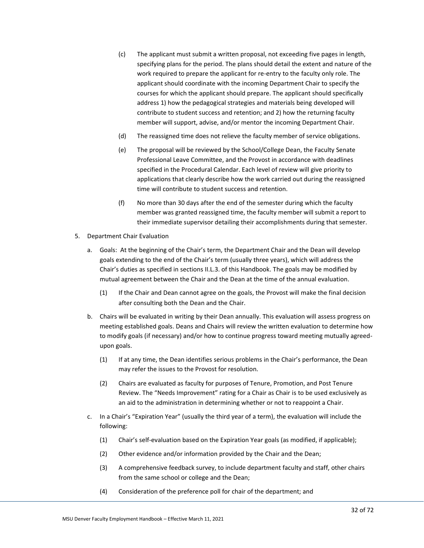- (c) The applicant must submit a written proposal, not exceeding five pages in length, specifying plans for the period. The plans should detail the extent and nature of the work required to prepare the applicant for re-entry to the faculty only role. The applicant should coordinate with the incoming Department Chair to specify the courses for which the applicant should prepare. The applicant should specifically address 1) how the pedagogical strategies and materials being developed will contribute to student success and retention; and 2) how the returning faculty member will support, advise, and/or mentor the incoming Department Chair.
- (d) The reassigned time does not relieve the faculty member of service obligations.
- (e) The proposal will be reviewed by the School/College Dean, the Faculty Senate Professional Leave Committee, and the Provost in accordance with deadlines specified in the Procedural Calendar. Each level of review will give priority to applications that clearly describe how the work carried out during the reassigned time will contribute to student success and retention.
- (f) No more than 30 days after the end of the semester during which the faculty member was granted reassigned time, the faculty member will submit a report to their immediate supervisor detailing their accomplishments during that semester.
- 5. Department Chair Evaluation
	- a. Goals: At the beginning of the Chair's term, the Department Chair and the Dean will develop goals extending to the end of the Chair's term (usually three years), which will address the Chair's duties as specified in sections II.L.3. of this Handbook. The goals may be modified by mutual agreement between the Chair and the Dean at the time of the annual evaluation.
		- (1) If the Chair and Dean cannot agree on the goals, the Provost will make the final decision after consulting both the Dean and the Chair.
	- b. Chairs will be evaluated in writing by their Dean annually. This evaluation will assess progress on meeting established goals. Deans and Chairs will review the written evaluation to determine how to modify goals (if necessary) and/or how to continue progress toward meeting mutually agreedupon goals.
		- (1) If at any time, the Dean identifies serious problems in the Chair's performance, the Dean may refer the issues to the Provost for resolution.
		- (2) Chairs are evaluated as faculty for purposes of Tenure, Promotion, and Post Tenure Review. The "Needs Improvement" rating for a Chair as Chair is to be used exclusively as an aid to the administration in determining whether or not to reappoint a Chair.
	- c. In a Chair's "Expiration Year" (usually the third year of a term), the evaluation will include the following:
		- (1) Chair's self-evaluation based on the Expiration Year goals (as modified, if applicable);
		- (2) Other evidence and/or information provided by the Chair and the Dean;
		- (3) A comprehensive feedback survey, to include department faculty and staff, other chairs from the same school or college and the Dean;
		- (4) Consideration of the preference poll for chair of the department; and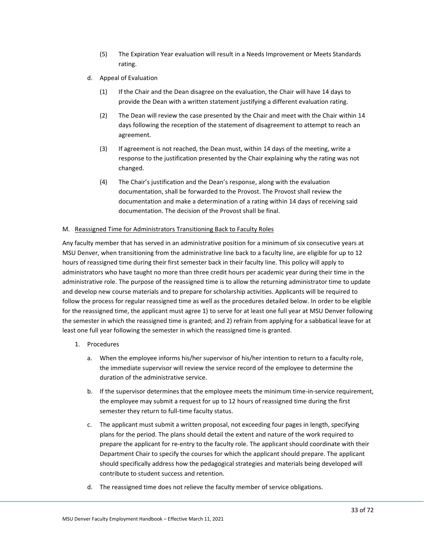- (5) The Expiration Year evaluation will result in a Needs Improvement or Meets Standards rating.
- d. Appeal of Evaluation
	- (1) If the Chair and the Dean disagree on the evaluation, the Chair will have 14 days to provide the Dean with a written statement justifying a different evaluation rating.
	- (2) The Dean will review the case presented by the Chair and meet with the Chair within 14 days following the reception of the statement of disagreement to attempt to reach an agreement.
	- (3) If agreement is not reached, the Dean must, within 14 days of the meeting, write a response to the justification presented by the Chair explaining why the rating was not changed.
	- (4) The Chair's justification and the Dean's response, along with the evaluation documentation, shall be forwarded to the Provost. The Provost shall review the documentation and make a determination of a rating within 14 days of receiving said documentation. The decision of the Provost shall be final.

### <span id="page-35-0"></span>M. Reassigned Time for Administrators Transitioning Back to Faculty Roles

Any faculty member that has served in an administrative position for a minimum of six consecutive years at MSU Denver, when transitioning from the administrative line back to a faculty line, are eligible for up to 12 hours of reassigned time during their first semester back in their faculty line. This policy will apply to administrators who have taught no more than three credit hours per academic year during their time in the administrative role. The purpose of the reassigned time is to allow the returning administrator time to update and develop new course materials and to prepare for scholarship activities. Applicants will be required to follow the process for regular reassigned time as well as the procedures detailed below. In order to be eligible for the reassigned time, the applicant must agree 1) to serve for at least one full year at MSU Denver following the semester in which the reassigned time is granted; and 2) refrain from applying for a sabbatical leave for at least one full year following the semester in which the reassigned time is granted.

- 1. Procedures
	- a. When the employee informs his/her supervisor of his/her intention to return to a faculty role, the immediate supervisor will review the service record of the employee to determine the duration of the administrative service.
	- b. If the supervisor determines that the employee meets the minimum time-in-service requirement, the employee may submit a request for up to 12 hours of reassigned time during the first semester they return to full-time faculty status.
	- c. The applicant must submit a written proposal, not exceeding four pages in length, specifying plans for the period. The plans should detail the extent and nature of the work required to prepare the applicant for re-entry to the faculty role. The applicant should coordinate with their Department Chair to specify the courses for which the applicant should prepare. The applicant should specifically address how the pedagogical strategies and materials being developed will contribute to student success and retention.
	- d. The reassigned time does not relieve the faculty member of service obligations.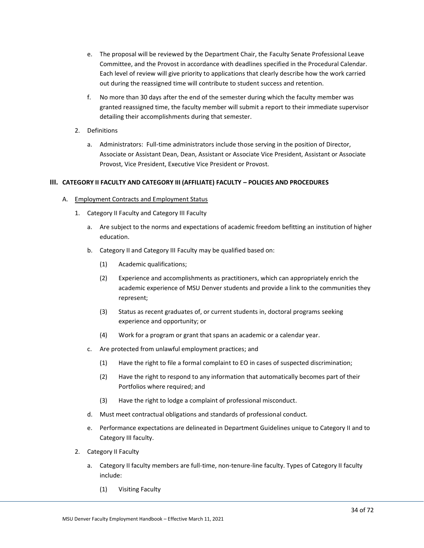- e. The proposal will be reviewed by the Department Chair, the Faculty Senate Professional Leave Committee, and the Provost in accordance with deadlines specified in the Procedural Calendar. Each level of review will give priority to applications that clearly describe how the work carried out during the reassigned time will contribute to student success and retention.
- f. No more than 30 days after the end of the semester during which the faculty member was granted reassigned time, the faculty member will submit a report to their immediate supervisor detailing their accomplishments during that semester.
- 2. Definitions
	- a. Administrators: Full-time administrators include those serving in the position of Director, Associate or Assistant Dean, Dean, Assistant or Associate Vice President, Assistant or Associate Provost, Vice President, Executive Vice President or Provost.

## **III. CATEGORY II FACULTY AND CATEGORY III (AFFILIATE) FACULTY – POLICIES AND PROCEDURES**

- A. Employment Contracts and Employment Status
	- 1. Category II Faculty and Category III Faculty
		- a. Are subject to the norms and expectations of academic freedom befitting an institution of higher education.
		- b. Category II and Category III Faculty may be qualified based on:
			- (1) Academic qualifications;
			- (2) Experience and accomplishments as practitioners, which can appropriately enrich the academic experience of MSU Denver students and provide a link to the communities they represent;
			- (3) Status as recent graduates of, or current students in, doctoral programs seeking experience and opportunity; or
			- (4) Work for a program or grant that spans an academic or a calendar year.
		- c. Are protected from unlawful employment practices; and
			- (1) Have the right to file a formal complaint to EO in cases of suspected discrimination;
			- (2) Have the right to respond to any information that automatically becomes part of their Portfolios where required; and
			- (3) Have the right to lodge a complaint of professional misconduct.
		- d. Must meet contractual obligations and standards of professional conduct.
		- e. Performance expectations are delineated in Department Guidelines unique to Category II and to Category III faculty.
	- 2. Category II Faculty
		- a. Category II faculty members are full-time, non-tenure-line faculty. Types of Category II faculty include:
			- (1) Visiting Faculty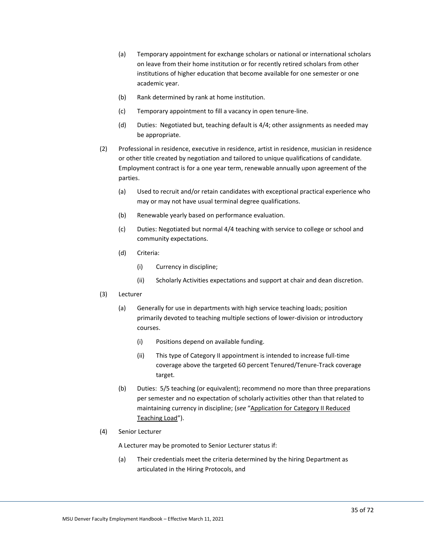- (a) Temporary appointment for exchange scholars or national or international scholars on leave from their home institution or for recently retired scholars from other institutions of higher education that become available for one semester or one academic year.
- (b) Rank determined by rank at home institution.
- (c) Temporary appointment to fill a vacancy in open tenure-line.
- (d) Duties: Negotiated but, teaching default is 4/4; other assignments as needed may be appropriate.
- (2) Professional in residence, executive in residence, artist in residence, musician in residence or other title created by negotiation and tailored to unique qualifications of candidate. Employment contract is for a one year term, renewable annually upon agreement of the parties.
	- (a) Used to recruit and/or retain candidates with exceptional practical experience who may or may not have usual terminal degree qualifications.
	- (b) Renewable yearly based on performance evaluation.
	- (c) Duties: Negotiated but normal 4/4 teaching with service to college or school and community expectations.
	- (d) Criteria:
		- (i) Currency in discipline;
		- (ii) Scholarly Activities expectations and support at chair and dean discretion.
- (3) Lecturer
	- (a) Generally for use in departments with high service teaching loads; position primarily devoted to teaching multiple sections of lower-division or introductory courses.
		- (i) Positions depend on available funding.
		- (ii) This type of Category II appointment is intended to increase full-time coverage above the targeted 60 percent Tenured/Tenure-Track coverage target.
	- (b) Duties: 5/5 teaching (or equivalent); recommend no more than three preparations per semester and no expectation of scholarly activities other than that related to maintaining currency in discipline; (*see* "[Application for Category II Reduced](http://www.msudenver.edu/media/content/academicandstudentaffairs/applicationforcategory2reducedteaching.pdf)  [Teaching Load](http://www.msudenver.edu/media/content/academicandstudentaffairs/applicationforcategory2reducedteaching.pdf)").
- (4) Senior Lecturer

A Lecturer may be promoted to Senior Lecturer status if:

(a) Their credentials meet the criteria determined by the hiring Department as articulated in the Hiring Protocols, and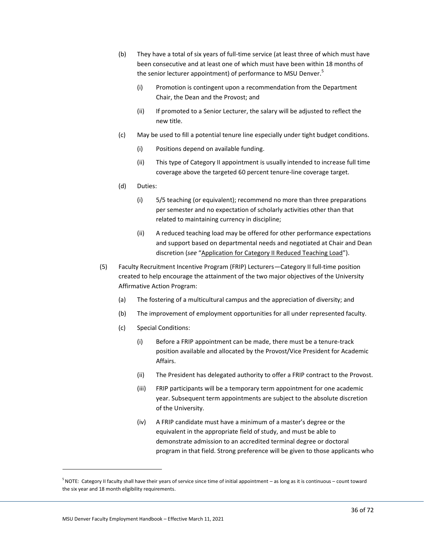- (b) They have a total of six years of full-time service (at least three of which must have been consecutive and at least one of which must have been within 18 months of the senior lecturer appointment) of performance to MSU Denver.<sup>5</sup>
	- (i) Promotion is contingent upon a recommendation from the Department Chair, the Dean and the Provost; and
	- (ii) If promoted to a Senior Lecturer, the salary will be adjusted to reflect the new title.
- (c) May be used to fill a potential tenure line especially under tight budget conditions.
	- (i) Positions depend on available funding.
	- (ii) This type of Category II appointment is usually intended to increase full time coverage above the targeted 60 percent tenure-line coverage target.
- (d) Duties:
	- (i) 5/5 teaching (or equivalent); recommend no more than three preparations per semester and no expectation of scholarly activities other than that related to maintaining currency in discipline;
	- (ii) A reduced teaching load may be offered for other performance expectations and support based on departmental needs and negotiated at Chair and Dean discretion (*see* "[Application for Category II Reduced Teaching Load](http://www.msudenver.edu/media/content/academicandstudentaffairs/applicationforcategory2reducedteaching.pdf)").
- (5) Faculty Recruitment Incentive Program (FRIP) Lecturers—Category II full-time position created to help encourage the attainment of the two major objectives of the University Affirmative Action Program:
	- (a) The fostering of a multicultural campus and the appreciation of diversity; and
	- (b) The improvement of employment opportunities for all under represented faculty.
	- (c) Special Conditions:
		- (i) Before a FRIP appointment can be made, there must be a tenure-track position available and allocated by the Provost/Vice President for Academic Affairs.
		- (ii) The President has delegated authority to offer a FRIP contract to the Provost.
		- (iii) FRIP participants will be a temporary term appointment for one academic year. Subsequent term appointments are subject to the absolute discretion of the University.
		- (iv) A FRIP candidate must have a minimum of a master's degree or the equivalent in the appropriate field of study, and must be able to demonstrate admission to an accredited terminal degree or doctoral program in that field. Strong preference will be given to those applicants who

 $^5$  NOTE: Category II faculty shall have their years of service since time of initial appointment – as long as it is continuous – count toward the six year and 18 month eligibility requirements.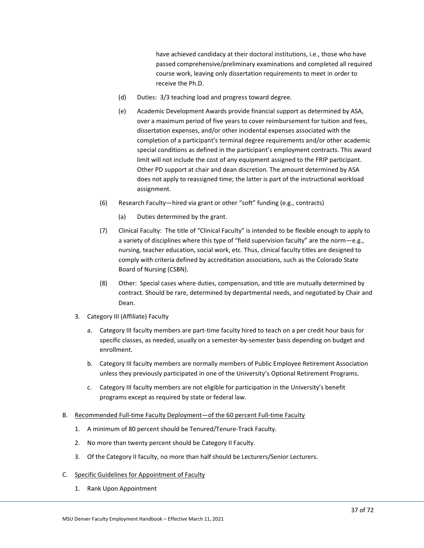have achieved candidacy at their doctoral institutions, i.e., those who have passed comprehensive/preliminary examinations and completed all required course work, leaving only dissertation requirements to meet in order to receive the Ph.D.

- (d) Duties: 3/3 teaching load and progress toward degree.
- (e) Academic Development Awards provide financial support as determined by ASA, over a maximum period of five years to cover reimbursement for tuition and fees, dissertation expenses, and/or other incidental expenses associated with the completion of a participant's terminal degree requirements and/or other academic special conditions as defined in the participant's employment contracts. This award limit will not include the cost of any equipment assigned to the FRIP participant. Other PD support at chair and dean discretion. The amount determined by ASA does not apply to reassigned time; the latter is part of the instructional workload assignment.
- (6) Research Faculty—hired via grant or other "soft" funding (e.g., contracts)
	- (a) Duties determined by the grant.
- (7) Clinical Faculty: The title of "Clinical Faculty" is intended to be flexible enough to apply to a variety of disciplines where this type of "field supervision faculty" are the norm—e.g., nursing, teacher education, social work, etc. Thus, clinical faculty titles are designed to comply with criteria defined by accreditation associations, such as the Colorado State Board of Nursing (CSBN).
- (8) Other: Special cases where duties, compensation, and title are mutually determined by contract. Should be rare, determined by departmental needs, and negotiated by Chair and Dean.
- 3. Category III (Affiliate) Faculty
	- a. Category III faculty members are part-time faculty hired to teach on a per credit hour basis for specific classes, as needed, usually on a semester-by-semester basis depending on budget and enrollment.
	- b. Category III faculty members are normally members of Public Employee Retirement Association unless they previously participated in one of the University's Optional Retirement Programs.
	- c. Category III faculty members are not eligible for participation in the University's benefit programs except as required by state or federal law.

## B. Recommended Full-time Faculty Deployment—of the 60 percent Full-time Faculty

- 1. A minimum of 80 percent should be Tenured/Tenure-Track Faculty.
- 2. No more than twenty percent should be Category II Faculty.
- 3. Of the Category II faculty, no more than half should be Lecturers/Senior Lecturers.
- C. Specific Guidelines for Appointment of Faculty
	- 1. Rank Upon Appointment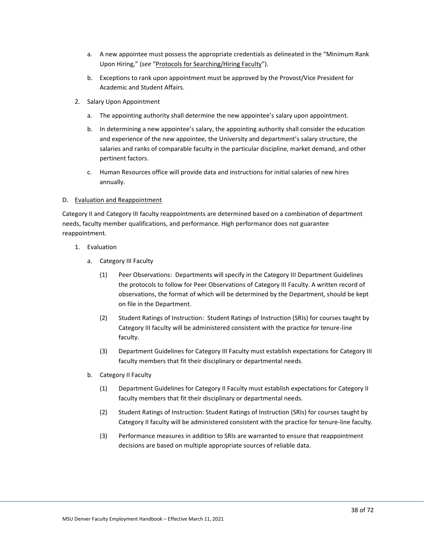- a. A new appointee must possess the appropriate credentials as delineated in the "Minimum Rank Upon Hiring," (*see* "[Protocols for Searching/Hiring Faculty](http://www.msudenver.edu/asa/facultyinformation/handbooksandguidelines/)").
- b. Exceptions to rank upon appointment must be approved by the Provost/Vice President for Academic and Student Affairs.
- 2. Salary Upon Appointment
	- a. The appointing authority shall determine the new appointee's salary upon appointment.
	- b. In determining a new appointee's salary, the appointing authority shall consider the education and experience of the new appointee, the University and department's salary structure, the salaries and ranks of comparable faculty in the particular discipline, market demand, and other pertinent factors.
	- c. Human Resources office will provide data and instructions for initial salaries of new hires annually.

#### D. Evaluation and Reappointment

Category II and Category III faculty reappointments are determined based on a combination of department needs, faculty member qualifications, and performance. High performance does not guarantee reappointment.

- 1. Evaluation
	- a. Category III Faculty
		- (1) Peer Observations: Departments will specify in the Category III Department Guidelines the protocols to follow for Peer Observations of Category III Faculty. A written record of observations, the format of which will be determined by the Department, should be kept on file in the Department.
		- (2) Student Ratings of Instruction: Student Ratings of Instruction (SRIs) for courses taught by Category III faculty will be administered consistent with the practice for tenure-line faculty.
		- (3) Department Guidelines for Category III Faculty must establish expectations for Category III faculty members that fit their disciplinary or departmental needs.
	- b. Category II Faculty
		- (1) Department Guidelines for Category II Faculty must establish expectations for Category II faculty members that fit their disciplinary or departmental needs.
		- (2) Student Ratings of Instruction: Student Ratings of Instruction (SRIs) for courses taught by Category II faculty will be administered consistent with the practice for tenure-line faculty.
		- (3) Performance measures in addition to SRIs are warranted to ensure that reappointment decisions are based on multiple appropriate sources of reliable data.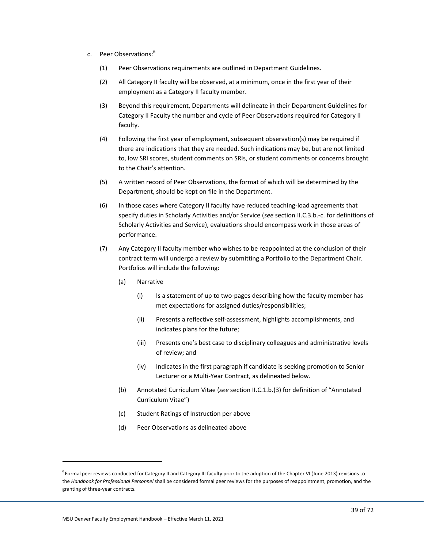- c. Peer Observations:<sup>6</sup>
	- (1) Peer Observations requirements are outlined in Department Guidelines.
	- (2) All Category II faculty will be observed, at a minimum, once in the first year of their employment as a Category II faculty member.
	- (3) Beyond this requirement, Departments will delineate in their Department Guidelines for Category II Faculty the number and cycle of Peer Observations required for Category II faculty.
	- (4) Following the first year of employment, subsequent observation(s) may be required if there are indications that they are needed. Such indications may be, but are not limited to, low SRI scores, student comments on SRIs, or student comments or concerns brought to the Chair's attention.
	- (5) A written record of Peer Observations, the format of which will be determined by the Department, should be kept on file in the Department.
	- (6) In those cases where Category II faculty have reduced teaching-load agreements that specify duties in Scholarly Activities and/or Service (*see* section II.C.3.b.-c. for definitions of Scholarly Activities and Service), evaluations should encompass work in those areas of performance.
	- (7) Any Category II faculty member who wishes to be reappointed at the conclusion of their contract term will undergo a review by submitting a Portfolio to the Department Chair. Portfolios will include the following:
		- (a) Narrative
			- (i) Is a statement of up to two-pages describing how the faculty member has met expectations for assigned duties/responsibilities;
			- (ii) Presents a reflective self-assessment, highlights accomplishments, and indicates plans for the future;
			- (iii) Presents one's best case to disciplinary colleagues and administrative levels of review; and
			- (iv) Indicates in the first paragraph if candidate is seeking promotion to Senior Lecturer or a Multi-Year Contract, as delineated below.
		- (b) Annotated Curriculum Vitae (*see* section II.C.1.b.(3) for definition of "Annotated Curriculum Vitae")
		- (c) Student Ratings of Instruction per above
		- (d) Peer Observations as delineated above

<sup>&</sup>lt;sup>6</sup> Formal peer reviews conducted for Category II and Category III faculty prior to the adoption of the Chapter VI (June 2013) revisions to the *Handbook for Professional Personnel* shall be considered formal peer reviews for the purposes of reappointment, promotion, and the granting of three-year contracts.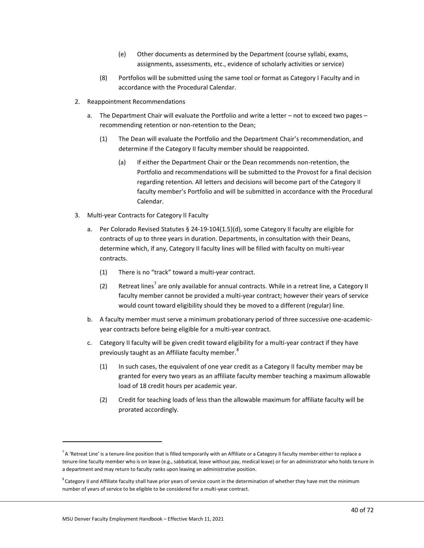- (e) Other documents as determined by the Department (course syllabi, exams, assignments, assessments, etc., evidence of scholarly activities or service)
- (8) Portfolios will be submitted using the same tool or format as Category I Faculty and in accordance with the Procedural Calendar.
- 2. Reappointment Recommendations
	- a. The Department Chair will evaluate the Portfolio and write a letter not to exceed two pages recommending retention or non-retention to the Dean;
		- (1) The Dean will evaluate the Portfolio and the Department Chair's recommendation, and determine if the Category II faculty member should be reappointed.
			- (a) If either the Department Chair or the Dean recommends non-retention, the Portfolio and recommendations will be submitted to the Provost for a final decision regarding retention. All letters and decisions will become part of the Category II faculty member's Portfolio and will be submitted in accordance with the Procedural Calendar.
- 3. Multi-year Contracts for Category II Faculty
	- a. Per Colorado Revised Statutes § 24-19-104(1.5)(d), some Category II faculty are eligible for contracts of up to three years in duration. Departments, in consultation with their Deans, determine which, if any, Category II faculty lines will be filled with faculty on multi-year contracts.
		- (1) There is no "track" toward a multi-year contract.
		- (2) Retreat lines<sup>7</sup> are only available for annual contracts. While in a retreat line, a Category II faculty member cannot be provided a multi-year contract; however their years of service would count toward eligibility should they be moved to a different (regular) line.
	- b. A faculty member must serve a minimum probationary period of three successive one-academicyear contracts before being eligible for a multi-year contract.
	- c. Category II faculty will be given credit toward eligibility for a multi-year contract if they have previously taught as an Affiliate faculty member.<sup>8</sup>
		- (1) In such cases, the equivalent of one year credit as a Category II faculty member may be granted for every two years as an affiliate faculty member teaching a maximum allowable load of 18 credit hours per academic year.
		- (2) Credit for teaching loads of less than the allowable maximum for affiliate faculty will be prorated accordingly.

 $^7$  A 'Retreat Line' is a tenure-line position that is filled temporarily with an Affiliate or a Category II faculty member either to replace a tenure-line faculty member who is on leave (e.g., sabbatical, leave without pay, medical leave) or for an administrator who holds tenure in a department and may return to faculty ranks upon leaving an administrative position.

 $^8$  Category II and Affiliate faculty shall have prior years of service count in the determination of whether they have met the minimum number of years of service to be eligible to be considered for a multi-year contract.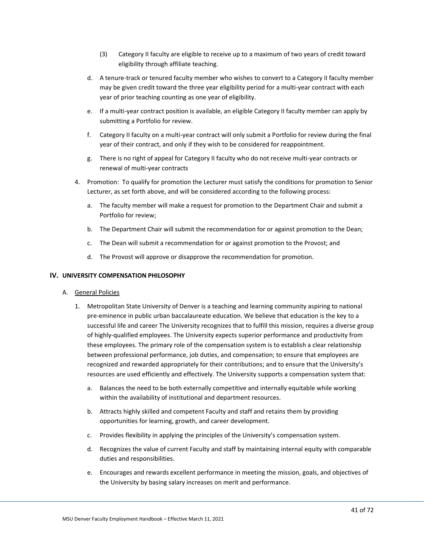- (3) Category II faculty are eligible to receive up to a maximum of two years of credit toward eligibility through affiliate teaching.
- d. A tenure-track or tenured faculty member who wishes to convert to a Category II faculty member may be given credit toward the three year eligibility period for a multi-year contract with each year of prior teaching counting as one year of eligibility.
- e. If a multi-year contract position is available, an eligible Category II faculty member can apply by submitting a Portfolio for review.
- f. Category II faculty on a multi-year contract will only submit a Portfolio for review during the final year of their contract, and only if they wish to be considered for reappointment.
- g. There is no right of appeal for Category II faculty who do not receive multi-year contracts or renewal of multi-year contracts
- 4. Promotion: To qualify for promotion the Lecturer must satisfy the conditions for promotion to Senior Lecturer, as set forth above, and will be considered according to the following process:
	- a. The faculty member will make a request for promotion to the Department Chair and submit a Portfolio for review;
	- b. The Department Chair will submit the recommendation for or against promotion to the Dean;
	- c. The Dean will submit a recommendation for or against promotion to the Provost; and
	- d. The Provost will approve or disapprove the recommendation for promotion.

### **IV. UNIVERSITY COMPENSATION PHILOSOPHY**

- A. General Policies
	- 1. Metropolitan State University of Denver is a teaching and learning community aspiring to national pre-eminence in public urban baccalaureate education. We believe that education is the key to a successful life and career The University recognizes that to fulfill this mission, requires a diverse group of highly-qualified employees. The University expects superior performance and productivity from these employees. The primary role of the compensation system is to establish a clear relationship between professional performance, job duties, and compensation; to ensure that employees are recognized and rewarded appropriately for their contributions; and to ensure that the University's resources are used efficiently and effectively. The University supports a compensation system that:
		- a. Balances the need to be both externally competitive and internally equitable while working within the availability of institutional and department resources.
		- b. Attracts highly skilled and competent Faculty and staff and retains them by providing opportunities for learning, growth, and career development.
		- c. Provides flexibility in applying the principles of the University's compensation system.
		- d. Recognizes the value of current Faculty and staff by maintaining internal equity with comparable duties and responsibilities.
		- e. Encourages and rewards excellent performance in meeting the mission, goals, and objectives of the University by basing salary increases on merit and performance.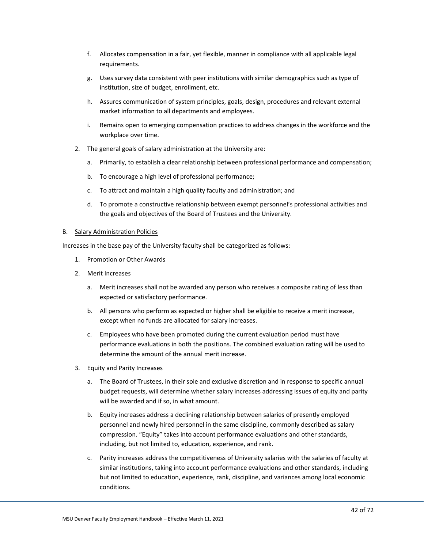- f. Allocates compensation in a fair, yet flexible, manner in compliance with all applicable legal requirements.
- g. Uses survey data consistent with peer institutions with similar demographics such as type of institution, size of budget, enrollment, etc.
- h. Assures communication of system principles, goals, design, procedures and relevant external market information to all departments and employees.
- i. Remains open to emerging compensation practices to address changes in the workforce and the workplace over time.
- 2. The general goals of salary administration at the University are:
	- a. Primarily, to establish a clear relationship between professional performance and compensation;
	- b. To encourage a high level of professional performance;
	- c. To attract and maintain a high quality faculty and administration; and
	- d. To promote a constructive relationship between exempt personnel's professional activities and the goals and objectives of the Board of Trustees and the University.

#### B. Salary Administration Policies

Increases in the base pay of the University faculty shall be categorized as follows:

- 1. Promotion or Other Awards
- 2. Merit Increases
	- a. Merit increases shall not be awarded any person who receives a composite rating of less than expected or satisfactory performance.
	- b. All persons who perform as expected or higher shall be eligible to receive a merit increase, except when no funds are allocated for salary increases.
	- c. Employees who have been promoted during the current evaluation period must have performance evaluations in both the positions. The combined evaluation rating will be used to determine the amount of the annual merit increase.
- 3. Equity and Parity Increases
	- a. The Board of Trustees, in their sole and exclusive discretion and in response to specific annual budget requests, will determine whether salary increases addressing issues of equity and parity will be awarded and if so, in what amount.
	- b. Equity increases address a declining relationship between salaries of presently employed personnel and newly hired personnel in the same discipline, commonly described as salary compression. "Equity" takes into account performance evaluations and other standards, including, but not limited to, education, experience, and rank.
	- c. Parity increases address the competitiveness of University salaries with the salaries of faculty at similar institutions, taking into account performance evaluations and other standards, including but not limited to education, experience, rank, discipline, and variances among local economic conditions.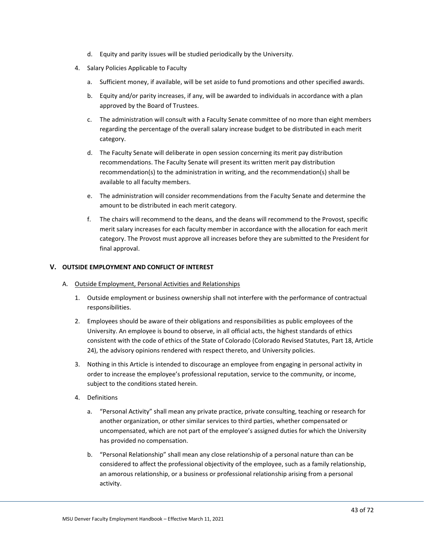- d. Equity and parity issues will be studied periodically by the University.
- 4. Salary Policies Applicable to Faculty
	- a. Sufficient money, if available, will be set aside to fund promotions and other specified awards.
	- b. Equity and/or parity increases, if any, will be awarded to individuals in accordance with a plan approved by the Board of Trustees.
	- c. The administration will consult with a Faculty Senate committee of no more than eight members regarding the percentage of the overall salary increase budget to be distributed in each merit category.
	- d. The Faculty Senate will deliberate in open session concerning its merit pay distribution recommendations. The Faculty Senate will present its written merit pay distribution recommendation(s) to the administration in writing, and the recommendation(s) shall be available to all faculty members.
	- e. The administration will consider recommendations from the Faculty Senate and determine the amount to be distributed in each merit category.
	- f. The chairs will recommend to the deans, and the deans will recommend to the Provost, specific merit salary increases for each faculty member in accordance with the allocation for each merit category. The Provost must approve all increases before they are submitted to the President for final approval.

### **V. OUTSIDE EMPLOYMENT AND CONFLICT OF INTEREST**

- A. Outside Employment, Personal Activities and Relationships
	- 1. Outside employment or business ownership shall not interfere with the performance of contractual responsibilities.
	- 2. Employees should be aware of their obligations and responsibilities as public employees of the University. An employee is bound to observe, in all official acts, the highest standards of ethics consistent with the code of ethics of the State of Colorado (Colorado Revised Statutes, Part 18, Article 24), the advisory opinions rendered with respect thereto, and University policies.
	- 3. Nothing in this Article is intended to discourage an employee from engaging in personal activity in order to increase the employee's professional reputation, service to the community, or income, subject to the conditions stated herein.
	- 4. Definitions
		- a. "Personal Activity" shall mean any private practice, private consulting, teaching or research for another organization, or other similar services to third parties, whether compensated or uncompensated, which are not part of the employee's assigned duties for which the University has provided no compensation.
		- b. "Personal Relationship" shall mean any close relationship of a personal nature than can be considered to affect the professional objectivity of the employee, such as a family relationship, an amorous relationship, or a business or professional relationship arising from a personal activity.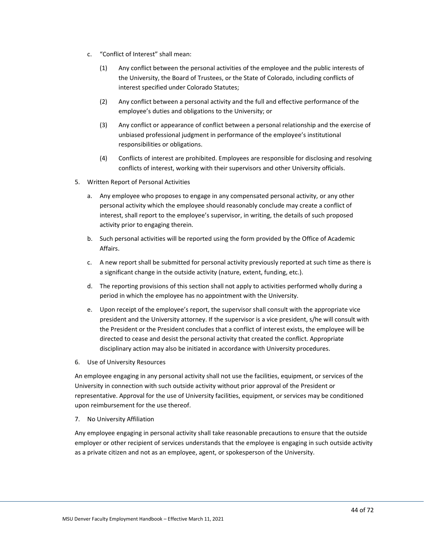- c. "Conflict of Interest" shall mean:
	- (1) Any conflict between the personal activities of the employee and the public interests of the University, the Board of Trustees, or the State of Colorado, including conflicts of interest specified under Colorado Statutes;
	- (2) Any conflict between a personal activity and the full and effective performance of the employee's duties and obligations to the University; or
	- (3) Any conflict or appearance of conflict between a personal relationship and the exercise of unbiased professional judgment in performance of the employee's institutional responsibilities or obligations.
	- (4) Conflicts of interest are prohibited. Employees are responsible for disclosing and resolving conflicts of interest, working with their supervisors and other University officials.
- 5. Written Report of Personal Activities
	- a. Any employee who proposes to engage in any compensated personal activity, or any other personal activity which the employee should reasonably conclude may create a conflict of interest, shall report to the employee's supervisor, in writing, the details of such proposed activity prior to engaging therein.
	- b. Such personal activities will be reported using the form provided by the Office of Academic Affairs.
	- c. A new report shall be submitted for personal activity previously reported at such time as there is a significant change in the outside activity (nature, extent, funding, etc.).
	- d. The reporting provisions of this section shall not apply to activities performed wholly during a period in which the employee has no appointment with the University.
	- e. Upon receipt of the employee's report, the supervisor shall consult with the appropriate vice president and the University attorney. If the supervisor is a vice president, s/he will consult with the President or the President concludes that a conflict of interest exists, the employee will be directed to cease and desist the personal activity that created the conflict. Appropriate disciplinary action may also be initiated in accordance with University procedures.
- 6. Use of University Resources

An employee engaging in any personal activity shall not use the facilities, equipment, or services of the University in connection with such outside activity without prior approval of the President or representative. Approval for the use of University facilities, equipment, or services may be conditioned upon reimbursement for the use thereof.

7. No University Affiliation

Any employee engaging in personal activity shall take reasonable precautions to ensure that the outside employer or other recipient of services understands that the employee is engaging in such outside activity as a private citizen and not as an employee, agent, or spokesperson of the University.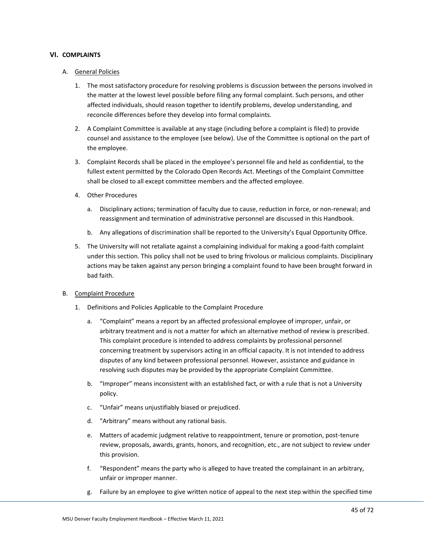### **VI. COMPLAINTS**

### A. General Policies

- 1. The most satisfactory procedure for resolving problems is discussion between the persons involved in the matter at the lowest level possible before filing any formal complaint. Such persons, and other affected individuals, should reason together to identify problems, develop understanding, and reconcile differences before they develop into formal complaints.
- 2. A Complaint Committee is available at any stage (including before a complaint is filed) to provide counsel and assistance to the employee (see below). Use of the Committee is optional on the part of the employee.
- 3. Complaint Records shall be placed in the employee's personnel file and held as confidential, to the fullest extent permitted by the Colorado Open Records Act. Meetings of the Complaint Committee shall be closed to all except committee members and the affected employee.
- 4. Other Procedures
	- a. Disciplinary actions; termination of faculty due to cause, reduction in force, or non-renewal; and reassignment and termination of administrative personnel are discussed in this Handbook.
	- b. Any allegations of discrimination shall be reported to the University's Equal Opportunity Office.
- 5. The University will not retaliate against a complaining individual for making a good-faith complaint under this section. This policy shall not be used to bring frivolous or malicious complaints. Disciplinary actions may be taken against any person bringing a complaint found to have been brought forward in bad faith.

#### B. Complaint Procedure

- 1. Definitions and Policies Applicable to the Complaint Procedure
	- a. "Complaint" means a report by an affected professional employee of improper, unfair, or arbitrary treatment and is not a matter for which an alternative method of review is prescribed. This complaint procedure is intended to address complaints by professional personnel concerning treatment by supervisors acting in an official capacity. It is not intended to address disputes of any kind between professional personnel. However, assistance and guidance in resolving such disputes may be provided by the appropriate Complaint Committee.
	- b. "Improper" means inconsistent with an established fact, or with a rule that is not a University policy.
	- c. "Unfair" means unjustifiably biased or prejudiced.
	- d. "Arbitrary" means without any rational basis.
	- e. Matters of academic judgment relative to reappointment, tenure or promotion, post-tenure review, proposals, awards, grants, honors, and recognition, etc., are not subject to review under this provision.
	- f. "Respondent" means the party who is alleged to have treated the complainant in an arbitrary, unfair or improper manner.
	- g. Failure by an employee to give written notice of appeal to the next step within the specified time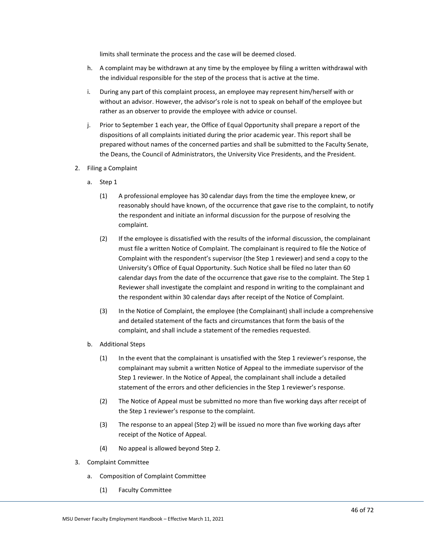limits shall terminate the process and the case will be deemed closed.

- h. A complaint may be withdrawn at any time by the employee by filing a written withdrawal with the individual responsible for the step of the process that is active at the time.
- i. During any part of this complaint process, an employee may represent him/herself with or without an advisor. However, the advisor's role is not to speak on behalf of the employee but rather as an observer to provide the employee with advice or counsel.
- j. Prior to September 1 each year, the Office of Equal Opportunity shall prepare a report of the dispositions of all complaints initiated during the prior academic year. This report shall be prepared without names of the concerned parties and shall be submitted to the Faculty Senate, the Deans, the Council of Administrators, the University Vice Presidents, and the President.
- 2. Filing a Complaint
	- a. Step 1
		- (1) A professional employee has 30 calendar days from the time the employee knew, or reasonably should have known, of the occurrence that gave rise to the complaint, to notify the respondent and initiate an informal discussion for the purpose of resolving the complaint.
		- (2) If the employee is dissatisfied with the results of the informal discussion, the complainant must file a written Notice of Complaint. The complainant is required to file the Notice of Complaint with the respondent's supervisor (the Step 1 reviewer) and send a copy to the University's Office of Equal Opportunity. Such Notice shall be filed no later than 60 calendar days from the date of the occurrence that gave rise to the complaint. The Step 1 Reviewer shall investigate the complaint and respond in writing to the complainant and the respondent within 30 calendar days after receipt of the Notice of Complaint.
		- (3) In the Notice of Complaint, the employee (the Complainant) shall include a comprehensive and detailed statement of the facts and circumstances that form the basis of the complaint, and shall include a statement of the remedies requested.
	- b. Additional Steps
		- (1) In the event that the complainant is unsatisfied with the Step 1 reviewer's response, the complainant may submit a written Notice of Appeal to the immediate supervisor of the Step 1 reviewer. In the Notice of Appeal, the complainant shall include a detailed statement of the errors and other deficiencies in the Step 1 reviewer's response.
		- (2) The Notice of Appeal must be submitted no more than five working days after receipt of the Step 1 reviewer's response to the complaint.
		- (3) The response to an appeal (Step 2) will be issued no more than five working days after receipt of the Notice of Appeal.
		- (4) No appeal is allowed beyond Step 2.
- 3. Complaint Committee
	- a. Composition of Complaint Committee
		- (1) Faculty Committee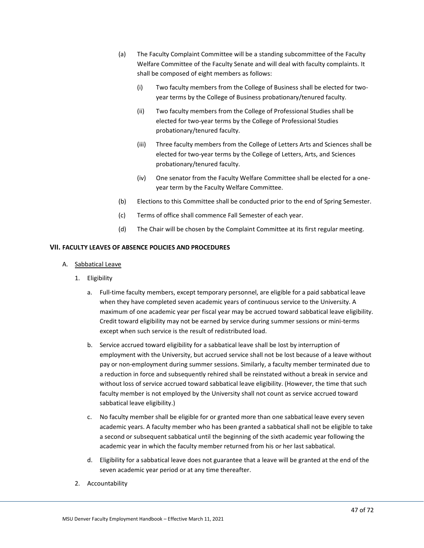- (a) The Faculty Complaint Committee will be a standing subcommittee of the Faculty Welfare Committee of the Faculty Senate and will deal with faculty complaints. It shall be composed of eight members as follows:
	- (i) Two faculty members from the College of Business shall be elected for twoyear terms by the College of Business probationary/tenured faculty.
	- (ii) Two faculty members from the College of Professional Studies shall be elected for two-year terms by the College of Professional Studies probationary/tenured faculty.
	- (iii) Three faculty members from the College of Letters Arts and Sciences shall be elected for two-year terms by the College of Letters, Arts, and Sciences probationary/tenured faculty.
	- (iv) One senator from the Faculty Welfare Committee shall be elected for a oneyear term by the Faculty Welfare Committee.
- (b) Elections to this Committee shall be conducted prior to the end of Spring Semester.
- (c) Terms of office shall commence Fall Semester of each year.
- (d) The Chair will be chosen by the Complaint Committee at its first regular meeting.

# **VII. FACULTY LEAVES OF ABSENCE POLICIES AND PROCEDURES**

- A. Sabbatical Leave
	- 1. Eligibility
		- a. Full-time faculty members, except temporary personnel, are eligible for a paid sabbatical leave when they have completed seven academic years of continuous service to the University. A maximum of one academic year per fiscal year may be accrued toward sabbatical leave eligibility. Credit toward eligibility may not be earned by service during summer sessions or mini-terms except when such service is the result of redistributed load.
		- b. Service accrued toward eligibility for a sabbatical leave shall be lost by interruption of employment with the University, but accrued service shall not be lost because of a leave without pay or non-employment during summer sessions. Similarly, a faculty member terminated due to a reduction in force and subsequently rehired shall be reinstated without a break in service and without loss of service accrued toward sabbatical leave eligibility. (However, the time that such faculty member is not employed by the University shall not count as service accrued toward sabbatical leave eligibility.)
		- c. No faculty member shall be eligible for or granted more than one sabbatical leave every seven academic years. A faculty member who has been granted a sabbatical shall not be eligible to take a second or subsequent sabbatical until the beginning of the sixth academic year following the academic year in which the faculty member returned from his or her last sabbatical.
		- d. Eligibility for a sabbatical leave does not guarantee that a leave will be granted at the end of the seven academic year period or at any time thereafter.
	- 2. Accountability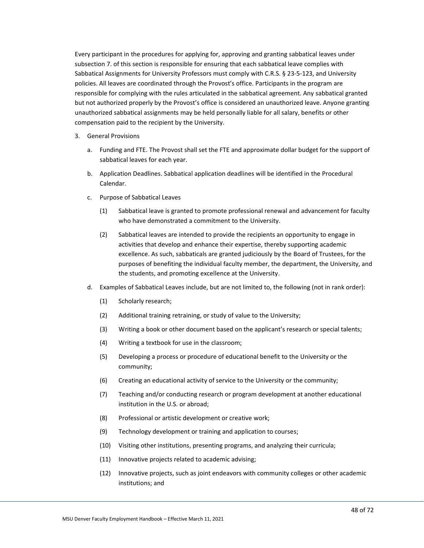Every participant in the procedures for applying for, approving and granting sabbatical leaves under subsection 7. of this section is responsible for ensuring that each sabbatical leave complies with Sabbatical Assignments for University Professors must comply with C.R.S. § 23-5-123, and University policies. All leaves are coordinated through the Provost's office. Participants in the program are responsible for complying with the rules articulated in the sabbatical agreement. Any sabbatical granted but not authorized properly by the Provost's office is considered an unauthorized leave. Anyone granting unauthorized sabbatical assignments may be held personally liable for all salary, benefits or other compensation paid to the recipient by the University.

- 3. General Provisions
	- a. Funding and FTE. The Provost shall set the FTE and approximate dollar budget for the support of sabbatical leaves for each year.
	- b. Application Deadlines. Sabbatical application deadlines will be identified in the Procedural Calendar.
	- c. Purpose of Sabbatical Leaves
		- (1) Sabbatical leave is granted to promote professional renewal and advancement for faculty who have demonstrated a commitment to the University.
		- (2) Sabbatical leaves are intended to provide the recipients an opportunity to engage in activities that develop and enhance their expertise, thereby supporting academic excellence. As such, sabbaticals are granted judiciously by the Board of Trustees, for the purposes of benefiting the individual faculty member, the department, the University, and the students, and promoting excellence at the University.
	- d. Examples of Sabbatical Leaves include, but are not limited to, the following (not in rank order):
		- (1) Scholarly research;
		- (2) Additional training retraining, or study of value to the University;
		- (3) Writing a book or other document based on the applicant's research or special talents;
		- (4) Writing a textbook for use in the classroom;
		- (5) Developing a process or procedure of educational benefit to the University or the community;
		- (6) Creating an educational activity of service to the University or the community;
		- (7) Teaching and/or conducting research or program development at another educational institution in the U.S. or abroad;
		- (8) Professional or artistic development or creative work;
		- (9) Technology development or training and application to courses;
		- (10) Visiting other institutions, presenting programs, and analyzing their curricula;
		- (11) Innovative projects related to academic advising;
		- (12) Innovative projects, such as joint endeavors with community colleges or other academic institutions; and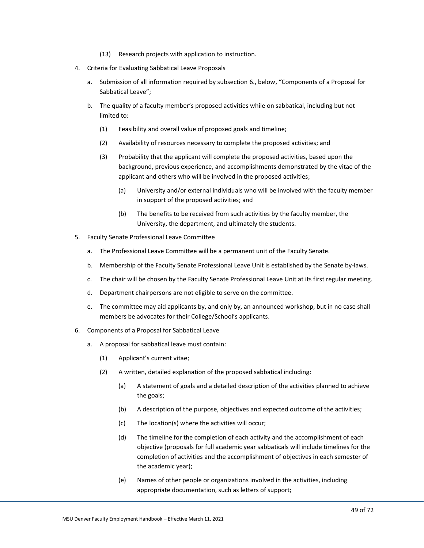- (13) Research projects with application to instruction.
- 4. Criteria for Evaluating Sabbatical Leave Proposals
	- a. Submission of all information required by subsection 6., below, "Components of a Proposal for Sabbatical Leave";
	- b. The quality of a faculty member's proposed activities while on sabbatical, including but not limited to:
		- (1) Feasibility and overall value of proposed goals and timeline;
		- (2) Availability of resources necessary to complete the proposed activities; and
		- (3) Probability that the applicant will complete the proposed activities, based upon the background, previous experience, and accomplishments demonstrated by the vitae of the applicant and others who will be involved in the proposed activities;
			- (a) University and/or external individuals who will be involved with the faculty member in support of the proposed activities; and
			- (b) The benefits to be received from such activities by the faculty member, the University, the department, and ultimately the students.
- 5. Faculty Senate Professional Leave Committee
	- a. The Professional Leave Committee will be a permanent unit of the Faculty Senate.
	- b. Membership of the Faculty Senate Professional Leave Unit is established by the Senate by-laws.
	- c. The chair will be chosen by the Faculty Senate Professional Leave Unit at its first regular meeting.
	- d. Department chairpersons are not eligible to serve on the committee.
	- e. The committee may aid applicants by, and only by, an announced workshop, but in no case shall members be advocates for their College/School's applicants.
- 6. Components of a Proposal for Sabbatical Leave
	- a. A proposal for sabbatical leave must contain:
		- (1) Applicant's current vitae;
		- (2) A written, detailed explanation of the proposed sabbatical including:
			- (a) A statement of goals and a detailed description of the activities planned to achieve the goals;
			- (b) A description of the purpose, objectives and expected outcome of the activities;
			- (c) The location(s) where the activities will occur;
			- (d) The timeline for the completion of each activity and the accomplishment of each objective (proposals for full academic year sabbaticals will include timelines for the completion of activities and the accomplishment of objectives in each semester of the academic year);
			- (e) Names of other people or organizations involved in the activities, including appropriate documentation, such as letters of support;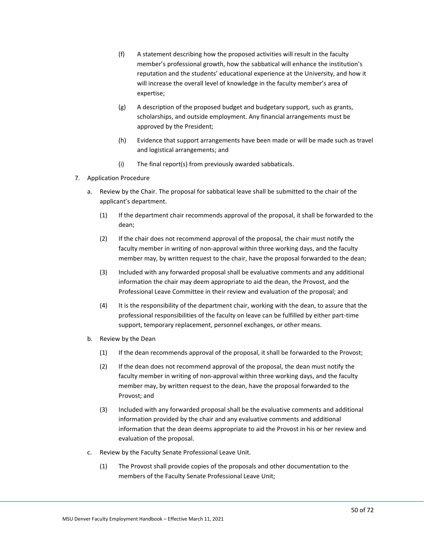- (f) A statement describing how the proposed activities will result in the faculty member's professional growth, how the sabbatical will enhance the institution's reputation and the students' educational experience at the University, and how it will increase the overall level of knowledge in the faculty member's area of expertise;
- (g) A description of the proposed budget and budgetary support, such as grants, scholarships, and outside employment. Any financial arrangements must be approved by the President;
- (h) Evidence that support arrangements have been made or will be made such as travel and logistical arrangements; and
- (i) The final report(s) from previously awarded sabbaticals.
- 7. Application Procedure
	- a. Review by the Chair. The proposal for sabbatical leave shall be submitted to the chair of the applicant's department.
		- (1) If the department chair recommends approval of the proposal, it shall be forwarded to the dean;
		- (2) If the chair does not recommend approval of the proposal, the chair must notify the faculty member in writing of non-approval within three working days, and the faculty member may, by written request to the chair, have the proposal forwarded to the dean;
		- (3) Included with any forwarded proposal shall be evaluative comments and any additional information the chair may deem appropriate to aid the dean, the Provost, and the Professional Leave Committee in their review and evaluation of the proposal; and
		- (4) It is the responsibility of the department chair, working with the dean, to assure that the professional responsibilities of the faculty on leave can be fulfilled by either part-time support, temporary replacement, personnel exchanges, or other means.
	- b. Review by the Dean
		- (1) If the dean recommends approval of the proposal, it shall be forwarded to the Provost;
		- (2) If the dean does not recommend approval of the proposal, the dean must notify the faculty member in writing of non-approval within three working days, and the faculty member may, by written request to the dean, have the proposal forwarded to the Provost; and
		- (3) Included with any forwarded proposal shall be the evaluative comments and additional information provided by the chair and any evaluative comments and additional information that the dean deems appropriate to aid the Provost in his or her review and evaluation of the proposal.
	- c. Review by the Faculty Senate Professional Leave Unit.
		- (1) The Provost shall provide copies of the proposals and other documentation to the members of the Faculty Senate Professional Leave Unit;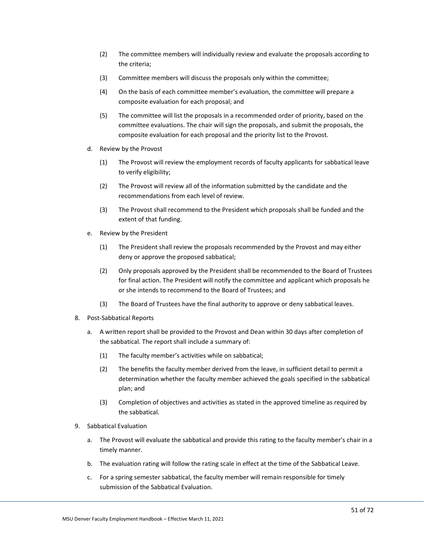- (2) The committee members will individually review and evaluate the proposals according to the criteria;
- (3) Committee members will discuss the proposals only within the committee;
- (4) On the basis of each committee member's evaluation, the committee will prepare a composite evaluation for each proposal; and
- (5) The committee will list the proposals in a recommended order of priority, based on the committee evaluations. The chair will sign the proposals, and submit the proposals, the composite evaluation for each proposal and the priority list to the Provost.
- d. Review by the Provost
	- (1) The Provost will review the employment records of faculty applicants for sabbatical leave to verify eligibility;
	- (2) The Provost will review all of the information submitted by the candidate and the recommendations from each level of review.
	- (3) The Provost shall recommend to the President which proposals shall be funded and the extent of that funding.
- e. Review by the President
	- (1) The President shall review the proposals recommended by the Provost and may either deny or approve the proposed sabbatical;
	- (2) Only proposals approved by the President shall be recommended to the Board of Trustees for final action. The President will notify the committee and applicant which proposals he or she intends to recommend to the Board of Trustees; and
	- (3) The Board of Trustees have the final authority to approve or deny sabbatical leaves.
- 8. Post-Sabbatical Reports
	- a. A written report shall be provided to the Provost and Dean within 30 days after completion of the sabbatical. The report shall include a summary of:
		- (1) The faculty member's activities while on sabbatical;
		- (2) The benefits the faculty member derived from the leave, in sufficient detail to permit a determination whether the faculty member achieved the goals specified in the sabbatical plan; and
		- (3) Completion of objectives and activities as stated in the approved timeline as required by the sabbatical.
- 9. Sabbatical Evaluation
	- a. The Provost will evaluate the sabbatical and provide this rating to the faculty member's chair in a timely manner.
	- b. The evaluation rating will follow the rating scale in effect at the time of the Sabbatical Leave.
	- c. For a spring semester sabbatical, the faculty member will remain responsible for timely submission of the Sabbatical Evaluation.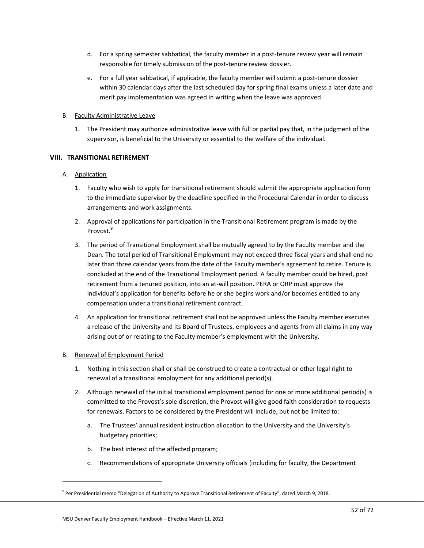- d. For a spring semester sabbatical, the faculty member in a post-tenure review year will remain responsible for timely submission of the post-tenure review dossier.
- e. For a full year sabbatical, if applicable, the faculty member will submit a post-tenure dossier within 30 calendar days after the last scheduled day for spring final exams unless a later date and merit pay implementation was agreed in writing when the leave was approved.

## B. Faculty Administrative Leave

1. The President may authorize administrative leave with full or partial pay that, in the judgment of the supervisor, is beneficial to the University or essential to the welfare of the individual.

## **VIII. TRANSITIONAL RETIREMENT**

## A. Application

- 1. Faculty who wish to apply for transitional retirement should submit the appropriate application form to the immediate supervisor by the deadline specified in the Procedural Calendar in order to discuss arrangements and work assignments.
- 2. Approval of applications for participation in the Transitional Retirement program is made by the Provost.<sup>9</sup>
- 3. The period of Transitional Employment shall be mutually agreed to by the Faculty member and the Dean. The total period of Transitional Employment may not exceed three fiscal years and shall end no later than three calendar years from the date of the Faculty member's agreement to retire. Tenure is concluded at the end of the Transitional Employment period. A faculty member could be hired, post retirement from a tenured position, into an at-will position. PERA or ORP must approve the individual's application for benefits before he or she begins work and/or becomes entitled to any compensation under a transitional retirement contract.
- 4. An application for transitional retirement shall not be approved unless the Faculty member executes a release of the University and its Board of Trustees, employees and agents from all claims in any way arising out of or relating to the Faculty member's employment with the University.

## B. Renewal of Employment Period

- 1. Nothing in this section shall or shall be construed to create a contractual or other legal right to renewal of a transitional employment for any additional period(s).
- 2. Although renewal of the initial transitional employment period for one or more additional period(s) is committed to the Provost's sole discretion, the Provost will give good faith consideration to requests for renewals. Factors to be considered by the President will include, but not be limited to:
	- a. The Trustees' annual resident instruction allocation to the University and the University's budgetary priorities;
	- b. The best interest of the affected program;
	- c. Recommendations of appropriate University officials (including for faculty, the Department

<sup>&</sup>lt;sup>9</sup> Per Presidential memo "Delegation of Authority to Approve Transitional Retirement of Faculty", dated March 9, 2018.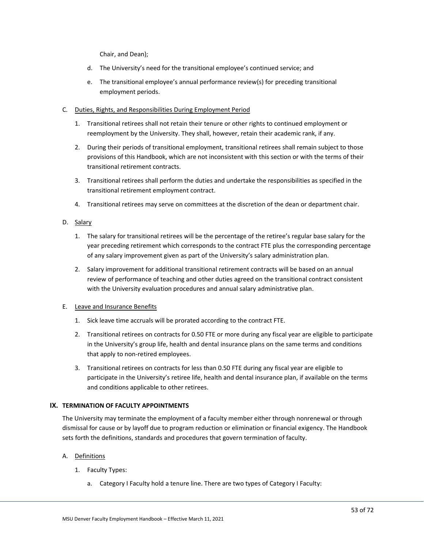Chair, and Dean);

- d. The University's need for the transitional employee's continued service; and
- e. The transitional employee's annual performance review(s) for preceding transitional employment periods.

# C. Duties, Rights, and Responsibilities During Employment Period

- 1. Transitional retirees shall not retain their tenure or other rights to continued employment or reemployment by the University. They shall, however, retain their academic rank, if any.
- 2. During their periods of transitional employment, transitional retirees shall remain subject to those provisions of this Handbook, which are not inconsistent with this section or with the terms of their transitional retirement contracts.
- 3. Transitional retirees shall perform the duties and undertake the responsibilities as specified in the transitional retirement employment contract.
- 4. Transitional retirees may serve on committees at the discretion of the dean or department chair.

# D. Salary

- 1. The salary for transitional retirees will be the percentage of the retiree's regular base salary for the year preceding retirement which corresponds to the contract FTE plus the corresponding percentage of any salary improvement given as part of the University's salary administration plan.
- 2. Salary improvement for additional transitional retirement contracts will be based on an annual review of performance of teaching and other duties agreed on the transitional contract consistent with the University evaluation procedures and annual salary administrative plan.

## E. Leave and Insurance Benefits

- 1. Sick leave time accruals will be prorated according to the contract FTE.
- 2. Transitional retirees on contracts for 0.50 FTE or more during any fiscal year are eligible to participate in the University's group life, health and dental insurance plans on the same terms and conditions that apply to non-retired employees.
- 3. Transitional retirees on contracts for less than 0.50 FTE during any fiscal year are eligible to participate in the University's retiree life, health and dental insurance plan, if available on the terms and conditions applicable to other retirees.

# **IX. TERMINATION OF FACULTY APPOINTMENTS**

The University may terminate the employment of a faculty member either through nonrenewal or through dismissal for cause or by layoff due to program reduction or elimination or financial exigency. The Handbook sets forth the definitions, standards and procedures that govern termination of faculty.

# A. Definitions

- 1. Faculty Types:
	- a. Category I Faculty hold a tenure line. There are two types of Category I Faculty: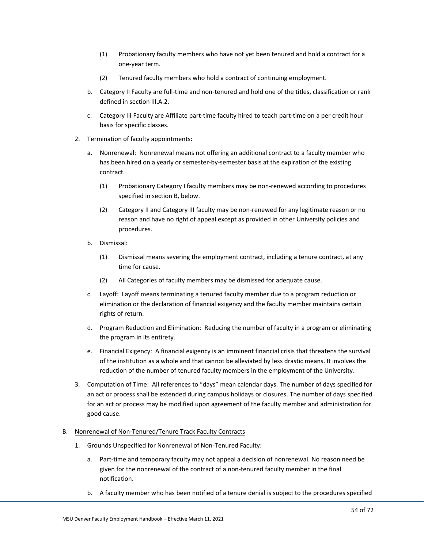- (1) Probationary faculty members who have not yet been tenured and hold a contract for a one-year term.
- (2) Tenured faculty members who hold a contract of continuing employment.
- b. Category II Faculty are full-time and non-tenured and hold one of the titles, classification or rank defined in section III.A.2.
- c. Category III Faculty are Affiliate part-time faculty hired to teach part-time on a per credit hour basis for specific classes.
- 2. Termination of faculty appointments:
	- a. Nonrenewal: Nonrenewal means not offering an additional contract to a faculty member who has been hired on a yearly or semester-by-semester basis at the expiration of the existing contract.
		- (1) Probationary Category I faculty members may be non-renewed according to procedures specified in section B, below.
		- (2) Category II and Category III faculty may be non-renewed for any legitimate reason or no reason and have no right of appeal except as provided in other University policies and procedures.
	- b. Dismissal:
		- (1) Dismissal means severing the employment contract, including a tenure contract, at any time for cause.
		- (2) All Categories of faculty members may be dismissed for adequate cause.
	- c. Layoff: Layoff means terminating a tenured faculty member due to a program reduction or elimination or the declaration of financial exigency and the faculty member maintains certain rights of return.
	- d. Program Reduction and Elimination: Reducing the number of faculty in a program or eliminating the program in its entirety.
	- e. Financial Exigency: A financial exigency is an imminent financial crisis that threatens the survival of the institution as a whole and that cannot be alleviated by less drastic means. It involves the reduction of the number of tenured faculty members in the employment of the University.
- 3. Computation of Time: All references to "days" mean calendar days. The number of days specified for an act or process shall be extended during campus holidays or closures. The number of days specified for an act or process may be modified upon agreement of the faculty member and administration for good cause.

# B. Nonrenewal of Non-Tenured/Tenure Track Faculty Contracts

- 1. Grounds Unspecified for Nonrenewal of Non-Tenured Faculty:
	- a. Part-time and temporary faculty may not appeal a decision of nonrenewal. No reason need be given for the nonrenewal of the contract of a non-tenured faculty member in the final notification.
	- b. A faculty member who has been notified of a tenure denial is subject to the procedures specified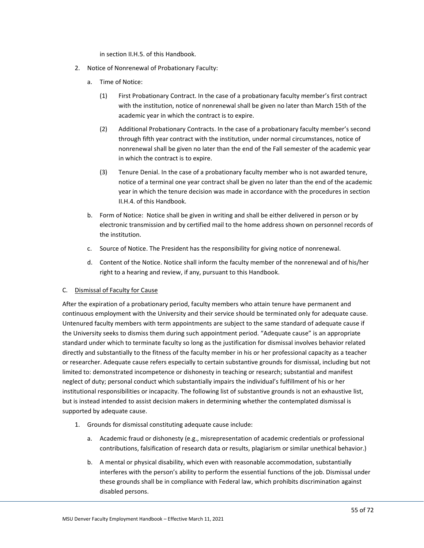in section II.H.5. of this Handbook.

- 2. Notice of Nonrenewal of Probationary Faculty:
	- a. Time of Notice:
		- (1) First Probationary Contract. In the case of a probationary faculty member's first contract with the institution, notice of nonrenewal shall be given no later than March 15th of the academic year in which the contract is to expire.
		- (2) Additional Probationary Contracts. In the case of a probationary faculty member's second through fifth year contract with the institution, under normal circumstances, notice of nonrenewal shall be given no later than the end of the Fall semester of the academic year in which the contract is to expire.
		- (3) Tenure Denial. In the case of a probationary faculty member who is not awarded tenure, notice of a terminal one year contract shall be given no later than the end of the academic year in which the tenure decision was made in accordance with the procedures in section II.H.4. of this Handbook.
	- b. Form of Notice: Notice shall be given in writing and shall be either delivered in person or by electronic transmission and by certified mail to the home address shown on personnel records of the institution.
	- c. Source of Notice. The President has the responsibility for giving notice of nonrenewal.
	- d. Content of the Notice. Notice shall inform the faculty member of the nonrenewal and of his/her right to a hearing and review, if any, pursuant to this Handbook.

## C. Dismissal of Faculty for Cause

After the expiration of a probationary period, faculty members who attain tenure have permanent and continuous employment with the University and their service should be terminated only for adequate cause. Untenured faculty members with term appointments are subject to the same standard of adequate cause if the University seeks to dismiss them during such appointment period. "Adequate cause" is an appropriate standard under which to terminate faculty so long as the justification for dismissal involves behavior related directly and substantially to the fitness of the faculty member in his or her professional capacity as a teacher or researcher. Adequate cause refers especially to certain substantive grounds for dismissal, including but not limited to: demonstrated incompetence or dishonesty in teaching or research; substantial and manifest neglect of duty; personal conduct which substantially impairs the individual's fulfillment of his or her institutional responsibilities or incapacity. The following list of substantive grounds is not an exhaustive list, but is instead intended to assist decision makers in determining whether the contemplated dismissal is supported by adequate cause.

- 1. Grounds for dismissal constituting adequate cause include:
	- a. Academic fraud or dishonesty (e.g., misrepresentation of academic credentials or professional contributions, falsification of research data or results, plagiarism or similar unethical behavior.)
	- b. A mental or physical disability, which even with reasonable accommodation, substantially interferes with the person's ability to perform the essential functions of the job. Dismissal under these grounds shall be in compliance with Federal law, which prohibits discrimination against disabled persons.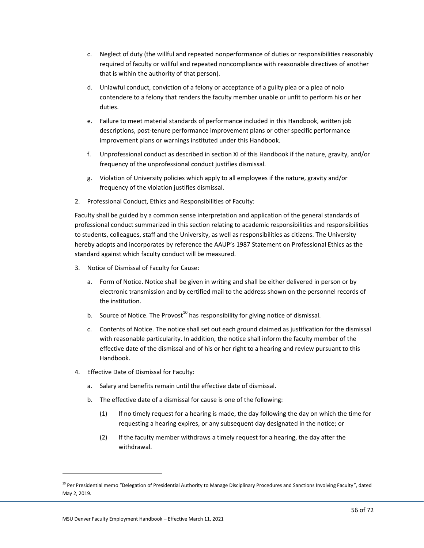- c. Neglect of duty (the willful and repeated nonperformance of duties or responsibilities reasonably required of faculty or willful and repeated noncompliance with reasonable directives of another that is within the authority of that person).
- d. Unlawful conduct, conviction of a felony or acceptance of a guilty plea or a plea of nolo contendere to a felony that renders the faculty member unable or unfit to perform his or her duties.
- e. Failure to meet material standards of performance included in this Handbook, written job descriptions, post-tenure performance improvement plans or other specific performance improvement plans or warnings instituted under this Handbook.
- f. Unprofessional conduct as described in section XI of this Handbook if the nature, gravity, and/or frequency of the unprofessional conduct justifies dismissal.
- g. Violation of University policies which apply to all employees if the nature, gravity and/or frequency of the violation justifies dismissal.
- 2. Professional Conduct, Ethics and Responsibilities of Faculty:

Faculty shall be guided by a common sense interpretation and application of the general standards of professional conduct summarized in this section relating to academic responsibilities and responsibilities to students, colleagues, staff and the University, as well as responsibilities as citizens. The University hereby adopts and incorporates by reference the AAUP's 1987 Statement on Professional Ethics as the standard against which faculty conduct will be measured.

- 3. Notice of Dismissal of Faculty for Cause:
	- a. Form of Notice. Notice shall be given in writing and shall be either delivered in person or by electronic transmission and by certified mail to the address shown on the personnel records of the institution.
	- b. Source of Notice. The Provost<sup>10</sup> has responsibility for giving notice of dismissal.
	- c. Contents of Notice. The notice shall set out each ground claimed as justification for the dismissal with reasonable particularity. In addition, the notice shall inform the faculty member of the effective date of the dismissal and of his or her right to a hearing and review pursuant to this Handbook.
- 4. Effective Date of Dismissal for Faculty:
	- a. Salary and benefits remain until the effective date of dismissal.
	- b. The effective date of a dismissal for cause is one of the following:
		- (1) If no timely request for a hearing is made, the day following the day on which the time for requesting a hearing expires, or any subsequent day designated in the notice; or
		- (2) If the faculty member withdraws a timely request for a hearing, the day after the withdrawal.

<sup>&</sup>lt;sup>10</sup> Per Presidential memo "Delegation of Presidential Authority to Manage Disciplinary Procedures and Sanctions Involving Faculty", dated May 2, 2019.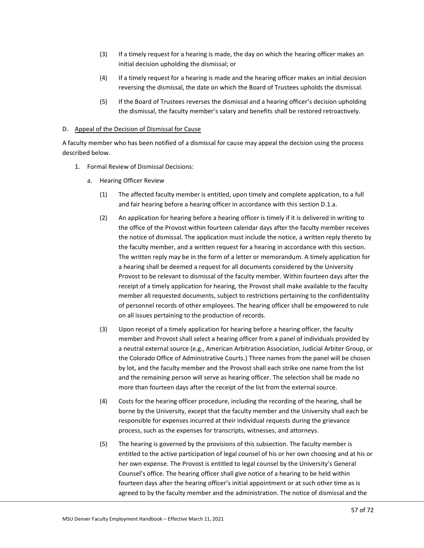- (3) If a timely request for a hearing is made, the day on which the hearing officer makes an initial decision upholding the dismissal; or
- (4) If a timely request for a hearing is made and the hearing officer makes an initial decision reversing the dismissal, the date on which the Board of Trustees upholds the dismissal.
- (5) If the Board of Trustees reverses the dismissal and a hearing officer's decision upholding the dismissal, the faculty member's salary and benefits shall be restored retroactively.

### D. Appeal of the Decision of Dismissal for Cause

A faculty member who has been notified of a dismissal for cause may appeal the decision using the process described below.

- 1. Formal Review of Dismissal Decisions:
	- a. Hearing Officer Review
		- (1) The affected faculty member is entitled, upon timely and complete application, to a full and fair hearing before a hearing officer in accordance with this section D.1.a.
		- (2) An application for hearing before a hearing officer is timely if it is delivered in writing to the office of the Provost within fourteen calendar days after the faculty member receives the notice of dismissal. The application must include the notice, a written reply thereto by the faculty member, and a written request for a hearing in accordance with this section. The written reply may be in the form of a letter or memorandum. A timely application for a hearing shall be deemed a request for all documents considered by the University Provost to be relevant to dismissal of the faculty member. Within fourteen days after the receipt of a timely application for hearing, the Provost shall make available to the faculty member all requested documents, subject to restrictions pertaining to the confidentiality of personnel records of other employees. The hearing officer shall be empowered to rule on all issues pertaining to the production of records.
		- (3) Upon receipt of a timely application for hearing before a hearing officer, the faculty member and Provost shall select a hearing officer from a panel of individuals provided by a neutral external source (e.g., American Arbitration Association, Judicial Arbiter Group, or the Colorado Office of Administrative Courts.) Three names from the panel will be chosen by lot, and the faculty member and the Provost shall each strike one name from the list and the remaining person will serve as hearing officer. The selection shall be made no more than fourteen days after the receipt of the list from the external source.
		- (4) Costs for the hearing officer procedure, including the recording of the hearing, shall be borne by the University, except that the faculty member and the University shall each be responsible for expenses incurred at their individual requests during the grievance process, such as the expenses for transcripts, witnesses, and attorneys.
		- (5) The hearing is governed by the provisions of this subsection. The faculty member is entitled to the active participation of legal counsel of his or her own choosing and at his or her own expense. The Provost is entitled to legal counsel by the University's General Counsel's office. The hearing officer shall give notice of a hearing to be held within fourteen days after the hearing officer's initial appointment or at such other time as is agreed to by the faculty member and the administration. The notice of dismissal and the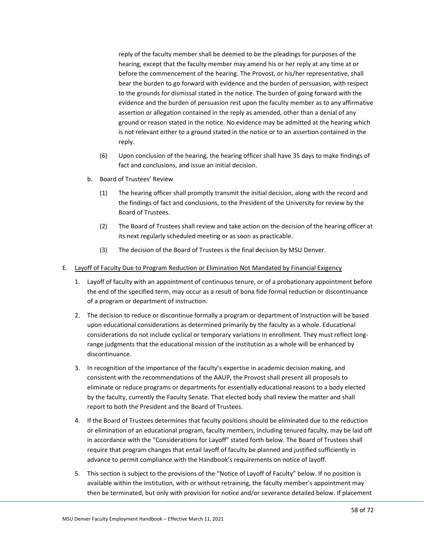reply of the faculty member shall be deemed to be the pleadings for purposes of the hearing, except that the faculty member may amend his or her reply at any time at or before the commencement of the hearing. The Provost, or his/her representative, shall bear the burden to go forward with evidence and the burden of persuasion, with respect to the grounds for dismissal stated in the notice. The burden of going forward with the evidence and the burden of persuasion rest upon the faculty member as to any affirmative assertion or allegation contained in the reply as amended, other than a denial of any ground or reason stated in the notice. No evidence may be admitted at the hearing which is not relevant either to a ground stated in the notice or to an assertion contained in the reply.

- (6) Upon conclusion of the hearing, the hearing officer shall have 35 days to make findings of fact and conclusions, and issue an initial decision.
- b. Board of Trustees' Review
	- (1) The hearing officer shall promptly transmit the initial decision, along with the record and the findings of fact and conclusions, to the President of the University for review by the Board of Trustees.
	- (2) The Board of Trustees shall review and take action on the decision of the hearing officer at its next regularly scheduled meeting or as soon as practicable.
	- (3) The decision of the Board of Trustees is the final decision by MSU Denver.
- E. Layoff of Faculty Due to Program Reduction or Elimination Not Mandated by Financial Exigency
	- 1. Layoff of faculty with an appointment of continuous tenure, or of a probationary appointment before the end of the specified term, may occur as a result of bona fide formal reduction or discontinuance of a program or department of instruction.
	- 2. The decision to reduce or discontinue formally a program or department of instruction will be based upon educational considerations as determined primarily by the faculty as a whole. Educational considerations do not include cyclical or temporary variations in enrollment. They must reflect longrange judgments that the educational mission of the institution as a whole will be enhanced by discontinuance.
	- 3. In recognition of the importance of the faculty's expertise in academic decision making, and consistent with the recommendations of the AAUP, the Provost shall present all proposals to eliminate or reduce programs or departments for essentially educational reasons to a body elected by the faculty, currently the Faculty Senate. That elected body shall review the matter and shall report to both the President and the Board of Trustees.
	- 4. If the Board of Trustees determines that faculty positions should be eliminated due to the reduction or elimination of an educational program, faculty members, including tenured faculty, may be laid off in accordance with the "Considerations for Layoff" stated forth below. The Board of Trustees shall require that program changes that entail layoff of faculty be planned and justified sufficiently in advance to permit compliance with the Handbook's requirements on notice of layoff.
	- 5. This section is subject to the provisions of the "Notice of Layoff of Faculty" below. If no position is available within the institution, with or without retraining, the faculty member's appointment may then be terminated, but only with provision for notice and/or severance detailed below. If placement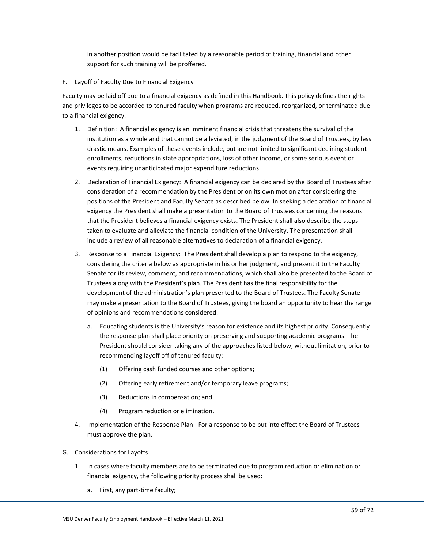in another position would be facilitated by a reasonable period of training, financial and other support for such training will be proffered.

### F. Layoff of Faculty Due to Financial Exigency

Faculty may be laid off due to a financial exigency as defined in this Handbook. This policy defines the rights and privileges to be accorded to tenured faculty when programs are reduced, reorganized, or terminated due to a financial exigency.

- 1. Definition: A financial exigency is an imminent financial crisis that threatens the survival of the institution as a whole and that cannot be alleviated, in the judgment of the Board of Trustees, by less drastic means. Examples of these events include, but are not limited to significant declining student enrollments, reductions in state appropriations, loss of other income, or some serious event or events requiring unanticipated major expenditure reductions.
- 2. Declaration of Financial Exigency: A financial exigency can be declared by the Board of Trustees after consideration of a recommendation by the President or on its own motion after considering the positions of the President and Faculty Senate as described below. In seeking a declaration of financial exigency the President shall make a presentation to the Board of Trustees concerning the reasons that the President believes a financial exigency exists. The President shall also describe the steps taken to evaluate and alleviate the financial condition of the University. The presentation shall include a review of all reasonable alternatives to declaration of a financial exigency.
- 3. Response to a Financial Exigency: The President shall develop a plan to respond to the exigency, considering the criteria below as appropriate in his or her judgment, and present it to the Faculty Senate for its review, comment, and recommendations, which shall also be presented to the Board of Trustees along with the President's plan. The President has the final responsibility for the development of the administration's plan presented to the Board of Trustees. The Faculty Senate may make a presentation to the Board of Trustees, giving the board an opportunity to hear the range of opinions and recommendations considered.
	- a. Educating students is the University's reason for existence and its highest priority. Consequently the response plan shall place priority on preserving and supporting academic programs. The President should consider taking any of the approaches listed below, without limitation, prior to recommending layoff off of tenured faculty:
		- (1) Offering cash funded courses and other options;
		- (2) Offering early retirement and/or temporary leave programs;
		- (3) Reductions in compensation; and
		- (4) Program reduction or elimination.
- 4. Implementation of the Response Plan: For a response to be put into effect the Board of Trustees must approve the plan.

## G. Considerations for Layoffs

- 1. In cases where faculty members are to be terminated due to program reduction or elimination or financial exigency, the following priority process shall be used:
	- a. First, any part-time faculty;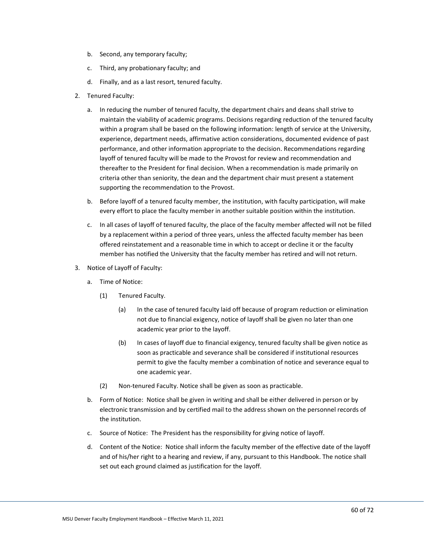- b. Second, any temporary faculty;
- c. Third, any probationary faculty; and
- d. Finally, and as a last resort, tenured faculty.
- 2. Tenured Faculty:
	- a. In reducing the number of tenured faculty, the department chairs and deans shall strive to maintain the viability of academic programs. Decisions regarding reduction of the tenured faculty within a program shall be based on the following information: length of service at the University, experience, department needs, affirmative action considerations, documented evidence of past performance, and other information appropriate to the decision. Recommendations regarding layoff of tenured faculty will be made to the Provost for review and recommendation and thereafter to the President for final decision. When a recommendation is made primarily on criteria other than seniority, the dean and the department chair must present a statement supporting the recommendation to the Provost.
	- b. Before layoff of a tenured faculty member, the institution, with faculty participation, will make every effort to place the faculty member in another suitable position within the institution.
	- c. In all cases of layoff of tenured faculty, the place of the faculty member affected will not be filled by a replacement within a period of three years, unless the affected faculty member has been offered reinstatement and a reasonable time in which to accept or decline it or the faculty member has notified the University that the faculty member has retired and will not return.
- 3. Notice of Layoff of Faculty:
	- a. Time of Notice:
		- (1) Tenured Faculty.
			- (a) In the case of tenured faculty laid off because of program reduction or elimination not due to financial exigency, notice of layoff shall be given no later than one academic year prior to the layoff.
			- (b) In cases of layoff due to financial exigency, tenured faculty shall be given notice as soon as practicable and severance shall be considered if institutional resources permit to give the faculty member a combination of notice and severance equal to one academic year.
		- (2) Non-tenured Faculty. Notice shall be given as soon as practicable.
	- b. Form of Notice: Notice shall be given in writing and shall be either delivered in person or by electronic transmission and by certified mail to the address shown on the personnel records of the institution.
	- c. Source of Notice: The President has the responsibility for giving notice of layoff.
	- d. Content of the Notice: Notice shall inform the faculty member of the effective date of the layoff and of his/her right to a hearing and review, if any, pursuant to this Handbook. The notice shall set out each ground claimed as justification for the layoff.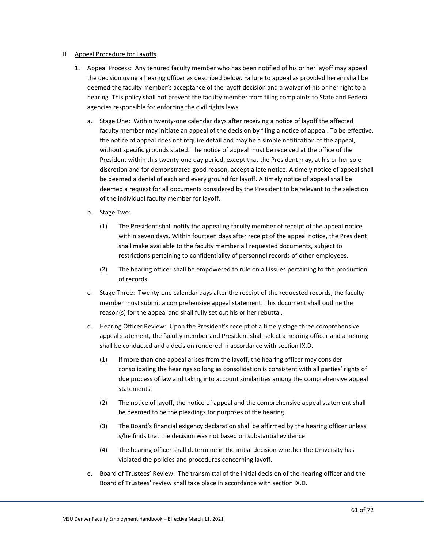### H. Appeal Procedure for Layoffs

- 1. Appeal Process: Any tenured faculty member who has been notified of his or her layoff may appeal the decision using a hearing officer as described below. Failure to appeal as provided herein shall be deemed the faculty member's acceptance of the layoff decision and a waiver of his or her right to a hearing. This policy shall not prevent the faculty member from filing complaints to State and Federal agencies responsible for enforcing the civil rights laws.
	- a. Stage One: Within twenty-one calendar days after receiving a notice of layoff the affected faculty member may initiate an appeal of the decision by filing a notice of appeal. To be effective, the notice of appeal does not require detail and may be a simple notification of the appeal, without specific grounds stated. The notice of appeal must be received at the office of the President within this twenty-one day period, except that the President may, at his or her sole discretion and for demonstrated good reason, accept a late notice. A timely notice of appeal shall be deemed a denial of each and every ground for layoff. A timely notice of appeal shall be deemed a request for all documents considered by the President to be relevant to the selection of the individual faculty member for layoff.
	- b. Stage Two:
		- (1) The President shall notify the appealing faculty member of receipt of the appeal notice within seven days. Within fourteen days after receipt of the appeal notice, the President shall make available to the faculty member all requested documents, subject to restrictions pertaining to confidentiality of personnel records of other employees.
		- (2) The hearing officer shall be empowered to rule on all issues pertaining to the production of records.
	- c. Stage Three: Twenty-one calendar days after the receipt of the requested records, the faculty member must submit a comprehensive appeal statement. This document shall outline the reason(s) for the appeal and shall fully set out his or her rebuttal.
	- d. Hearing Officer Review: Upon the President's receipt of a timely stage three comprehensive appeal statement, the faculty member and President shall select a hearing officer and a hearing shall be conducted and a decision rendered in accordance with section IX.D.
		- (1) If more than one appeal arises from the layoff, the hearing officer may consider consolidating the hearings so long as consolidation is consistent with all parties' rights of due process of law and taking into account similarities among the comprehensive appeal statements.
		- (2) The notice of layoff, the notice of appeal and the comprehensive appeal statement shall be deemed to be the pleadings for purposes of the hearing.
		- (3) The Board's financial exigency declaration shall be affirmed by the hearing officer unless s/he finds that the decision was not based on substantial evidence.
		- (4) The hearing officer shall determine in the initial decision whether the University has violated the policies and procedures concerning layoff.
	- e. Board of Trustees' Review: The transmittal of the initial decision of the hearing officer and the Board of Trustees' review shall take place in accordance with section IX.D.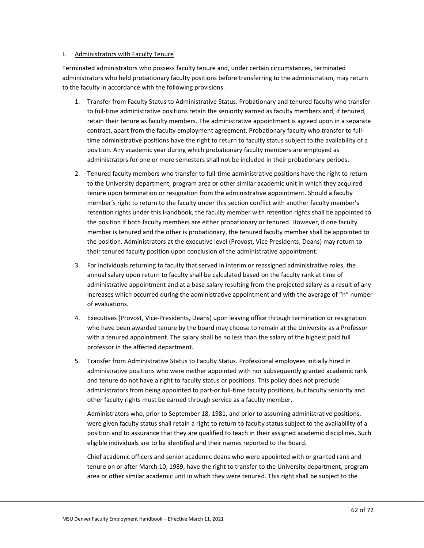#### I. Administrators with Faculty Tenure

Terminated administrators who possess faculty tenure and, under certain circumstances, terminated administrators who held probationary faculty positions before transferring to the administration, may return to the faculty in accordance with the following provisions.

- 1. Transfer from Faculty Status to Administrative Status. Probationary and tenured faculty who transfer to full-time administrative positions retain the seniority earned as faculty members and, if tenured, retain their tenure as faculty members. The administrative appointment is agreed upon in a separate contract, apart from the faculty employment agreement. Probationary faculty who transfer to fulltime administrative positions have the right to return to faculty status subject to the availability of a position. Any academic year during which probationary faculty members are employed as administrators for one or more semesters shall not be included in their probationary periods.
- 2. Tenured faculty members who transfer to full-time administrative positions have the right to return to the University department, program area or other similar academic unit in which they acquired tenure upon termination or resignation from the administrative appointment. Should a faculty member's right to return to the faculty under this section conflict with another faculty member's retention rights under this Handbook, the faculty member with retention rights shall be appointed to the position if both faculty members are either probationary or tenured. However, if one faculty member is tenured and the other is probationary, the tenured faculty member shall be appointed to the position. Administrators at the executive level (Provost, Vice Presidents, Deans) may return to their tenured faculty position upon conclusion of the administrative appointment.
- 3. For individuals returning to faculty that served in interim or reassigned administrative roles, the annual salary upon return to faculty shall be calculated based on the faculty rank at time of administrative appointment and at a base salary resulting from the projected salary as a result of any increases which occurred during the administrative appointment and with the average of "n" number of evaluations.
- 4. Executives (Provost, Vice-Presidents, Deans) upon leaving office through termination or resignation who have been awarded tenure by the board may choose to remain at the University as a Professor with a tenured appointment. The salary shall be no less than the salary of the highest paid full professor in the affected department.
- 5. Transfer from Administrative Status to Faculty Status. Professional employees initially hired in administrative positions who were neither appointed with nor subsequently granted academic rank and tenure do not have a right to faculty status or positions. This policy does not preclude administrators from being appointed to part-or full-time faculty positions, but faculty seniority and other faculty rights must be earned through service as a faculty member.

Administrators who, prior to September 18, 1981, and prior to assuming administrative positions, were given faculty status shall retain a right to return to faculty status subject to the availability of a position and to assurance that they are qualified to teach in their assigned academic disciplines. Such eligible individuals are to be identified and their names reported to the Board.

Chief academic officers and senior academic deans who were appointed with or granted rank and tenure on or after March 10, 1989, have the right to transfer to the University department, program area or other similar academic unit in which they were tenured. This right shall be subject to the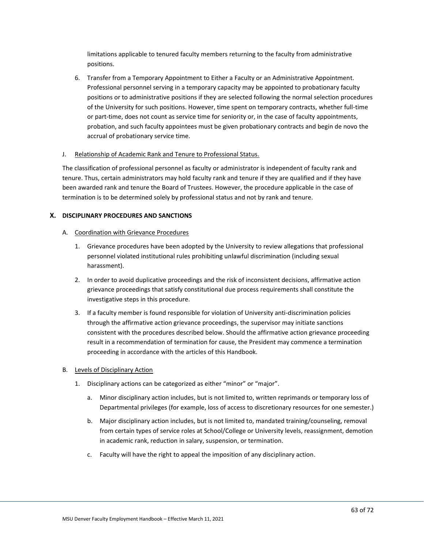limitations applicable to tenured faculty members returning to the faculty from administrative positions.

6. Transfer from a Temporary Appointment to Either a Faculty or an Administrative Appointment. Professional personnel serving in a temporary capacity may be appointed to probationary faculty positions or to administrative positions if they are selected following the normal selection procedures of the University for such positions. However, time spent on temporary contracts, whether full-time or part-time, does not count as service time for seniority or, in the case of faculty appointments, probation, and such faculty appointees must be given probationary contracts and begin de novo the accrual of probationary service time.

### J. Relationship of Academic Rank and Tenure to Professional Status.

The classification of professional personnel as faculty or administrator is independent of faculty rank and tenure. Thus, certain administrators may hold faculty rank and tenure if they are qualified and if they have been awarded rank and tenure the Board of Trustees. However, the procedure applicable in the case of termination is to be determined solely by professional status and not by rank and tenure.

### **X. DISCIPLINARY PROCEDURES AND SANCTIONS**

### A. Coordination with Grievance Procedures

- 1. Grievance procedures have been adopted by the University to review allegations that professional personnel violated institutional rules prohibiting unlawful discrimination (including sexual harassment).
- 2. In order to avoid duplicative proceedings and the risk of inconsistent decisions, affirmative action grievance proceedings that satisfy constitutional due process requirements shall constitute the investigative steps in this procedure.
- 3. If a faculty member is found responsible for violation of University anti-discrimination policies through the affirmative action grievance proceedings, the supervisor may initiate sanctions consistent with the procedures described below. Should the affirmative action grievance proceeding result in a recommendation of termination for cause, the President may commence a termination proceeding in accordance with the articles of this Handbook.

## B. Levels of Disciplinary Action

- 1. Disciplinary actions can be categorized as either "minor" or "major".
	- a. Minor disciplinary action includes, but is not limited to, written reprimands or temporary loss of Departmental privileges (for example, loss of access to discretionary resources for one semester.)
	- b. Major disciplinary action includes, but is not limited to, mandated training/counseling, removal from certain types of service roles at School/College or University levels, reassignment, demotion in academic rank, reduction in salary, suspension, or termination.
	- c. Faculty will have the right to appeal the imposition of any disciplinary action.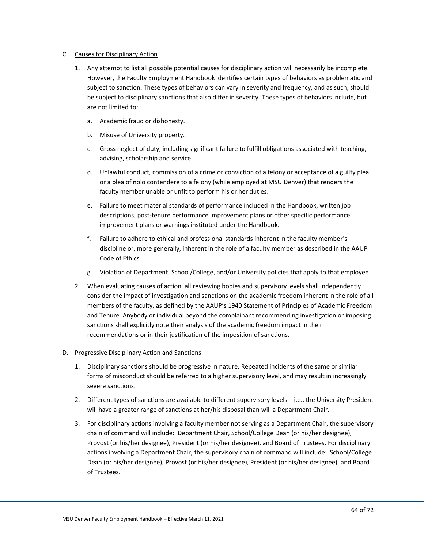### C. Causes for Disciplinary Action

- 1. Any attempt to list all possible potential causes for disciplinary action will necessarily be incomplete. However, the Faculty Employment Handbook identifies certain types of behaviors as problematic and subject to sanction. These types of behaviors can vary in severity and frequency, and as such, should be subject to disciplinary sanctions that also differ in severity. These types of behaviors include, but are not limited to:
	- a. Academic fraud or dishonesty.
	- b. Misuse of University property.
	- c. Gross neglect of duty, including significant failure to fulfill obligations associated with teaching, advising, scholarship and service.
	- d. Unlawful conduct, commission of a crime or conviction of a felony or acceptance of a guilty plea or a plea of nolo contendere to a felony (while employed at MSU Denver) that renders the faculty member unable or unfit to perform his or her duties.
	- e. Failure to meet material standards of performance included in the Handbook, written job descriptions, post-tenure performance improvement plans or other specific performance improvement plans or warnings instituted under the Handbook.
	- f. Failure to adhere to ethical and professional standards inherent in the faculty member's discipline or, more generally, inherent in the role of a faculty member as described in the AAUP Code of Ethics.
	- g. Violation of Department, School/College, and/or University policies that apply to that employee.
- 2. When evaluating causes of action, all reviewing bodies and supervisory levels shall independently consider the impact of investigation and sanctions on the academic freedom inherent in the role of all members of the faculty, as defined by the AAUP's 1940 Statement of Principles of Academic Freedom and Tenure. Anybody or individual beyond the complainant recommending investigation or imposing sanctions shall explicitly note their analysis of the academic freedom impact in their recommendations or in their justification of the imposition of sanctions.

## D. Progressive Disciplinary Action and Sanctions

- 1. Disciplinary sanctions should be progressive in nature. Repeated incidents of the same or similar forms of misconduct should be referred to a higher supervisory level, and may result in increasingly severe sanctions.
- 2. Different types of sanctions are available to different supervisory levels i.e., the University President will have a greater range of sanctions at her/his disposal than will a Department Chair.
- 3. For disciplinary actions involving a faculty member not serving as a Department Chair, the supervisory chain of command will include: Department Chair, School/College Dean (or his/her designee), Provost (or his/her designee), President (or his/her designee), and Board of Trustees. For disciplinary actions involving a Department Chair, the supervisory chain of command will include: School/College Dean (or his/her designee), Provost (or his/her designee), President (or his/her designee), and Board of Trustees.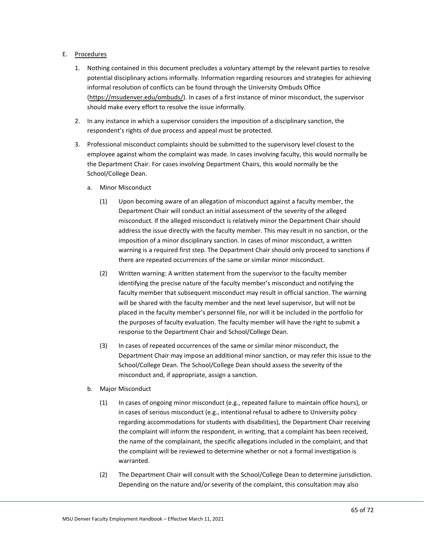## E. Procedures

- 1. Nothing contained in this document precludes a voluntary attempt by the relevant parties to resolve potential disciplinary actions informally. Information regarding resources and strategies for achieving informal resolution of conflicts can be found through the University Ombuds Office [\(https://msudenver.edu/ombuds/\)](https://msudenver.edu/ombuds/). In cases of a first instance of minor misconduct, the supervisor should make every effort to resolve the issue informally.
- 2. In any instance in which a supervisor considers the imposition of a disciplinary sanction, the respondent's rights of due process and appeal must be protected.
- 3. Professional misconduct complaints should be submitted to the supervisory level closest to the employee against whom the complaint was made. In cases involving faculty, this would normally be the Department Chair. For cases involving Department Chairs, this would normally be the School/College Dean.
	- a. Minor Misconduct
		- (1) Upon becoming aware of an allegation of misconduct against a faculty member, the Department Chair will conduct an initial assessment of the severity of the alleged misconduct. If the alleged misconduct is relatively minor the Department Chair should address the issue directly with the faculty member. This may result in no sanction, or the imposition of a minor disciplinary sanction. In cases of minor misconduct, a written warning is a required first step. The Department Chair should only proceed to sanctions if there are repeated occurrences of the same or similar minor misconduct.
		- (2) Written warning: A written statement from the supervisor to the faculty member identifying the precise nature of the faculty member's misconduct and notifying the faculty member that subsequent misconduct may result in official sanction. The warning will be shared with the faculty member and the next level supervisor, but will not be placed in the faculty member's personnel file, nor will it be included in the portfolio for the purposes of faculty evaluation. The faculty member will have the right to submit a response to the Department Chair and School/College Dean.
		- (3) In cases of repeated occurrences of the same or similar minor misconduct, the Department Chair may impose an additional minor sanction, or may refer this issue to the School/College Dean. The School/College Dean should assess the severity of the misconduct and, if appropriate, assign a sanction.
	- b. Major Misconduct
		- (1) In cases of ongoing minor misconduct (e.g., repeated failure to maintain office hours), or in cases of serious misconduct (e.g., intentional refusal to adhere to University policy regarding accommodations for students with disabilities), the Department Chair receiving the complaint will inform the respondent, in writing, that a complaint has been received, the name of the complainant, the specific allegations included in the complaint, and that the complaint will be reviewed to determine whether or not a formal investigation is warranted.
		- (2) The Department Chair will consult with the School/College Dean to determine jurisdiction. Depending on the nature and/or severity of the complaint, this consultation may also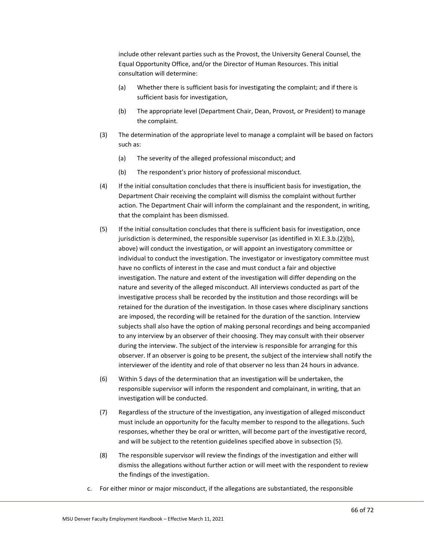include other relevant parties such as the Provost, the University General Counsel, the Equal Opportunity Office, and/or the Director of Human Resources. This initial consultation will determine:

- (a) Whether there is sufficient basis for investigating the complaint; and if there is sufficient basis for investigation,
- (b) The appropriate level (Department Chair, Dean, Provost, or President) to manage the complaint.
- (3) The determination of the appropriate level to manage a complaint will be based on factors such as:
	- (a) The severity of the alleged professional misconduct; and
	- (b) The respondent's prior history of professional misconduct.
- (4) If the initial consultation concludes that there is insufficient basis for investigation, the Department Chair receiving the complaint will dismiss the complaint without further action. The Department Chair will inform the complainant and the respondent, in writing, that the complaint has been dismissed.
- (5) If the initial consultation concludes that there is sufficient basis for investigation, once jurisdiction is determined, the responsible supervisor (as identified in XI.E.3.b.(2)(b), above) will conduct the investigation, or will appoint an investigatory committee or individual to conduct the investigation. The investigator or investigatory committee must have no conflicts of interest in the case and must conduct a fair and objective investigation. The nature and extent of the investigation will differ depending on the nature and severity of the alleged misconduct. All interviews conducted as part of the investigative process shall be recorded by the institution and those recordings will be retained for the duration of the investigation. In those cases where disciplinary sanctions are imposed, the recording will be retained for the duration of the sanction. Interview subjects shall also have the option of making personal recordings and being accompanied to any interview by an observer of their choosing. They may consult with their observer during the interview. The subject of the interview is responsible for arranging for this observer. If an observer is going to be present, the subject of the interview shall notify the interviewer of the identity and role of that observer no less than 24 hours in advance.
- (6) Within 5 days of the determination that an investigation will be undertaken, the responsible supervisor will inform the respondent and complainant, in writing, that an investigation will be conducted.
- (7) Regardless of the structure of the investigation, any investigation of alleged misconduct must include an opportunity for the faculty member to respond to the allegations. Such responses, whether they be oral or written, will become part of the investigative record, and will be subject to the retention guidelines specified above in subsection (5).
- (8) The responsible supervisor will review the findings of the investigation and either will dismiss the allegations without further action or will meet with the respondent to review the findings of the investigation.
- c. For either minor or major misconduct, if the allegations are substantiated, the responsible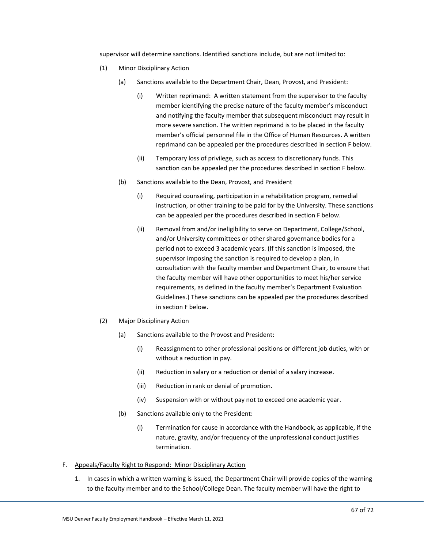supervisor will determine sanctions. Identified sanctions include, but are not limited to:

- (1) Minor Disciplinary Action
	- (a) Sanctions available to the Department Chair, Dean, Provost, and President:
		- (i) Written reprimand: A written statement from the supervisor to the faculty member identifying the precise nature of the faculty member's misconduct and notifying the faculty member that subsequent misconduct may result in more severe sanction. The written reprimand is to be placed in the faculty member's official personnel file in the Office of Human Resources. A written reprimand can be appealed per the procedures described in section F below.
		- (ii) Temporary loss of privilege, such as access to discretionary funds. This sanction can be appealed per the procedures described in section F below.
	- (b) Sanctions available to the Dean, Provost, and President
		- (i) Required counseling, participation in a rehabilitation program, remedial instruction, or other training to be paid for by the University. These sanctions can be appealed per the procedures described in section F below.
		- (ii) Removal from and/or ineligibility to serve on Department, College/School, and/or University committees or other shared governance bodies for a period not to exceed 3 academic years. (If this sanction is imposed, the supervisor imposing the sanction is required to develop a plan, in consultation with the faculty member and Department Chair, to ensure that the faculty member will have other opportunities to meet his/her service requirements, as defined in the faculty member's Department Evaluation Guidelines.) These sanctions can be appealed per the procedures described in section F below.
- (2) Major Disciplinary Action
	- (a) Sanctions available to the Provost and President:
		- (i) Reassignment to other professional positions or different job duties, with or without a reduction in pay.
		- (ii) Reduction in salary or a reduction or denial of a salary increase.
		- (iii) Reduction in rank or denial of promotion.
		- (iv) Suspension with or without pay not to exceed one academic year.
	- (b) Sanctions available only to the President:
		- (i) Termination for cause in accordance with the Handbook, as applicable, if the nature, gravity, and/or frequency of the unprofessional conduct justifies termination.
- F. Appeals/Faculty Right to Respond: Minor Disciplinary Action
	- 1. In cases in which a written warning is issued, the Department Chair will provide copies of the warning to the faculty member and to the School/College Dean. The faculty member will have the right to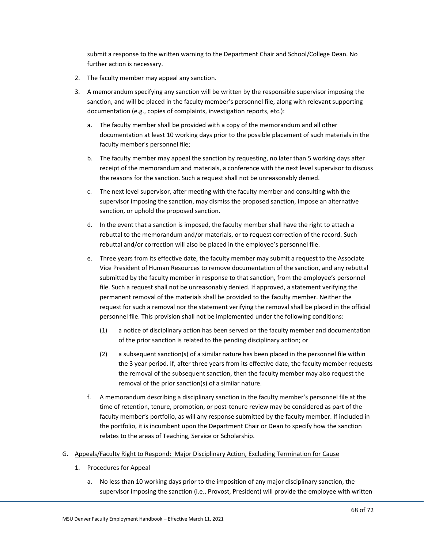submit a response to the written warning to the Department Chair and School/College Dean. No further action is necessary.

- 2. The faculty member may appeal any sanction.
- 3. A memorandum specifying any sanction will be written by the responsible supervisor imposing the sanction, and will be placed in the faculty member's personnel file, along with relevant supporting documentation (e.g., copies of complaints, investigation reports, etc.):
	- a. The faculty member shall be provided with a copy of the memorandum and all other documentation at least 10 working days prior to the possible placement of such materials in the faculty member's personnel file;
	- b. The faculty member may appeal the sanction by requesting, no later than 5 working days after receipt of the memorandum and materials, a conference with the next level supervisor to discuss the reasons for the sanction. Such a request shall not be unreasonably denied.
	- c. The next level supervisor, after meeting with the faculty member and consulting with the supervisor imposing the sanction, may dismiss the proposed sanction, impose an alternative sanction, or uphold the proposed sanction.
	- d. In the event that a sanction is imposed, the faculty member shall have the right to attach a rebuttal to the memorandum and/or materials, or to request correction of the record. Such rebuttal and/or correction will also be placed in the employee's personnel file.
	- e. Three years from its effective date, the faculty member may submit a request to the Associate Vice President of Human Resources to remove documentation of the sanction, and any rebuttal submitted by the faculty member in response to that sanction, from the employee's personnel file. Such a request shall not be unreasonably denied. If approved, a statement verifying the permanent removal of the materials shall be provided to the faculty member. Neither the request for such a removal nor the statement verifying the removal shall be placed in the official personnel file. This provision shall not be implemented under the following conditions:
		- (1) a notice of disciplinary action has been served on the faculty member and documentation of the prior sanction is related to the pending disciplinary action; or
		- (2) a subsequent sanction(s) of a similar nature has been placed in the personnel file within the 3 year period. If, after three years from its effective date, the faculty member requests the removal of the subsequent sanction, then the faculty member may also request the removal of the prior sanction(s) of a similar nature.
	- f. A memorandum describing a disciplinary sanction in the faculty member's personnel file at the time of retention, tenure, promotion, or post-tenure review may be considered as part of the faculty member's portfolio, as will any response submitted by the faculty member. If included in the portfolio, it is incumbent upon the Department Chair or Dean to specify how the sanction relates to the areas of Teaching, Service or Scholarship.
- G. Appeals/Faculty Right to Respond: Major Disciplinary Action, Excluding Termination for Cause
	- 1. Procedures for Appeal
		- a. No less than 10 working days prior to the imposition of any major disciplinary sanction, the supervisor imposing the sanction (i.e., Provost, President) will provide the employee with written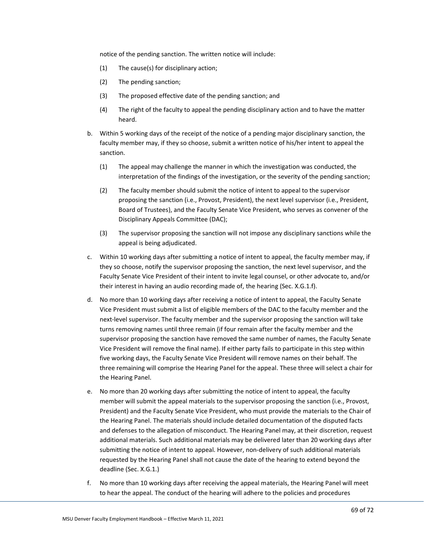notice of the pending sanction. The written notice will include:

- (1) The cause(s) for disciplinary action;
- (2) The pending sanction;
- (3) The proposed effective date of the pending sanction; and
- (4) The right of the faculty to appeal the pending disciplinary action and to have the matter heard.
- b. Within 5 working days of the receipt of the notice of a pending major disciplinary sanction, the faculty member may, if they so choose, submit a written notice of his/her intent to appeal the sanction.
	- (1) The appeal may challenge the manner in which the investigation was conducted, the interpretation of the findings of the investigation, or the severity of the pending sanction;
	- (2) The faculty member should submit the notice of intent to appeal to the supervisor proposing the sanction (i.e., Provost, President), the next level supervisor (i.e., President, Board of Trustees), and the Faculty Senate Vice President, who serves as convener of the Disciplinary Appeals Committee (DAC);
	- (3) The supervisor proposing the sanction will not impose any disciplinary sanctions while the appeal is being adjudicated.
- c. Within 10 working days after submitting a notice of intent to appeal, the faculty member may, if they so choose, notify the supervisor proposing the sanction, the next level supervisor, and the Faculty Senate Vice President of their intent to invite legal counsel, or other advocate to, and/or their interest in having an audio recording made of, the hearing (Sec. X.G.1.f).
- d. No more than 10 working days after receiving a notice of intent to appeal, the Faculty Senate Vice President must submit a list of eligible members of the DAC to the faculty member and the next-level supervisor. The faculty member and the supervisor proposing the sanction will take turns removing names until three remain (if four remain after the faculty member and the supervisor proposing the sanction have removed the same number of names, the Faculty Senate Vice President will remove the final name). If either party fails to participate in this step within five working days, the Faculty Senate Vice President will remove names on their behalf. The three remaining will comprise the Hearing Panel for the appeal. These three will select a chair for the Hearing Panel.
- e. No more than 20 working days after submitting the notice of intent to appeal, the faculty member will submit the appeal materials to the supervisor proposing the sanction (i.e., Provost, President) and the Faculty Senate Vice President, who must provide the materials to the Chair of the Hearing Panel. The materials should include detailed documentation of the disputed facts and defenses to the allegation of misconduct. The Hearing Panel may, at their discretion, request additional materials. Such additional materials may be delivered later than 20 working days after submitting the notice of intent to appeal. However, non-delivery of such additional materials requested by the Hearing Panel shall not cause the date of the hearing to extend beyond the deadline (Sec. X.G.1.)
- f. No more than 10 working days after receiving the appeal materials, the Hearing Panel will meet to hear the appeal. The conduct of the hearing will adhere to the policies and procedures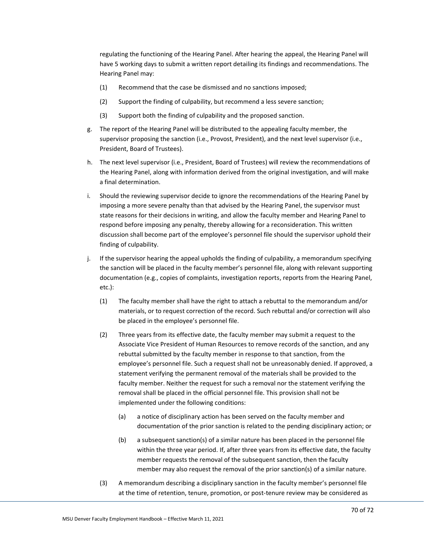regulating the functioning of the Hearing Panel. After hearing the appeal, the Hearing Panel will have 5 working days to submit a written report detailing its findings and recommendations. The Hearing Panel may:

- (1) Recommend that the case be dismissed and no sanctions imposed;
- (2) Support the finding of culpability, but recommend a less severe sanction;
- (3) Support both the finding of culpability and the proposed sanction.
- g. The report of the Hearing Panel will be distributed to the appealing faculty member, the supervisor proposing the sanction (i.e., Provost, President), and the next level supervisor (i.e., President, Board of Trustees).
- h. The next level supervisor (i.e., President, Board of Trustees) will review the recommendations of the Hearing Panel, along with information derived from the original investigation, and will make a final determination.
- i. Should the reviewing supervisor decide to ignore the recommendations of the Hearing Panel by imposing a more severe penalty than that advised by the Hearing Panel, the supervisor must state reasons for their decisions in writing, and allow the faculty member and Hearing Panel to respond before imposing any penalty, thereby allowing for a reconsideration. This written discussion shall become part of the employee's personnel file should the supervisor uphold their finding of culpability.
- j. If the supervisor hearing the appeal upholds the finding of culpability, a memorandum specifying the sanction will be placed in the faculty member's personnel file, along with relevant supporting documentation (e.g., copies of complaints, investigation reports, reports from the Hearing Panel, etc.):
	- (1) The faculty member shall have the right to attach a rebuttal to the memorandum and/or materials, or to request correction of the record. Such rebuttal and/or correction will also be placed in the employee's personnel file.
	- (2) Three years from its effective date, the faculty member may submit a request to the Associate Vice President of Human Resources to remove records of the sanction, and any rebuttal submitted by the faculty member in response to that sanction, from the employee's personnel file. Such a request shall not be unreasonably denied. If approved, a statement verifying the permanent removal of the materials shall be provided to the faculty member. Neither the request for such a removal nor the statement verifying the removal shall be placed in the official personnel file. This provision shall not be implemented under the following conditions:
		- (a) a notice of disciplinary action has been served on the faculty member and documentation of the prior sanction is related to the pending disciplinary action; or
		- (b) a subsequent sanction(s) of a similar nature has been placed in the personnel file within the three year period. If, after three years from its effective date, the faculty member requests the removal of the subsequent sanction, then the faculty member may also request the removal of the prior sanction(s) of a similar nature.
	- (3) A memorandum describing a disciplinary sanction in the faculty member's personnel file at the time of retention, tenure, promotion, or post-tenure review may be considered as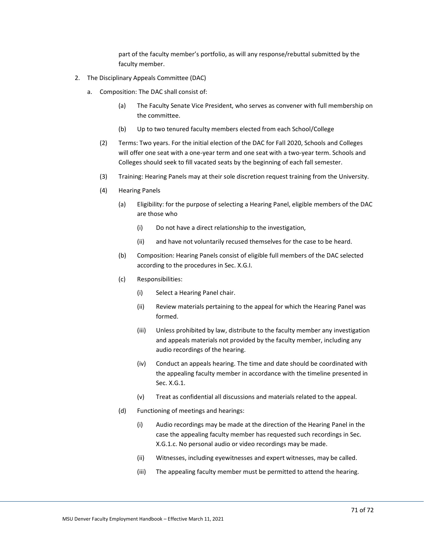part of the faculty member's portfolio, as will any response/rebuttal submitted by the faculty member.

- 2. The Disciplinary Appeals Committee (DAC)
	- a. Composition: The DAC shall consist of:
		- (a) The Faculty Senate Vice President, who serves as convener with full membership on the committee.
		- (b) Up to two tenured faculty members elected from each School/College
		- (2) Terms: Two years. For the initial election of the DAC for Fall 2020, Schools and Colleges will offer one seat with a one-year term and one seat with a two-year term. Schools and Colleges should seek to fill vacated seats by the beginning of each fall semester.
		- (3) Training: Hearing Panels may at their sole discretion request training from the University.
		- (4) Hearing Panels
			- (a) Eligibility: for the purpose of selecting a Hearing Panel, eligible members of the DAC are those who
				- (i) Do not have a direct relationship to the investigation,
				- (ii) and have not voluntarily recused themselves for the case to be heard.
			- (b) Composition: Hearing Panels consist of eligible full members of the DAC selected according to the procedures in Sec. X.G.I.
			- (c) Responsibilities:
				- (i) Select a Hearing Panel chair.
				- (ii) Review materials pertaining to the appeal for which the Hearing Panel was formed.
				- (iii) Unless prohibited by law, distribute to the faculty member any investigation and appeals materials not provided by the faculty member, including any audio recordings of the hearing.
				- (iv) Conduct an appeals hearing. The time and date should be coordinated with the appealing faculty member in accordance with the timeline presented in Sec. X.G.1.
				- (v) Treat as confidential all discussions and materials related to the appeal.
			- (d) Functioning of meetings and hearings:
				- (i) Audio recordings may be made at the direction of the Hearing Panel in the case the appealing faculty member has requested such recordings in Sec. X.G.1.c. No personal audio or video recordings may be made.
				- (ii) Witnesses, including eyewitnesses and expert witnesses, may be called.
				- (iii) The appealing faculty member must be permitted to attend the hearing.